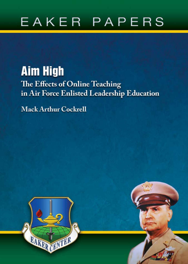# EAKER PAPERS

# **Aim High** The Effects of Online Teaching in Air Force Enlisted Leadership Education

**Mack Arthur Cockrell** 



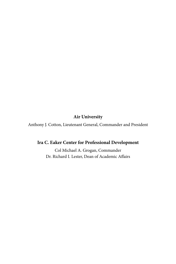# **Air University**

Anthony J. Cotton, Lieutenant General, Commander and President

# **Ira C. Eaker Center for Professional Development**

Col Michael A. Grogan, Commander Dr. Richard I. Lester, Dean of Academic Affairs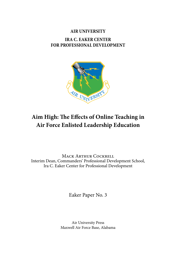# **AIR UNIVERSITY IRA C. EAKER CENTER FOR PROFESSIONAL DEVELOPMENT**



# **Aim High: The Effects of Online Teaching in Air Force Enlisted Leadership Education**

Mack Arthur Cockrell Interim Dean, Commanders' Professional Development School, Ira C. Eaker Center for Professional Development

Eaker Paper No. 3

Air University Press Maxwell Air Force Base, Alabama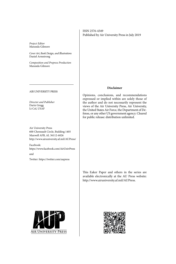ISSN 2576-4349 Published by Air University Press in July 2019

*Project Editor* Maranda Gilmore

*Cover Art, Book Design, and Illustrations* Daniel Armstrong

*Composition and Prepress Production* Maranda Gilmore

AIR UNIVERSITY PRESS

*Director and Publisher* Darin Gregg Lt Col, USAF

Air University Press 600 Chennault Circle, Building 1405 Maxwell AFB, AL 36112-6026 http://www.airuniversity.af.mil/AUPress/

Facebook: https://www.facebook.com/AirUnivPress

and

Twitter: https://twitter.com/aupress

#### **Disclaimer**

Opinions, conclusions, and recommendations expressed or implied within are solely those of the author and do not necessarily represent the views of the Air University Press, Air University, the United States Air Force, the Department of Defense, or any other US government agency. Cleared for public release: distribution unlimited.

This Eaker Paper and others in the series are available electronically at the AU Press website: http://www.airuniversity.af.mil/AUPress.



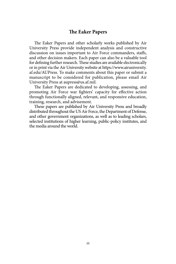# **The Eaker Papers**

The Eaker Papers and other scholarly works published by Air University Press provide independent analysis and constructive discussion on issues important to Air Force commanders, staffs, and other decision makers. Each paper can also be a valuable tool for defining further research. These studies are available electronically or in print via the Air University website at [https://www.airuniversity.](https://www.airuniversity.af.edu/AUPress) [af.edu/AUPress](https://www.airuniversity.af.edu/AUPress). To make comments about this paper or submit a manuscript to be considered for publication, please email Air University Press at aupress@us.af.mil.

The Eaker Papers are dedicated to developing, assessing, and promoting Air Force war fighters' capacity for effective action through functionally aligned, relevant, and responsive education, training, research, and advisement.

These papers are published by Air University Press and broadly distributed throughout the US Air Force, the Department of Defense, and other government organizations, as well as to leading scholars, selected institutions of higher learning, public-policy institutes, and the media around the world.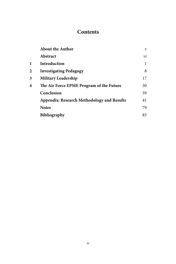# **Contents**

|   | <b>About the Author</b>                           | $\boldsymbol{\nu}$ |
|---|---------------------------------------------------|--------------------|
|   | Abstract                                          | νi                 |
| 1 | Introduction                                      |                    |
| 2 | <b>Investigating Pedagogy</b>                     | 8                  |
| 3 | <b>Military Leadership</b>                        | 17                 |
| 4 | The Air Force EPME Program of the Future          | 30                 |
|   | Conclusion                                        | 39                 |
|   | <b>Appendix: Research Methodology and Results</b> | 41                 |
|   | <b>Notes</b>                                      | 79                 |
|   | <b>Bibliography</b>                               | 85                 |
|   |                                                   |                    |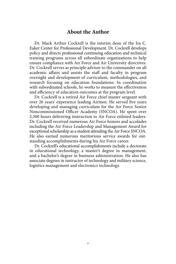# **About the Author**

Dr. Mack Arthur Cockrell is the interim dean of the Ira C. Eaker Center for Professional Development. Dr. Cockrell develops policy and directs professional continuing education and technical training programs across all subordinate organizations to help ensure compliance with Air Force and Air University directives. Dr. Cockrell serves as principle advisor to the commander on all academic affairs and assists the staff and faculty in program oversight and development of curriculum, methodologies, and research focusing on education foundations. In coordination with subordinated schools, he works to measure the effectiveness and efficiency of education outcomes at the program level.

Dr. Cockrell is a retired Air Force chief master sergeant with over 26 years' experience leading Airmen. He served five years developing and managing curriculum for the Air Force Senior Noncommissioned Officer Academy (SNCOA). He spent over 2,500 hours delivering instruction to Air Force enlisted leaders. Dr. Cockrell received numerous Air Force honors and accolades including the Air Force Leadership and Management Award for exceptional scholarship as a student attending the Air Force SNCOA. He also earned numerous meritorious service awards for outstanding accomplishments during his Air Force career.

Dr. Cockrell's educational accomplishments include a doctorate in educational technology, a master's degree in management, and a bachelor's degree in business administration. He also has associate degrees in instructor of technology and military science, logistics management and electronics technology.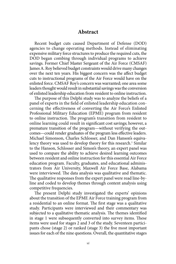# **Abstract**

Recent budget cuts caused Department of Defense (DOD) agencies to change operating methods. Instead of eliminating expensive military force structures to produce the required cuts, the DOD began combing through individual programs to achieve savings. Former Chief Master Sergeant of the Air Force (CMSAF) James A. Roy believed budget constraints would drive many changes over the next ten years. His biggest concern was the affect budget cuts to instructional programs of the Air Force would have on the enlisted force. CMSAF Roy's concern was warranted; one area some leaders thought would result in substantial savings was the conversion of enlisted leadership education from resident to online instruction.

 cerning the effectiveness of converting the Air Force's Enlisted online learning could result in significant cost savings; however, a premature transition of the program—without verifying the out-The purpose of this Delphi study was to analyze the beliefs of a panel of experts in the field of enlisted leadership education con-Professional Military Education (EPME) program from resident to online instruction. The program's transition from resident to comes—could render graduates of the program less effective leaders. Michael Simonson, Charles Schlosser, and Dan Hanson's equivalency theory was used to develop theory for this research.<sup>1</sup> Similar to the Hanson, Schlosser and Simon's theory, an expert panel was used to compare the ability to achieve desired learning outcomes between resident and online instruction for this essential Air Force education program. Faculty, graduates, and educational administrators from Air University, Maxwell Air Force Base, Alabama were interviewed. The data analysis was qualitative and thematic. The qualitative responses from the expert panel were read line-byline and coded to develop themes through content analysis using competitive frequencies.

 study. Participants were interviewed and their commentary was The present Delphi study investigated the experts' opinions about the transition of the EPME Air Force training program from a residential to an online format. The first stage was a qualitative subjected to a qualitative thematic analysis. The themes identified in stage 1 were subsequently converted into survey items. These items were used for stages 2 and 3 of the study. Seventeen participants chose (stage 2) or ranked (stage 3) the five most important issues for each of the nine questions. Overall, the quantitative stages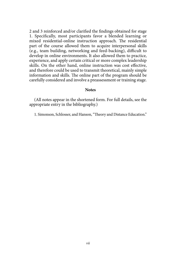skills. On the other hand, online instruction was cost effective, 2 and 3 reinforced and/or clarified the findings obtained for stage 1. Specifically, most participants favor a blended learning or mixed residential-online instruction approach. The residential part of the course allowed them to acquire interpersonal skills (e.g., team building, networking and feed-backing), difficult to develop in online environments. It also allowed them to practice, experience, and apply certain critical or more complex leadership and therefore could be used to transmit theoretical, mainly simple information and skills. The online part of the program should be carefully considered and involve a preassessment or training stage.

#### **Notes**

(All notes appear in the shortened form. For full details, see the appropriate entry in the bibliography.)

1. Simonson, Schlosser, and Hanson, "Theory and Distance Education."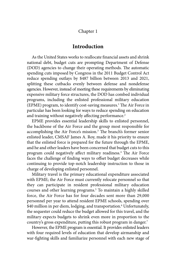# Chapter 1

# **Introduction**

As the United States works to reallocate financial assets and shrink national debt, budget cuts are prompting Department of Defense (DOD) agencies to change their operating methods. The automatic spending cuts imposed by Congress in the 2011 Budget Control Act reduce spending outlays by \$487 billion between 2013 and 2021, splitting these cutbacks evenly between defense and nondefense agencies. However, instead of meeting these requirements by eliminating expensive military force structures, the DOD has combed individual programs, including the enlisted professional military education (EPME) program, to identify cost-saving measures.<sup>[1](#page-87-0)</sup> The Air Force in particular has been looking for ways to reduce spending on education and training without negatively affecting performance.<sup>2</sup>

EPME provides essential leadership skills to enlisted personnel, the backbone of the Air Force and the group most responsible for accomplishing the Air Force's mission.[3](#page-87-0) The branch's former senior enlisted leader, CMSAF James A. Roy, made it his priority to ensure that the enlisted force is prepared for the future through the EPME, and he and other leaders have been concerned that budget cuts to this program could negatively affect military readiness.<sup>4</sup> The Air Force faces the challenge of finding ways to offset budget decreases while continuing to provide top-notch leadership instruction to those in charge of developing enlisted personnel.

Military travel is the primary educational expenditure associated with EPME; the Air Force must currently relocate personnel so that they can participate in resident professional military education courses and other learning programs.<sup>[5](#page-87-0)</sup> To maintain a highly skilled force, the Air Force has for four decades sent more than 29,000 personnel per year to attend resident EPME schools, spending over \$40 million in per diem, lodging, and transportation.<sup>6</sup> Unfortunately, the sequester could reduce the budget allowed for this travel, and the military expects budgets to shrink even more in proportion to the country's gross expenditure, putting this robust program in danger.<sup>7</sup>

However, the EPME program is essential. It provides enlisted leaders with four required levels of education that develop airmanship and war-fighting skills and familiarize personnel with each new stage of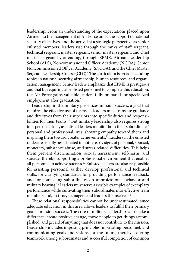leadership. From an understanding of the expectations placed upon Airmen, to the management of Air Force units, the support of national security objectives, and the arrival at a strategic perspective as senior enlisted members, leaders rise through the ranks of staff sergeant, technical sergeant, master sergeant, senior master sergeant, and chief master sergeant by attending, through EPME, Airman Leadership School (ALS), Noncommissioned Officer Academy (NCOA), Senior Noncommissioned Officer Academy (SNCOA), and the Chief Master Sergeant Leadership Course (CLC).<sup>8</sup> The curriculum is broad, including topics in national security, airmanship, human resources, and organization management. Senior leaders emphasize that EPME is prestigious and that by requiring all enlisted personnel to complete this education, the Air Force gains valuable leaders fully prepared for specialized employment after graduation.<sup>[9](#page-87-0)</sup>

Leadership in the military prioritizes mission success, a goal that requires the effective use of teams, as leaders must translate guidance and directives from their superiors into specific duties and responsibilities for their teams.<sup>10</sup> But military leadership also requires strong interpersonal skills, as enlisted leaders monitor both their subordinates' personal and professional lives, showing empathy toward them and inspiring them toward greater achievements.<sup>11</sup> Leaders in the enlisted ranks are usually best situated to notice early signs of personal, spousal, monetary, substance abuse, and stress-related difficulties. This helps them prevent discrimination, sexual harassment, self-harm, and suicide, thereby supporting a professional environment that enables all personnel to achieve success[.12](#page-87-0) Enlisted leaders are also responsible for assisting personnel as they develop professional and technical skills, for clarifying standards, for providing performance feedback, and for counseling subordinates on unprofessional behavior and military bearing[.13](#page-87-0) Leaders must serve as visible examples of exemplary performance while cultivating their subordinates into effective team members and, in time, managers and leaders themselves.<sup>[14](#page-87-0)</sup>

These relational responsibilities cannot be underestimated, since adequate education in this area allows leaders to fulfill their primary goal— mission success. The core of military leadership is to make a difference, create positive change, move people to get things accomplished, and get rid of anything that does not contribute to the mission. Leadership includes imposing principles, motivating personnel, and communicating goals and visions for the future, thereby fostering teamwork among subordinates and successful completion of common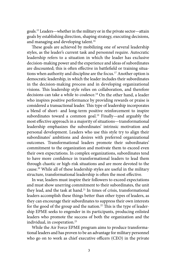goals.[15](#page-87-0) Leaders—whether in the military or in the private sector—attain goals by establishing direction, shaping strategy, executing decisions, and managing and developing talent.<sup>16</sup>

These goals are achieved by mobilizing one of several leadership styles, as the leader's current task and personnel require. Autocratic leadership refers to a situation in which the leader has exclusive decision-making power and the experience and ideas of subordinates are discounted; this is often effective in battlefield or training situations when authority and discipline are the focus.<sup>17</sup> Another option is democratic leadership, in which the leader includes their subordinates in the decision-making process and in developing organizational visions. This leadership style relies on collaboration, and therefore decisions can take a while to coalesce.<sup>18</sup> On the other hand, a leader who inspires positive performance by providing rewards or praise is considered a transactional leader. This type of leadership incorporates a blend of short- and long-term positive reinforcement to inspire subordinates toward a common goal.<sup>19</sup> Finally—and arguably the most effective approach in a majority of situations—transformational leadership emphasizes the subordinates' intrinsic motivation and personal development. Leaders who use this style try to align their subordinates' ambitions and desires with preferred organizational outcomes. Transformational leaders promote their subordinates' commitment to the organization and motivate them to exceed even their own expectations. In complex organizations, subordinates tend to have more confidence in transformational leaders to lead them through chaotic or high-risk situations and are more devoted to the cause[.20](#page-87-0) While all of these leadership styles are useful in the military structure, transformational leadership is often the most effective.

In war, leaders must inspire their followers to exceed expectations and must show unerring commitment to their subordinates, the unit they lead, and the task at hand.<sup>21</sup> In times of crisis, transformational leaders accomplish these things better than other types of leaders, as they can encourage their subordinates to suppress their own interests for the good of the group and the nation.<sup>22</sup> This is the type of leadership EPME seeks to engender in its participants, producing enlisted leaders who promote the success of both the organization and the individual, in cooperation.<sup>23</sup>

While the Air Force EPME program aims to produce transformational leaders and has proven to be an advantage for military personnel who go on to work as chief executive officers (CEO) in the private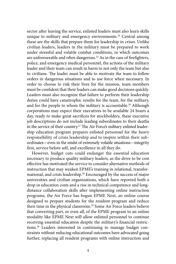sector after leaving the service, enlisted leaders must also learn skills unique to military and emergency environments.<sup>24</sup> Central among these are the skills that prepare them for leadership in crises. Unlike civilian leaders, leaders in the military must be prepared to work under stressful and volatile combat conditions, in which outcomes are unforeseeable and often dangerous.<sup>25</sup> As in the case of firefighters, police, and emergency medical personnel, the actions of the military leader and their team can result in harm to not only the team but also to civilians. The leader must be able to motivate the team to follow orders in dangerous situations and to use force when necessary. In order to choose to risk their lives for the mission, team members must be confident that their leaders can make good decisions quickly. Leaders must also recognize that failure to perform their leadership duties could have catastrophic results for the team, for the military, and for the people to whom the military is accountable.<sup>26</sup> Although corporations may expect their executives to be available 24 hours a day, ready to make great sacrifices for stockholders, these executive job descriptions do not include leading subordinates to their deaths in the service of their country.<sup>27</sup> The Air Force's military enlisted leadership education program prepares enlisted personnel for the heavy responsibility of crisis leadership and to inspire within their subordinates—even in the midst of extremely volatile situations—integrity first, service before self, and excellence in all they do.

However, budget cuts could endanger the essential education necessary to produce quality military leaders, as the drive to be cost effective has motivated the service to consider alternative methods of instruction that may weaken EPME's training in relational, transformational, and crisis leadership.<sup>28</sup> Encouraged by the success of major universities and civilian organizations, which have reported both a drop in education costs and a rise in technical competence and longdistance collaboration skills after implementing online instruction programs, the Air Force has begun EPME Next, an online course designed to prepare students for the resident program and reduce their time in the physical classroom.<sup>29</sup> Some Air Force leaders believe that converting part, or even all, of the EPME program to an online modality like EPME Next will allow enlisted personnel to continue receiving essential education despite the military's financial restrictions[.30](#page-88-0) Leaders interested in continuing to manage budget constraints without reducing educational outcomes have advocated going further, replacing all resident programs with online instruction and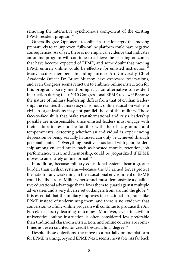removing the interactive, synchronous component of the existing EPME resident program[.31](#page-88-0) 

instruction during their 2010 Congressional EPME review.<sup>33</sup> Because Others disagree. Opponents to online instruction argue that moving prematurely to an unproven, fully-online platform could have negative consequences. As of yet, there is no empirical evidence that indicates an online program will continue to achieve the learning outcomes that have become expected of EPME, and some doubt that moving EPME entirely online would be effective for enlisted instruction.<sup>[32](#page-88-0)</sup> Many faculty members, including former Air University Chief Academic Officer Dr. Bruce Murphy, have expressed reservations, and even Congress seems reluctant to embrace online instruction for this program, barely mentioning it as an alternative to resident the nature of military leadership differs from that of civilian leadership, the realities that make asynchronous, online education viable in civilian organizations may not parallel those of the military. Those face-to-face skills that make transformational and crisis leadership possible are indispensable, since enlisted leaders must engage with their subordinates and be familiar with their backgrounds and temperaments; detecting whether an individual is experiencing depression or being sexually harassed can only be achieved through personal contact.<sup>34</sup> Everything positive associated with good leadership among enlisted ranks, such as boosted morale, retention, job performance, trust, and mentorship, could be jeopardized if EPME moves to an entirely online format.<sup>35</sup>

In addition, because military educational systems bear a greater burden than civilian systems—because the US armed forces protect the nation—any weakening in the educational environment of EPME could be disastrous. Military personnel must demonstrate a qualitative educational advantage that allows them to guard against multiple adversaries and a very diverse set of dangers from around the globe.<sup>[36](#page-88-0)</sup> It is essential that the military improves instructional programs like EPME instead of undermining them, and there is no evidence that conversion to a fully-online program will continue to produce the Air Force's necessary learning outcomes. Moreover, even in civilian universities, online instruction is often considered less preferable than traditional classroom instruction, and online courses are sometimes not even counted for credit toward a final degree.<sup>37</sup>

Despite these objections, the move to a partially online platform for EPME training, beyond EPME Next, seems inevitable. As far back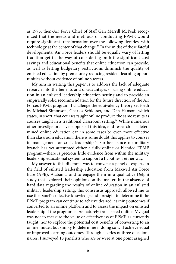as 1995, then-Air Force Chief of Staff Gen Merrill McPeak recognized that the needs and methods of conducting EPME would require significant transformation over the following decades, with technology at the center of that change.[38](#page-88-0) In the midst of these fateful developments, Air Force leaders should be equally wary of letting tradition get in the way of considering both the significant cost savings and educational benefits that online education can provide, as well as letting budgetary restrictions diminish the quality of enlisted education by prematurely reducing resident learning opportunities without evidence of online success.

My aim in writing this paper is to address the lack of adequate research into the benefits and disadvantages of using online education in an enlisted leadership education setting and to provide an empirically solid recommendation for the future direction of the Air Force's EPME program. I challenge the equivalency theory set forth by Michael Simonson, Charles Schlosser, and Dan Hanson, which states, in short, that courses taught online produce the same results as courses taught in a traditional classroom setting.<sup>39</sup> While numerous other investigators have supported this idea, and research has determined online education can in some cases be even more effective than classroom education, there is some doubt this applies to courses in management or crisis leadership.<sup>40</sup> Further—since no military branch has yet attempted either a fully online or blended EPME program—there is precious little evidence from within the military leadership educational system to support a hypothesis either way.

My answer to this dilemma was to convene a panel of experts in the field of enlisted leadership education from Maxwell Air Force Base (AFB), Alabama, and to engage them in a qualitative Delphi study that explored their opinions on the matter. In the absence of hard data regarding the results of online education in an enlisted military leadership setting, this consensus approach allowed me to use the panel's collective knowledge and foresight to determine if the EPME program can continue to achieve desired learning outcomes if converted to an online platform and to assess the impact on enlisted leadership if the program is prematurely transferred online. My goal was not to measure the value or effectiveness of EPME as currently taught, nor to explore the potential cost benefits of converting to an online model, but simply to determine if doing so will achieve equal or improved learning outcomes. Through a series of three questionnaires, I surveyed 18 panelists who are or were at one point assigned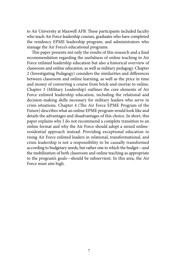to Air University at Maxwell AFB. These participants included faculty who teach Air Force leadership courses, graduates who have completed the residency EPME leadership program, and administrators who manage the Air Force's educational programs.

This paper presents not only the results of this research and a final recommendation regarding the usefulness of online teaching in Air Force enlisted leadership education but also a historical overview of classroom and online education, as well as military pedagogy. Chapter 2 (Investigating Pedagogy) considers the similarities and differences between classroom and online learning, as well as the price in time and money of converting a course from brick-and-mortar to online. Chapter 3 (Military Leadership) outlines the core elements of Air Force enlisted leadership education, including the relational and decision-making skills necessary for military leaders who serve in crisis situations. Chapter 4 (The Air Force EPME Program of the Future) describes what an online EPME program would look like and details the advantages and disadvantages of this choice. In short, this paper explains why I do not recommend a complete transition to an online format and why the Air Force should adopt a mixed onlineresidential approach instead. Providing exceptional education to rising Air Force enlisted leaders in relational, transformational, and crisis leadership is not a responsibility to be casually transformed according to budgetary needs, but rather one to which the budget—and the mobilization of both classroom and online teaching as appropriate to the program's goals—should be subservient. In this area, the Air Force must aim high.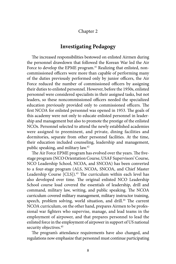# Chapter 2

# **Investigating Pedagogy**

The increased responsibilities bestowed on enlisted Airmen during the personnel drawdown that followed the Korean War led the Air Force to develop the EPME program.<sup>41</sup> Realizing that enlisted, noncommissioned officers were more than capable of performing many of the duties previously performed only by junior officers, the Air Force reduced the number of commissioned officers by assigning their duties to enlisted personnel. However, before the 1950s, enlisted personnel were considered specialists in their assigned tasks, but not leaders, so these noncommissioned officers needed the specialized education previously provided only to commissioned officers. The first NCOA for enlisted personnel was opened in 1953. The goals of this academy were not only to educate enlisted personnel in leadership and management but also to promote the prestige of the enlisted NCOs. Personnel selected to attend the newly established academies were assigned to preeminent, and private, dining facilities and dormitories, separate from other personnel facilities. At the time, their education included counseling, leadership and management, public speaking, and military law[.42](#page-88-0) 

The Air Force EPME program has evolved over the years. The fivestage program (NCO Orientation Course, USAF Supervisors' Course, NCO Leadership School, NCOA, and SNCOA) has been converted to a four-stage program (ALS, NCOA, SNCOA, and Chief Master Leadership Course [CLS]).<sup>43</sup> The curriculum within each level has also developed over time. The original enlisted NCO Leadership School course load covered the essentials of leadership, drill and command, military law, writing, and public speaking. The NCOA curriculum covered military management, military instructor training, speech, problem solving, world situation, and drill.<sup>44</sup> The current NCOA curriculum, on the other hand, prepares Airmen to be professional war fighters who supervise, manage, and lead teams in the employment of airpower, and that prepares personnel to lead the enlisted force in the employment of airpower in support of US national security objectives.<sup>45</sup>

The program's attendance requirements have also changed, and regulations now emphasize that personnel must continue participating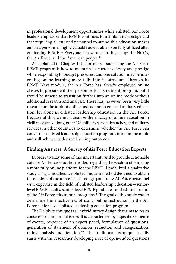in professional development opportunities while enlisted. Air Force leaders emphasize that EPME continues to maintain its prestige and that requiring all enlisted personnel to attend this education makes enlisted personnel highly valuable assets, able to be fully utilized after graduating EPME.<sup>46</sup> Everyone is a winner in this setup: the NCOs, the Air Force, and the American people.<sup>47</sup>

As explained in Chapter 1, the primary issue facing the Air Force EPME program is how to maintain its current efficacy and prestige while responding to budget pressures, and one solution may be integrating online learning more fully into its structure. Through its EPME Next module, the Air Force has already employed online classes to prepare enlisted personnel for its resident program, but it would be unwise to transition further into an online mode without additional research and analysis. There has, however, been very little research on the topic of online instruction in enlisted military education, let alone in enlisted leadership education in the Air Force. Because of this, we must analyze the efficacy of online education in civilian organizations, other US military service branches, and military services in other countries to determine whether the Air Force can convert its enlisted leadership education programs to an online mode and still achieve its desired learning outcomes.

### **Finding Answers: A Survey of Air Force Education Experts**

In order to allay some of this uncertainty and to provide actionable data for Air Force education leaders regarding the wisdom of pursuing a more fully online platform for the EPME, I mobilized a qualitative study using a modified Delphi technique, a method designed to obtain the opinions of and a consensus among a panel of 18 Air Force personnel with expertise in the field of enlisted leadership education—seniorlevel EPME faculty, senior-level EPME graduates, and administrators of the Air Force educational programs.<sup>48</sup> The goal of this study was to determine the effectiveness of using online instruction in the Air Force senior-level enlisted leadership education program.

The Delphi technique is a "hybrid survey design that aims to reach consensus on important issues. It is characterized by a specific sequence of events; response of an expert panel, formulation of questions, generation of statement of opinion, reduction and categorization, rating analysis and iteration.["49](#page-89-0) The traditional technique usually starts with the researcher developing a set of open-ended questions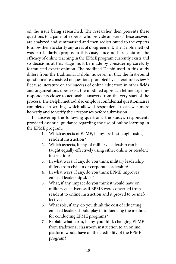on the issue being researched. The researcher then presents these questions to a panel of experts, who provide answers. These answers are analyzed and summarized and then redistributed to the experts to allow them to clarify any areas of disagreement. The Delphi method was particularly apropos in this case, since no hard data on the efficacy of online teaching in the EPME program currently exists and so decisions at this stage must be made by considering carefully formulated expert opinion. The modified Delphi used in this study differs from the traditional Delphi, however, in that the first-round questionnaire consisted of questions prompted by a literature review.<sup>[50](#page-89-0)</sup> Because literature on the success of online education in other fields and organizations does exist, the modified approach let me urge my respondents closer to actionable answers from the very start of the process. The Delphi method also employs confidential questionnaires completed in writing, which allowed respondents to answer more honestly and to verify their responses before submission.

In answering the following questions, the study's respondents provided essential guidance regarding the use of online learning in the EPME program.

- 1. Which aspects of EPME, if any, are best taught using resident instruction?
- 2. Which aspects, if any, of military leadership can be taught equally effectively using either online or resident instruction?
- 3. In what ways, if any, do you think military leadership differs from civilian or corporate leadership?
- 4. In what ways, if any, do you think EPME improves enlisted leadership skills?
- 5. What, if any, impact do you think it would have on military effectiveness if EPME were converted from resident to online instruction and it proved to be ineffective?
- 6. What role, if any, do you think the cost of educating enlisted leaders should play in influencing the method for conducting EPME programs?
- 7. Explain what harm, if any, you think changing EPME from traditional classroom instruction to an online platform would have on the credibility of the EPME program?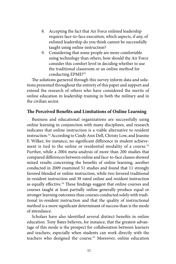- 8. Accepting the fact that Air Force enlisted leadership requires face-to-face execution, which aspects, if any, of enlisted leadership do you think cannot be successfully taught using online instruction?
- 9. Considering that some people are more comfortable using technology than others, how should the Air Force consider this comfort level in deciding whether to use the traditional classroom or an online method for conducting EPME?<sup>51</sup>

The solutions garnered through this survey inform data and solutions presented throughout the entirety of this paper and support and extend the research of others who have considered the merits of online education in leadership training in both the military and in the civilian sector.

# **The Perceived Benefits and Limitations of Online Learning**

Business and educational organizations are successfully using online learning in conjunction with many disciplines, and research indicates that online instruction is a viable alternative to resident instruction.[52](#page-89-0) According to Cindy Ann Dell, Christy Low, and Jeanine F. Wilker, for instance, no significant difference in student achieve-ment is tied to the online or residential modality of a course.<sup>[53](#page-89-0)</sup> Further, while a 2004 meta-analysis of more than 200 studies that compared differences between online and face-to-face classes showed mixed results concerning the benefits of online learning, another conducted in 2009 examined 51 studies and found that 11 strongly favored blended or online instruction, while two favored traditional in-resident instruction and 38 rated online and resident instruction as equally effective.<sup>54</sup> These findings suggest that online courses and courses taught at least partially online generally produce equal or stronger learning outcomes than courses conducted solely with traditional in-resident instruction and that the quality of instructional method is a more significant determinant of success than is the mode of attendance.

Scholars have also identified several distinct benefits in online education. Tony Bates believes, for instance, that the greatest advantage of this mode is the prospect for collaboration between learners and teachers, especially when students can work directly with the teachers who designed the course.<sup>55</sup> Moreover, online education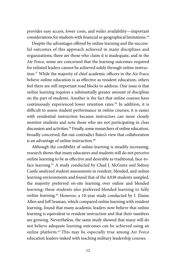provides easy access, lower costs, and wider availability—important considerations for students with financial or geographical limitations.<sup>56</sup>

Despite the advantages offered by online learning and the successful outcomes of this approach achieved in many disciplines and organizations, there are those who claim it is inadequate, and in the Air Force, some are concerned that the learning outcomes required for enlisted leaders cannot be achieved solely through online instruction[.57](#page-89-0) While the majority of chief academic officers in the Air Force believe online education is as effective as resident education, others feel there are still important road blocks to address. One issue is that online learning requires a substantially greater amount of discipline on the part of students. Another is the fact that online courses have continuously experienced lower retention rates.[58](#page-89-0) In addition, it is difficult to assess student performance in online courses; it is easier with residential instruction because instructors can more closely monitor students and note those who are not participating in class discussion and activities.<sup>[59](#page-89-0)</sup> Finally, some researchers of online education, broadly conceived, flat-out contradict Bates's view that collaboration is an advantage of online instruction.<sup>60</sup>

Although the credibility of online learning is steadily increasing, research shows that many educators and students still do not perceive online learning to be as effective and desirable as traditional, face-toface learning.<sup>61</sup> A study conducted by Chad J. McGuire and Sidney Castle analyzed student assessments in resident, blended, and online learning environments and found that of the 4,038 students sampled, the majority preferred on-site learning over online and blended learning; these students also preferred blended learning to fully online learning.<sup>62</sup> However, a 10-year study conducted by I. Elaine Allen and Jeff Seaman, which compared online learning with resident learning, found that many academic leaders now believe that online learning is equivalent to resident instruction and that their numbers are growing. Nevertheless, the same study showed that many still do not believe adequate learning outcomes can be achieved using an online platform.[63 T](#page-89-0)his may be especially true among Air Force education leaders tasked with teaching military leadership courses.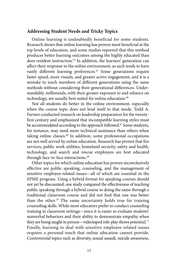### **Addressing Student Needs and Tricky Topics**

Online learning is undoubtedly beneficial for some students. Research shows that online learning has proven most beneficial at the top levels of education, and some studies reported that this method produces better learning outcomes among the highly educated than does resident instruction.<sup>[64](#page-89-0)</sup> In addition, the learners' generation can affect their response to the online environment, as each tends to have vastly different learning preferences.<sup>65</sup> Some generations require faster speed, more visuals, and greater active engagement, and it is a mistake to teach members of different generations using the same methods without considering their generational differences. Understandably, millennials, with their greater exposure to and reliance on technology, are usually best suited for online education.<sup>66</sup>

Not all students do better in the online environment, especially when the course topic does not lend itself to that mode. Todd A. Farmer conducted research on leadership preparation for the twentyfirst century and emphasized that incompatible learning styles must be accommodated according to the approach followed.<sup>67</sup> Some students, for instance, may need more technical assistance than others when taking online classes.<sup>68</sup> In addition, some professional occupations are not well served by online education. Research has proven that fire services, public work utilities, homeland security, safety and health, technology, and search and rescue employees are best educated through face-to-face interactions.<sup>[69](#page-89-0)</sup>

Other topics for which online education has proven inconclusively effective are public speaking, counseling, and the management of sensitive employee-related issues—all of which are essential in the EPME program. Using a hybrid format for speaking courses should not yet be discounted; one study compared the effectiveness of teaching public speaking through a hybrid course to doing the same through a traditional classroom course and did not find that one was better than the other.<sup>[70](#page-89-0)</sup> The same uncertainty holds true for training counseling skills. While most educators prefer to conduct counseling training in classroom settings—since it is easier to evaluate students' nonverbal behaviors and their ability to demonstrate empathy when they are being taught in person—videotaped role-play shows potential.<sup>[71](#page-89-0)</sup> Finally, learning to deal with sensitive employee-related issues requires a personal touch that online education cannot provide. Controversial topics such as diversity, sexual assault, suicide awareness,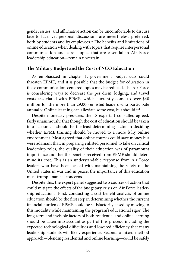gender issues, and affirmative action can be uncomfortable to discuss face-to-face, yet personal discussions are nevertheless preferred, both by students and by employees.<sup>72</sup> The benefits and limitations of online education when dealing with topics that require interpersonal communication and care—topics that are essential in Air Force leadership education—remain uncertain.

# **The Military Budget and the Cost of NCO Education**

As emphasized in chapter 1, government budget cuts could threaten EPME, and it is possible that the budget for education in these communication-centered topics may be reduced. The Air Force is considering ways to decrease the per diem, lodging, and travel costs associated with EPME, which currently come to over \$40 million for the more than 29,000 enlisted leaders who participate annually. Online learning can alleviate some cost, but should it?

Despite monetary pressures, the 18 experts I consulted agreed, fairly unanimously, that though the cost of education should be taken into account, it should be the least determining factor in deciding whether EPME training should be moved to a more fully online environment. Most agreed that online courses could save money but were adamant that, in preparing enlisted personnel to take on critical leadership roles, the quality of their education was of paramount importance and that the benefits received from EPME should determine its cost. This is an understandable response from Air Force leaders who have been tasked with maintaining the safety of the United States in war and in peace; the importance of this education must trump financial concerns.

Despite this, the expert panel suggested two courses of action that could mitigate the effects of the budgetary crisis on Air Force leadership education. First, conducting a cost-benefit analysis of online education should be the first step in determining whether the current financial burden of EPME could be satisfactorily eased by moving to this modality while maintaining the program's educational rigor. The long-term and invisible factors of both residential and online learning should be taken into account as part of this process, including the expected technological difficulties and lowered efficiency that many leadership students will likely experience. Second, a mixed-method approach—blending residential and online learning—could be safely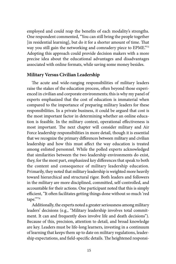employed and could reap the benefits of each modality's strengths. One respondent commented, "You can still bring the people together [in residential learning], but do it for a shorter amount of time. That way you still gain the networking and comradery piece to EPME."[73](#page-89-0) Adopting this approach could provide decision makers with a more precise idea about the educational advantages and disadvantages associated with online formats, while saving some money besides.

#### **Military Versus Civilian Leadership**

The acute and wide-ranging responsibilities of military leaders raise the stakes of the education process, often beyond those experienced in civilian and corporate environments; this is why my panel of experts emphasized that the cost of education is immaterial when compared to the importance of preparing military leaders for these responsibilities. In a private business, it could be argued that cost is the most important factor in determining whether an online education is feasible. In the military context, operational effectiveness is most important. The next chapter will consider military and Air Force leadership responsibilities in more detail, though it is essential that we recognize the primary differences between military and civilian leadership and how this must affect the way education is treated among enlisted personnel. While the polled experts acknowledged that similarities between the two leadership environments do exist, they, for the most part, emphasized key differences that speak to both the content and consequence of military leadership education. Primarily, they noted that military leadership is weighted more heavily toward hierarchical and structural rigor. Both leaders and followers in the military are more disciplined, committed, self-controlled, and accountable for their actions. One participant noted that this is simply efficient, "It often facilitates getting things done without so much 'red tape.'"[74](#page-89-0) 

Additionally, the experts noted a greater seriousness among military leaders' decisions (e.g., "Military leadership involves total commitment. It can and frequently does involve life and death decisions"). Because of this, precision, attention to detail, and broad knowledge are key. Leaders must be life-long learners, investing in a continuum of learning that keeps them up to date on military regulations, leadership expectations, and field-specific details. The heightened responsi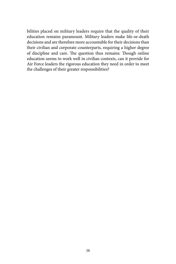bilities placed on military leaders require that the quality of their education remains paramount. Military leaders make life-or-death decisions and are therefore more accountable for their decisions than their civilian and corporate counterparts, requiring a higher degree of discipline and care. The question thus remains: Though online education seems to work well in civilian contexts, can it provide for Air Force leaders the rigorous education they need in order to meet the challenges of their greater responsibilities?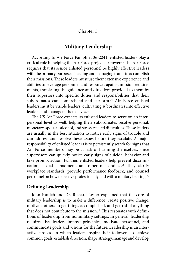# Chapter 3

# **Military Leadership**

According to Air Force Pamphlet 36-2241, enlisted leaders play a critical role in helping the Air Force project airpower.[75](#page-89-0) The Air Force requires that its senior enlisted personnel be highly effective leaders with the primary purpose of leading and managing teams to accomplish their missions. These leaders must use their extensive experience and abilities to leverage personnel and resources against mission requirements, translating the guidance and directives provided to them by their superiors into specific duties and responsibilities that their subordinates can comprehend and perform.<sup>76</sup> Air Force enlisted leaders must be visible leaders, cultivating subordinates into effective leaders and managers themselves.<sup>77</sup>

The US Air Force expects its enlisted leaders to serve on an interpersonal level as well, helping their subordinates resolve personal, monetary, spousal, alcohol, and stress-related difficulties. These leaders are usually in the best situation to notice early signs of trouble and can address and resolve these issues before they escalate. A major responsibility of enlisted leaders is to persistently watch for signs that Air Force members may be at risk of harming themselves, since supervisors can quickly notice early signs of suicidal behavior and take prompt action. Further, enlisted leaders help prevent discrimination, sexual harassment, and other misconduct.<sup>78</sup> They clarify workplace standards, provide performance feedback, and counsel personnel on how to behave professionally and with a military bearing.[79](#page-89-0)

# **Defining Leadership**

John Kunich and Dr. Richard Lester explained that the core of military leadership is to make a difference, create positive change, motivate others to get things accomplished, and get rid of anything that does not contribute to the mission.<sup>80</sup> This resonates with definitions of leadership from nonmilitary settings. In general, leadership requires that leaders impose principles, motivate personnel, and communicate goals and visions for the future. Leadership is an interactive process in which leaders inspire their followers to achieve common goals, establish direction, shape strategy, manage and develop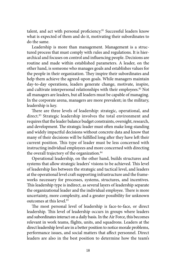talent, and act with personal proficiency.<sup>[81](#page-89-0)</sup> Successful leaders know what is expected of them and do it, motivating their subordinates to do the same.

Leadership is more than management. Management is a structured process that must comply with rules and regulations. It is hierarchical and focuses on control and influencing people. Decisions are routine and made within established parameters. A leader, on the other hand, is someone who manages goals and establishes values for the people in their organization. They inspire their subordinates and help them achieve the agreed-upon goals. While managers maintain day-to-day operations, leaders generate change, motivate, inspire, and cultivate interpersonal relationships with their employees.<sup>82</sup> Not all managers are leaders, but all leaders must be capable of managing. In the corporate arena, managers are more prevalent; in the military, leadership is key.

There are three levels of leadership: strategic, operational, and direct.<sup>83</sup> Strategic leadership involves the total environment and requires that the leader balance budget constraints, oversight, research, and development. The strategic leader must often make long-standing and widely impactful decisions without concrete data and know that many of their decisions will be fulfilled long after they have left their current position. This type of leader must be less concerned with instructing individual employees and more concerned with directing the overall trajectory of the organization.<sup>84</sup>

Operational leadership, on the other hand, builds structures and systems that allow strategic leaders' visions to be achieved. This level of leadership lies between the strategic and tactical level, and leaders at the operational level craft supporting infrastructure and the frameworks necessary for processes, systems, structures, and incentives. This leadership type is indirect, as several layers of leadership separate the organizational leader and the individual employee. There is more uncertainty, more complexity, and a greater possibility for unknown outcomes at this level.<sup>85</sup>

The most personal level of leadership is face-to-face, or direct leadership. This level of leadership occurs in groups where leaders and subordinates interact on a daily basis. In the Air Force, this becomes relevant in work teams, flights, units, and squadrons. Leaders at the direct leadership level are in a better position to notice morale problems, performance issues, and social matters that affect personnel. Direct leaders are also in the best position to determine how the team's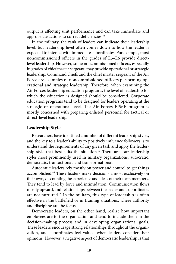output is affecting unit performance and can take immediate and appropriate actions to correct deficiencies.<sup>86</sup>

In the military, the rank of leaders can indicate their leadership level, but leadership level often comes down to how the leader is expected to interact with immediate subordinates. For example, most noncommissioned officers in the grades of E5–E6 provide directlevel leadership. However, some noncommissioned officers, especially in grades of chief master sergeant, may provide operational or strategic leadership. Command chiefs and the chief master sergeant of the Air Force are examples of noncommissioned officers performing operational and strategic leadership. Therefore, when examining the Air Force's leadership education programs, the level of leadership for which the education is designed should be considered. Corporate education programs tend to be designed for leaders operating at the strategic or operational level. The Air Force's EPME program is mostly concerned with preparing enlisted personnel for tactical or direct-level leadership.

# **Leadership Style**

Researchers have identified a number of different leadership styles, and the key to a leader's ability to positively influence followers is to understand the requirements of any given task and apply the leadership style that best suits the situation.<sup>87</sup> There are four leadership styles most prominently used in military organizations: autocratic, democratic, transactional, and transformational.

Autocratic leaders rely mostly on power and control to get things accomplished.[88](#page-90-0) These leaders make decisions almost exclusively on their own, discounting the experience and ideas of their team members. They tend to lead by force and intimidation. Communication flows mostly upward, and relationships between the leader and subordinates are not nurtured.<sup>89</sup> In the military, this type of leadership is often effective in the battlefield or in training situations, where authority and discipline are the focus.

Democratic leaders, on the other hand, realize how important employees are to the organization and tend to include them in the decision-making process and in developing organizational goals. These leaders encourage strong relationships throughout the organization, and subordinates feel valued when leaders consider their opinions. However, a negative aspect of democratic leadership is that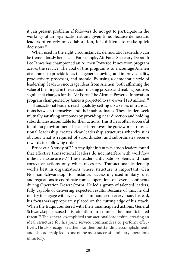it can present problems if followers do not get to participate in the workings of an organization at any given time. Because democratic leaders often rely on collaboration, it is difficult to make quick decisions.<sup>90</sup>

When used in the right circumstances, democratic leadership can be tremendously beneficial. For example, Air Force Secretary Deborah Lee James has championed an Airmen Powered Innovation program across the service. The goal of this program is to encourage Airmen of all ranks to provide ideas that generate savings and improve quality, productivity, processes, and morale. By using a democratic style of leadership, leaders encourage ideas from Airmen, both affirming the value of their input in the decision-making process and making positive, significant changes for the Air Force. The Airmen Powered Innovation program championed by James is projected to save over \$120 million.<sup>[91](#page-90-0)</sup>

Transactional leaders reach goals by setting up a series of transactions between themselves and their subordinates. These leaders seek mutually satisfying outcomes by providing clear direction and holding subordinates accountable for their actions. This style is often successful in military environments because it removes the guesswork. Transactional leadership creates clear leadership structures whereby it is obvious what is required of subordinates, and subordinates receive rewards for following orders.

Bruce et al.'s study of 72 Army light infantry platoon leaders found that effective transactional leaders do not interfere with workflow unless an issue arises.<sup>92</sup> These leaders anticipate problems and issue corrective actions only when necessary. Transactional leadership works best in organizations where structure is important. Gen Norman Schwarzkopf, for instance, successfully used military rules and regulations to coordinate combat operations on several continents during Operation Desert Storm. He led a group of talented leaders, fully capable of delivering expected results. Because of this, he did not try to engage with every unit commander on every issue. Instead, his focus was appropriately placed on the cutting edge of his attack. When the Iraqis countered with their unanticipated actions, General Schwarzkopf focused his attention to counter the unanticipated threat.<sup>93</sup> The general exemplified transactional leadership, creating an ideal structure for his joint service commanders to perform effectively. He also recognized them for their outstanding accomplishments and his leadership led to one of the most successful military operations in history.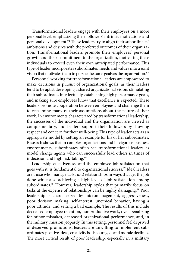Transformational leaders engage with their employees on a more personal level, emphasizing their followers' intrinsic motivations and personal development.<sup>94</sup> These leaders try to align their subordinates' ambitions and desires with the preferred outcomes of their organization. Transformational leaders promote their employees' personal growth and their commitment to the organization, motivating these individuals to exceed even their own anticipated performance. This type of leader incorporates subordinates' needs and values into a joint vision that motivates them to pursue the same goals as the organization.<sup>[95](#page-90-0)</sup>

Personnel working for transformational leaders are empowered to make decisions in pursuit of organizational goals, as their leaders tend to be apt at developing a shared organizational vision, stimulating their subordinates intellectually, establishing high performance goals, and making sure employees know that excellence is expected. These leaders promote cooperation between employees and challenge them to reexamine many of their assumptions about the nature of their work. In environments characterized by transformational leadership, the successes of the individual and the organization are viewed as complementary, and leaders support their followers by showing respect and concern for their well-being. This type of leader acts as an appropriate model by setting an example for his or her subordinates. Research shows that in complex organizations and in vigorous business environments, subordinates often see transformational leaders as model change agents who can successfully lead others in times of indecision and high risk-taking.<sup>96</sup>

Leadership effectiveness, and the employee job satisfaction that goes with it, is fundamental to organizational success.[97](#page-90-0) Ideal leaders are those who manage tasks *and* relationships in ways that get the job done while also achieving a high level of job satisfaction among subordinates.<sup>98</sup> However, leadership styles that primarily focus on tasks at the expense of relationships can be highly damaging.<sup>99</sup> Poor leadership is characterized by micromanagement, aggressiveness, poor decision making, self-interest, unethical behavior, having a poor attitude, and setting a bad example. The results of this include decreased employee retention, nonproductive work, over-penalizing for minor mistakes, decreased organizational performance, and, in the military, mission jeopardy. In this setting, personnel feel deprived of deserved promotions, leaders are unwilling to implement subordinates' positive ideas, creativity is discouraged, and morale declines. The most critical result of poor leadership, especially in a military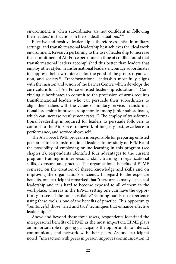environment, is when subordinates are not confident in following their leaders' instructions in life-or-death situations.<sup>100</sup>

Effective and positive leadership is therefore essential in military settings, and transformational leadership best achieves the ideal work environment. Research pertaining to the use of leadership to increase the commitment of Air Force personnel in time of conflict found that transformational leaders accomplished this better than leaders that employ other styles. Transformational leaders encourage subordinates to suppress their own interests for the good of the group, organization, and society.<sup>101</sup> Transformational leadership most fully aligns with the mission and vision of the Barnes Center, which develops the curriculum for all Air Force enlisted leadership education[.102](#page-90-0) Convincing subordinates to commit to the profession of arms requires transformational leaders who can persuade their subordinates to align their values with the values of military service. Transformational leadership improves troop morale among junior subordinates, which can increase reenlistment rates.<sup>103</sup> The employ of transformational leadership is required for leaders to persuade followers to commit to the Air Force framework of integrity first, excellence in performance, and service above self.

The Air Force EPME program is responsible for preparing enlisted personnel to be transformational leaders. In my study on EPME and the possibility of employing online learning in this program (see chapter 2), respondents identified four advantages to the current program: training in interpersonal skills, training in organizational skills, exposure, and practice. The organizational benefits of EPME centered on the creation of shared knowledge and skills and on improving the organization's efficiency. In regard to the exposure benefits, one participant remarked that "there are so many aspects of leadership and it is hard to become exposed to all of them in the workplace, whereas in the EPME setting one can have the opportunity to see all the tools available." Gaining hands-on experience using these tools is one of the benefits of practice. This opportunity "reinforce[s] those 'tried and true' techniques that enhance effective leadership.["104](#page-90-0) 

Above and beyond these three assets, respondents identified the interpersonal benefits of EPME as the most important. EPME plays an important role in giving participants the opportunity to interact, communicate, and network with their peers. As one participant noted, "interaction with peers in person improves communication. It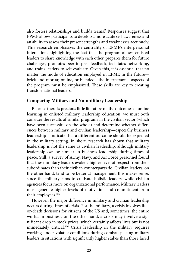also fosters relationships and builds teams." Responses suggest that EPME allows participants to develop a more acute self-awareness and an ability to assess their present strengths and weaknesses accurately. This research emphasizes the centrality of EPME's interpersonal interaction, highlighting the fact that the program allows enlisted leaders to share knowledge with each other, prepares them for future challenges, promotes peer-to-peer feedback, facilitates networking, and trains leaders to self-evaluate. Given this, it is essential that no matter the mode of education employed in EPME in the future brick-and-mortar, online, or blended—the interpersonal aspects of the program must be emphasized. These skills are key to creating transformational leaders.

# **Comparing Military and Nonmilitary Leadership**

Because there is precious little literature on the outcomes of online learning in enlisted military leadership education, we must both consider the results of similar programs in the civilian sector (which have been successful on the whole) and determine whether differences between military and civilian leadership—especially business leadership—indicate that a different outcome should be expected in the military setting. In short, research has shown that military leadership is not the same as civilian leadership, although military leadership *can* be similar to business leadership during times of peace. Still, a survey of Army, Navy, and Air Force personnel found that these military leaders evoke a higher level of respect from their subordinates than their civilian counterparts do. Civilian leaders, on the other hand, tend to be better at management; this makes sense, since the military aims to cultivate holistic leaders, while civilian agencies focus more on organizational performance. Military leaders must generate higher levels of motivation and commitment from their employees.<sup>105</sup>

However, the major difference in military and civilian leadership occurs during times of crisis. For the military, a crisis involves lifeor-death decisions for citizens of the US and, sometimes, the entire world. In business, on the other hand, a crisis may involve a significant drop in stock prices, which certainly affects lives but is not immediately critical[.106](#page-90-0) Crisis leadership in the military requires working under volatile conditions during combat, placing military leaders in situations with significantly higher stakes than those faced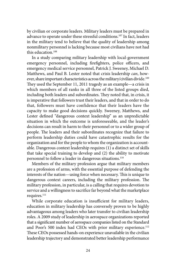by civilian or corporate leaders. Military leaders must be prepared in advance to operate under these stressful conditions.[107](#page-90-0) In fact, leaders in the military tend to believe that the quality of leadership among nonmilitary personnel is lacking because most civilians have not had this education.[108](#page-90-0) 

In a study comparing military leadership with local-government emergency personnel, including firefighters, police officers, and emergency medical service personnel, Patrick J. Sweeney, Michael D. Matthews, and Paul B. Lester noted that crisis leadership *can*, how-ever, share important characteristics across the military/civilian divide.<sup>[109](#page-90-0)</sup> They used the September 11, 2011 tragedy as an example—a crisis in which members of all ranks in all three of the listed groups died, including both leaders and subordinates. They noted that, in crisis, it is imperative that followers trust their leaders, and that in order to do that, followers must have confidence that their leaders have the capacity to make good decisions quickly. Sweeney, Matthews, and Lester defined "dangerous context leadership" as an unpredictable situation in which the outcome is unforeseeable, and the leader's decisions can result in harm to their personnel or to a wider group of people. The leaders and their subordinates recognize that failure to perform leadership duties could have catastrophic results for the organization and for the people to whom the organization is accountable. Dangerous context leadership requires (1) a distinct set of skills that take special training to develop and (2) the ability to motivate personnel to follow a leader in dangerous situations.<sup>110</sup>

Members of the military profession argue that military members are a profession of arms, with the essential purpose of defending the interests of the nation—using force when necessary. This is unique to dangerous context careers, including the military profession. The military profession, in particular, is a calling that requires devotion to service and a willingness to sacrifice far beyond what the marketplace requires.<sup>111</sup>

While corporate education is insufficient for military leaders, education in military leadership has conversely proven to be highly advantageous among leaders who later transfer to civilian leadership roles. A 2009 study of leadership in aerospace organizations reported that a significant number of aerospace companies listed on the Standard and Poor's 500 index had CEOs with prior military experience.<sup>[112](#page-91-0)</sup> These CEOs possessed hands-on experience unavailable in the civilian leadership trajectory and demonstrated better leadership performance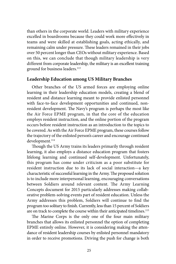than others in the corporate world. Leaders with military experience excelled in boardrooms because they could work more effectively in teams and were skilled at establishing goals, acting ethically, and remaining calm under pressure. These leaders remained in their jobs over 50 percent longer than CEOs without military experience. Based on this, we can conclude that though military leadership is very different from corporate leadership, the military is an excellent training ground for business leaders.<sup>[113](#page-91-0)</sup>

# **Leadership Education among US Military Branches**

Other branches of the US armed forces are employing online learning in their leadership education models, creating a blend of resident and distance learning meant to provide enlisted personnel with face-to-face development opportunities and continued, nonresident development. The Navy's program is perhaps the most like the Air Force EPME program, in that the core of the education employs resident instruction, and the online portion of the program occurs before resident instruction as an introduction to the topics to be covered. As with the Air Force EPME program, these courses follow the trajectory of the enlisted person's career and encourage continued development.<sup>114</sup>

Though the US Army trains its leaders primarily through resident learning, it also employs a distance education program that fosters lifelong learning and continued self-development. Unfortunately, this program has come under criticism as a poor substitute for resident instruction due to its lack of social interaction—a key characteristic of successful learning in the Army. The proposed solution is to include more interpersonal learning, encouraging conversations between Soldiers around relevant content. The Army Learning Concepts document for 2015 particularly addresses making collaborative problem-solving events part of resident education. Unless the Army addresses this problem, Soldiers will continue to find the program too solitary to finish. Currently, less than 15 percent of Soldiers are on track to complete the course within their anticipated timelines.<sup>115</sup>

The Marine Corps is the only one of the four main military branches that allows its enlisted personnel the option of completing EPME entirely online. However, it is considering making the attendance of resident leadership courses by enlisted personnel mandatory in order to receive promotions. Driving the push for change is both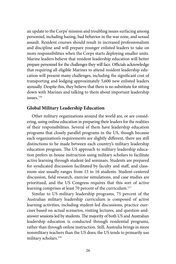an update to the Corps' mission and troubling issues surfacing among personnel, including hazing, bad behavior in the war zone, and sexual assault. Resident courses should result in increased professionalism and discipline and will prepare younger enlisted leaders to take on more responsibilities when the Corps starts deploying smaller units. Marine leaders believe that resident leadership education will better prepare personnel for the challenges they will face. Officials acknowledge that requiring all eligible Marines to attend resident leadership education will present many challenges, including the significant cost of transporting and lodging approximately 5,600 new enlisted leaders annually. Despite this, they believe that there is no substitute for sitting down with Marines and talking to them about important leadership  $i$ ssues<sup> $116$ </sup>

# **Global Military Leadership Education**

Other military organizations around the world are, or are considering, using online education in preparing their leaders for the realities of their responsibilities. Several of them have leadership education programs that closely parallel programs in the US, though because each organization's requirements are slightly different, there are still distinctions to be made between each country's military leadership education program. The US approach to military leadership education prefers in-house instruction using military scholars to facilitate active learning through student-led seminars. Students are prepared for syndicated discussion facilitated by faculty and staff, and classroom size usually ranges from 13 to 16 students. Student-centered discussion, field research, exercise simulations, and case studies are prioritized, and the US Congress requires that this sort of active learning comprises at least 70 percent of the curriculum.<sup>117</sup>

Similar to US military leadership programs, 75 percent of the Australian military leadership curriculum is composed of active learning activities, including student-led discussions, practice exercises based on actual scenarios, visiting lectures, and question-andanswer sessions led by students. The majority of both US and Australian leadership education is conducted through residential programs, rather than through online instruction. Still, Australia brings in more nonmilitary teachers than the US does; the US tends to primarily use military scholars.<sup>[118](#page-91-0)</sup>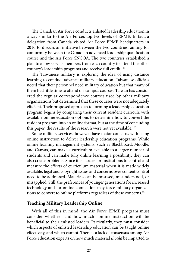The Canadian Air Force conducts enlisted leadership education in a way similar to the Air Force's top two levels of EPME. In fact, a delegation from Canada visited Air Force EPME headquarters in 2010 to discuss an initiative between the two countries, aiming for conformity between the Canadian advanced leadership qualification course and the Air Force SNCOA. The two countries established a plan to allow service members from each country to attend the other country's leadership programs and receive full credit.<sup>119</sup>

The Taiwanese military is exploring the idea of using distance learning to conduct advance military education. Taiwanese officials noted that their personnel need military education but that many of them had little time to attend on-campus courses. Taiwan has considered the regular correspondence courses used by other military organizations but determined that these courses were not adequately efficient. Their proposed approach to forming a leadership education program begins by comparing their current resident curricula with available online education options to determine how to convert the resident program into an online format, but at the time of concluding this paper, the results of the research were not yet available.<sup>120</sup>

Some military services, however, have major concerns with using online instruction to deliver leadership education programs. While online learning management systems, such as Blackboard, Moodle, and Canvas, can make a curriculum available to a larger number of students and can make fully online learning a possibility, they can also create problems. Since it is harder for institutions to control and measure the effects of curriculum material when it is made widely available, legal and copyright issues and concerns over content control need to be addressed. Materials can be misused, misunderstood, or misapplied. Still, the preferences of younger generations for increased technology and for online connection may force military organizations to convert to online platforms regardless of these concerns.<sup>121</sup>

# **Teaching Military Leadership Online**

With all of this in mind, the Air Force EPME program must consider whether—and how much—online instruction will be beneficial to their enlisted leaders. Particularly, they must consider which aspects of enlisted leadership education can be taught online effectively, and which cannot. There is a lack of consensus among Air Force education experts on how much material *should* be imparted to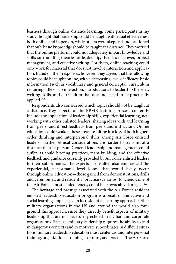learners through online distance learning. Some participants in my study thought that leadership could be taught with equal effectiveness both online and in person, while others were skeptical and cautioned that only basic knowledge should be taught at a distance. They worried that the online platform could not adequately impart knowledge and skills surrounding theories of leadership, theories of power, project management, and effective writing. For them, online teaching could only work for material that does not involve interaction and application. Based on their responses, however, they agreed that the following topics could be taught online, with a decreasing level of efficacy: basic information (such as vocabulary and general concepts), curriculum requiring little or no interaction, introductions to leadership theories, writing skills, and curriculum that does not need to be practically applied.[122](#page-91-0) 

Respondents also considered which topics should *not* be taught at a distance. Key aspects of the EPME training process currently include the application of leadership skills, experiential learning, networking with other enlisted leaders, sharing ideas with and learning from peers, and direct feedback from peers and instructors. Online education could weaken these areas, resulting in a loss of both higherorder thinking and interpersonal skills among Air Force enlisted leaders. Further, ethical considerations are harder to transmit at a distance than in person. General leadership and management could suffer, as could briefing practices, team building, and the effective feedback and guidance currently provided by Air Force enlisted leaders to their subordinates. The experts I consulted also emphasized the experiential, performance-level losses that would likely occur through online education—those gained from demonstrations, drills and ceremonies, and residential practice scenarios. Efficiency, one of the Air Force's most lauded tenets, could be irrevocably damaged.<sup>123</sup>

The heritage and prestige associated with the Air Force's resident enlisted leadership education program is a result of the active and social learning emphasized in its residential learning approach. Other military organizations in the US and around the world also foreground this approach, since they directly benefit aspects of military leadership that are not necessarily echoed in civilian and corporate organizations. Because military leadership requires the ability to lead in dangerous contexts and to motivate subordinates in difficult situations, military leadership education must center around interpersonal training, organizational training, exposure, and practice. The Air Force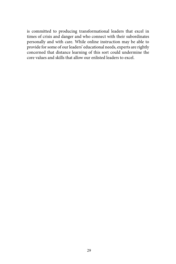is committed to producing transformational leaders that excel in times of crisis and danger and who connect with their subordinates personally and with care. While online instruction may be able to provide for some of our leaders' educational needs, experts are rightly concerned that distance learning of this sort could undermine the core values and skills that allow our enlisted leaders to excel.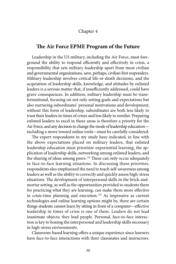## Chapter 4

# **The Air Force EPME Program of the Future**

Leadership in the US military, including the Air Force, must foreground the ability to respond efficiently and effectively in crisis, a responsibility that sets military leadership apart from most civilian and governmental organizations, save, perhaps, civilian first responders. Military leadership involves critical life-or-death decisions, and the acquisition of leadership skills, knowledge, and attitudes by enlisted leaders is a serious matter that, if insufficiently addressed, could have grave consequences. In addition, military leadership must be transformational, focusing on not only setting goals and expectations but also nurturing subordinates' personal motivations and development; without this form of leadership, subordinates are both less likely to trust their leaders in times of crises and less likely to reenlist. Preparing enlisted leaders to excel in these areas is therefore a priority for the Air Force, and any decision to change the mode of leadership education including a move toward online tools—must be carefully considered.

The expert respondents in my study have indicated, in line with the above expectations placed on military leaders, that enlisted leadership education must prioritize experiential learning, the application of leadership skills, networking among enlisted leaders, and the sharing of ideas among peers.<sup>124</sup> These can only occur adequately in face-to-face learning situations. In discussing these priorities, respondents also emphasized the need to teach self-awareness among leaders as well as the ability to correctly and quickly assess high-stress situations. The development of interpersonal skills in the brick-andmortar setting, as well as the opportunities provided to students there for practicing what they are learning, can make them more effective in crisis-time planning and execution[.125](#page-91-0) As impressive as current technologies and online learning options might be, there are certain things students cannot learn by sitting in front of a computer—effective leadership in times of crisis is one of them. Leaders do not lead inanimate objects; they lead people. Personal, face-to-face interaction is key to honing the interpersonal and leadership skills necessary in high-stress environments.

Classroom-based learning offers a unique experience since learners have face-to-face interactions with their classmates and instructors.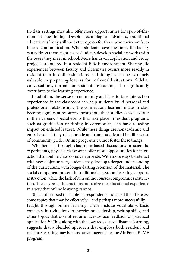In-class settings may also offer more opportunities for spur-of-themoment questioning. Despite technological advances, traditional education is likely still the better option for those who thrive on faceto-face communication. When students have questions, the faculty can address them right away. Students develop social networks with the peers they meet in school. More hands-on application and group projects are offered in a resident EPME environment. Sharing life experiences between faculty and classmates occurs more readily in resident than in online situations, and doing so can be extremely valuable in preparing leaders for real-world situations. Sidebar conversations, normal for resident instruction, also significantly contribute to the learning experience.

In addition, the sense of community and face-to-face interaction experienced in the classroom can help students build personal and professional relationships. The connections learners make in class become significant resources throughout their studies as well as later in their careers. Special events that take place in resident programs, such as graduation or dining-in ceremonies, can have a lasting impact on enlisted leaders. While these things are nonacademic and entirely social, they raise morale and camaraderie and instill a sense of community pride. Online programs cannot foster these things.

Whether it is through classroom-based discussions or scientific experiments, physical classrooms offer more opportunities for interaction than online classrooms can provide. With more ways to interact with new subject matter, students may develop a deeper understanding of the curriculum, with longer-lasting retention of the material. The social component present in traditional classroom learning supports instruction, while the lack of it in online courses compromises instruction. These types of interactions humanize the educational experience in a way that online learning cannot.

Still, as discussed in chapter 3, respondents indicated that there *are*  some topics that may be effectively—and perhaps more successfully taught through online learning; these include vocabulary, basic concepts, introductions to theories on leadership, writing skills, and other topics that do not require face-to-face feedback or practical application. [126](#page-91-0) This, along with the lowered costs of distance learning, suggests that a blended approach that employs both resident and distance learning may be most advantageous for the Air Force EPME program.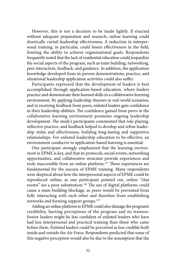However, this is not a decision to be made lightly. If enacted without adequate preparation and research, online learning could drastically curtail leadership effectiveness. A reduction in interpersonal training, in particular, could lessen effectiveness in the field, limiting the ability to achieve organizational goals. Respondents frequently noted that the lack of residential education could jeopardize the social aspects of the program, such as team building, networking, peer interaction, feedback, and guidance. In addition, the application knowledge developed from in-person demonstrations, practice, and situational leadership application activities could also suffer.

Participants expressed that the development of leaders is best accomplished through application-based education, where leaders practice and demonstrate their learned skills in a collaborative learning environment. By applying leadership theories in real-world scenarios, and in receiving feedback from peers, enlisted leaders gain confidence in their leadership abilities. The confidence gained from peers in the collaborative learning environment promotes ongoing leadership development. The study's participants commented that role-playing, reflective practice, and feedback helped to develop and refine leadership styles and effectiveness, building long-lasting and supportive relationships. For enlisted leadership education to be effective, an environment conducive to application-based learning is essential.

One participant strongly emphasized that the learning *environment* in EPME is key, and that its protocols, social events, networking opportunities, and collaborative structure provide experiences and tools inaccessible from an online platform.[127](#page-91-0) These experiences are fundamental for the success of EPME training. Many respondents were skeptical about how the interpersonal aspects of EPME could be reproduced online; as one participant pointed out, online "chat rooms" are a poor substitution.<sup>128</sup> The use of digital platforms could cause a team-building blockage*,* as peers would be prevented from fully interacting with each other and therefore from establishing networks and forming support groups.<sup>129</sup>

Adding an online platform to EPME could also damage the program's credibility, hurting perceptions of the program and its trainees. Senior leaders might be less confident of enlisted leaders who have had less interpersonal and practical training than those who came before them. Enlisted leaders could be perceived as less credible both inside and outside the Air Force. Respondents predicted that some of this negative perception would also be due to the assumption that the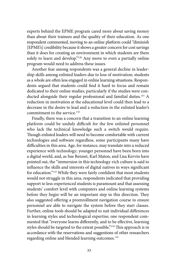experts behind the EPME program cared more about saving money than about their trainees and the quality of their education. As one respondent commented, moving to an online platform could "diminish [EPME's] credibility because it shows a greater concern for cost savings than it does for creating an environment in which students are there solely to learn and develop."<sup>130</sup> Any move to even a partially online program would need to address these issues.

Another fear among respondents was a general decline in leadership skills among enlisted leaders due to loss of motivation; students as a whole are often less engaged in online learning situations. Respondents argued that students could find it hard to focus and remain dedicated to their online studies, particularly if the studies were conducted alongside their regular professional and familial duties.<sup>131</sup> A reduction in motivation at the educational level could then lead to a decrease in the desire to lead and a reduction in the enlisted leader's commitment to the service.<sup>132</sup>

Finally, there was a concern that a transition to an online learning platform could be unduly difficult for the few enlisted personnel who lack the technical knowledge such a switch would require. Though enlisted leaders will need to become comfortable with current technologies and software regardless, some participants many have difficulties in this area. Age, for instance, may translate into a reduced experience with technology; younger personnel have been born into a digital world, and, as Sue Bennet, Karl Maton, and Lisa Kervin have pointed out, the "immersion in this technology-rich culture is said to influence the skills and interests of digital natives in ways significant for education."[133](#page-91-0) While they were fairly confident that most students would not struggle in this area, respondents indicated that providing support to less-experienced students is paramount and that assessing students' comfort level with computers and online learning systems before they begin will be an important step in this direction. They also suggested offering a preenrollment navigation course to ensure personnel are able to navigate the system before they start classes. Further, online tools should be adapted to suit individual differences in learning styles and technological expertise; one respondent commented that "everyone learns differently, and to be effective, learning styles should be targeted to the extent possible.["134](#page-91-0) This approach is in accordance with the reservations and suggestions of other researchers regarding online and blended learning outcomes.<sup>135</sup>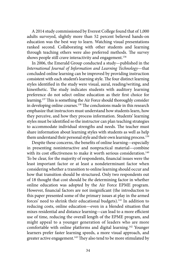shows people still crave interactivity and engagement.<sup>136</sup> A 2014 study commissioned by Everest College found that of 1,000 adults surveyed, slightly more than 52 percent believed hands-on education was the best way to learn. Watching visual presentations ranked second. Collaborating with other students and learning through teaching others were also preferred methods. The survey

In 2006, the Emerald Group conducted a study—published in the *International Journal of Information and Learning Technology*—that concluded online learning can be improved by providing instruction consistent with each student's learning style. The four distinct learning styles identified in the study were visual, aural, reading/writing, and kinesthetic. The study indicates students with auditory learning preference do not select online education as their first choice for learning[.137](#page-91-0) This is something the Air Force should thoroughly consider in developing online courses.<sup>138</sup> The conclusions made in this research emphasize that instructors must understand how students learn, how they perceive, and how they process information. Students' learning styles must be identified so the instructor can plan teaching strategies to accommodate individual strengths and needs. The teacher must share information about learning styles with students as well as help them understand their personal style and their own learning process.<sup>[139](#page-91-0)</sup>

Despite these concerns, the benefits of online learning—especially in presenting noninteractive and nonpractical material—combine with its cost effectiveness to make it worth serious consideration.<sup>[140](#page-91-0)</sup> To be clear, for the majority of respondents, financial issues were the least important factor or at least a nondeterminant factor when considering whether a transition to online learning should occur and how that transition should be structured. Only two respondents out of 18 thought that cost should be *the* determining factor in whether online education was adopted by the Air Force EPME program. However, financial factors are not insignificant (the introduction to this paper presented some of the primary issues at play in the armed forces' need to shrink their educational budgets).<sup>[141](#page-91-0)</sup> In addition to reducing costs, online education—even in a blended situation that mixes residential and distance learning—can lead to a more efficient use of time, reducing the overall length of the EPME program, and might appeal to a younger generation of leaders who are more comfortable with online platforms and digital learning[.142](#page-91-0) Younger learners prefer faster learning speeds, a more visual approach, and greater active engagement.<sup>[143](#page-91-0)</sup> They also tend to be more stimulated by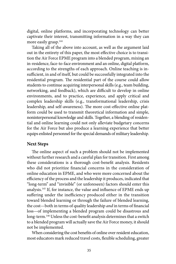digital, online platforms, and incorporating technology can better captivate their interest, transmitting information in a way they can more easily grasp.<sup>144</sup>

Taking all of the above into account, as well as the argument laid out in the entirety of this paper, the most effective choice is to transition the Air Force EPME program into a blended program, mixing an in-residence, face-to-face environment and an online, digital platform, according to the strengths of each approach. Online teaching is insufficient, in and of itself, but could be successfully integrated into the residential program. The residential part of the course could allow students to continue acquiring interpersonal skills (e.g., team building, networking, and feedback), which are difficult to develop in online environments, and to practice, experience, and apply critical and complex leadership skills (e.g., transformational leadership, crisis leadership, and self-awareness). The more cost-effective online platform could be used to transmit theoretical information and simple, noninterpersonal knowledge and skills. Together, a blending of residential and online learning could not only alleviate budgetary concerns for the Air Force but also produce a learning experience that better equips enlisted personnel for the special demands of military leadership.

#### **Next Steps**

The online aspect of such a problem should not be implemented without further research and a careful plan for transition. First among these considerations is a thorough cost-benefit analysis. Residents who did not prioritize financial concerns in the consideration of online education in EPME, and who were more concerned about the efficiency of the process and the leadership it produces, indicated that "long-term" and "invisible" (or unforeseen) factors should enter this analysis.[145](#page-91-0) If, for instance, the value and influence of EPME ends up suffering under the inefficiency produced either in the transition toward blended learning or through the failure of blended learning, the cost—both in terms of quality leadership *and* in terms of financial loss—of implementing a blended program could be disastrous and long-term.<sup>[146](#page-91-0)</sup> Unless the cost-benefit analysis determines that a switch to a blended program will actually save the Air Force money, it should not be implemented.

When considering the cost benefits of online over resident education, most educators mark reduced travel costs, flexible scheduling, greater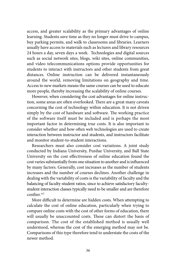access, and greater scalability as the primary advantages of online learning. Students save time as they no longer must drive to campus, buy parking permits, and walk to classrooms and libraries. Learners usually have access to materials such as lectures and library resources 24 hours a day, seven days a week. Technologies and digital sources such as social network sites, blogs, wiki sites, online communities, and video telecommunications options provide opportunities for students to interact with instructors and other students from great distances. Online instruction can be delivered instantaneously around the world, removing limitations on geography and time. Access to new markets means the same courses can be used to educate more people, thereby increasing the scalability of online courses.

However, when considering the cost advantages for online instruction, some areas are often overlooked. There are a great many caveats concerning the cost of technology within education. It is not driven simply by the cost of hardware and software. The working practice of the software itself must be included and is perhaps the most important factor in determining true costs. It is also important to consider whether and how often web technologies are used to create interaction between instructor and students, and instructors facilitate and monitor student-to-student interactions.

Researchers must also consider cost variations. A joint study conducted by Indiana University, Purdue University, and Ball State University on the cost effectiveness of online education found the cost varies substantially from one situation to another and is influenced by many factors. Generally, cost increases as the number of students increases and the number of courses declines. Another challenge in dealing with the variability of costs is the variability of faculty and the balancing of faculty-student ratios, since to achieve satisfactory facultystudent interaction classes typically need to be smaller and are therefore costlier<sup>[147](#page-91-0)</sup>

More difficult to determine are hidden costs. When attempting to calculate the cost of online education, particularly when trying to compare online costs with the cost of other forms of education, there will usually be unaccounted costs. These can distort the basis of comparison. The cost of the established method is usually well understood, whereas the cost of the emerging method may not be. Comparisons of this type therefore tend to understate the costs of the newer method.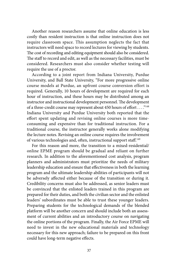Another reason researchers assume that online education is less costly than resident instruction is that online instruction does not require classroom space. This assumption neglects the fact that instructors will need space to record lectures for viewing by students. The cost of recording and editing equipment should also be considered. The staff to record and edit, as well as the necessary facilities, must be considered. Researchers must also consider whether testing will require the use of a proctor.

According to a joint report from Indiana University, Purdue University, and Ball State University, "For more progressive online course models at Purdue, an upfront course conversion effort is required. Generally, 10 hours of development are required for each hour of instruction, and these hours may be distributed among an instructor and instructional development personnel. The development of a three-credit course may represent about 450 hours of effort . . . . "[148](#page-91-0) Indiana University and Purdue University both reported that the effort spent updating and revising online courses is more timeconsuming and expensive than for traditional instruction. For a traditional course, the instructor generally works alone modifying the lecture notes. Revising an online course requires the involvement of various technologies and, often, instructional support staff[.149](#page-91-0) 

For this reason and more, the transition to a mixed-residential/ online EPME program should be gradual and reliant on further research. In addition to the aforementioned cost analysis, program planners and administrators must prioritize the needs of military leadership education and ensure that effectiveness in both the learning program and the ultimate leadership abilities of participants will not be adversely affected either because of the transition or during it. Credibility concerns must also be addressed, as senior leaders must be convinced that the enlisted leaders trained in this program are prepared for their duties, and both the civilian sector and the enlisted leaders' subordinates must be able to trust these younger leaders. Preparing students for the technological demands of the blended platform will be another concern and should include both an assessment of current abilities and an introductory course on navigating the online portions of the program. Finally, the Air Force EPME will need to invest in the new educational materials and technology necessary for this new approach; failure to be prepared on this front could have long-term negative effects.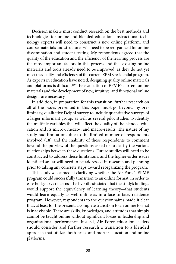Decision makers must conduct research on the best methods and technologies for online and blended education. Instructional technology experts will need to construct a new online platform, and course materials and structures will need to be reorganized for online dissemination and student testing. My respondents agreed that the quality of the education and the efficiency of the learning process are the most important factors in this process and that existing online materials and tools already need to be improved, as they do not yet meet the quality and efficiency of the current EPME residential program. As experts in education have noted, designing quality online materials and platforms is difficult.<sup>150</sup> The evaluation of EPME's current online materials and the development of new, intuitive, and functional online designs are necessary.

In addition, in preparation for this transition, further research on all of the issues presented in this paper must go beyond my preliminary, qualitative Delphi survey to include quantitative surveys of a larger informant group, as well as several pilot studies to identify the multiple variables that will affect the quality of the blended education and its micro-, mezzo-, and macro-results. The nature of my study had limitations due to the limited number of respondents involved (18) and the inability of these respondents to comment beyond the purview of the questions asked or to clarify the various relationships between these questions. Future studies will need to be constructed to address these limitations, and the higher-order issues identified so far will need to be addressed in research and planning prior to taking any concrete steps toward reorganizing the program.

This study was aimed at clarifying whether the Air Force's EPME program could successfully transition to an online format, in order to ease budgetary concerns. The hypothesis stated that the study's findings would support the equivalency of learning theory—that students would learn equally as well online as in a face-to-face, residence program. However, respondents to the questionnaires made it clear that, at least for the present, a complete transition to an online format is inadvisable. There are skills, knowledges, and attitudes that simply cannot be taught online without significant losses in leadership and organizational performance. Instead, Air Force education leaders should consider and further research a transition to a blended approach that utilizes both brick-and-mortar education and online platforms.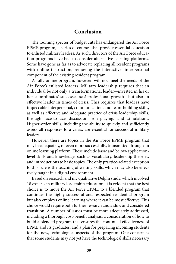# **Conclusion**

The looming specter of budget cuts has endangered the Air Force EPME program, a series of courses that provide essential education to enlisted military leaders. As such, directors of the Air Force education programs have had to consider alternative learning platforms. Some have gone as far as to advocate replacing all resident programs with online instruction, removing the interactive, interpersonal component of the existing resident program.

A fully online program, however, will not meet the needs of the Air Force's enlisted leaders. Military leadership requires that an individual be not only a transformational leader—invested in his or her subordinates' successes *and* professional growth—but also an effective leader in times of crisis. This requires that leaders have impeccable interpersonal, communication, and team-building skills, as well as effective and adequate practice of crisis leadership skills, through face-to-face discussion, role-playing, and simulations. Higher-order skills, including the ability to quickly and sufficiently assess all responses to a crisis, are essential for successful military leaders.

However, there are topics in the Air Force EPME program that may be adequately, or even more successfully, transmitted through an online learning platform. These include basic and below-applicationlevel skills and knowledge, such as vocabulary, leadership theories, and introductions to basic topics. The only practice-related exception to this rule is the teaching of writing skills, which may also be effectively taught in a digital environment.

Based on research and my qualitative Delphi study, which involved 18 experts in military leadership education, it is evident that the best choice is to move the Air Force EPME to a blended program that continues the highly successful and respected residential program but also employs online learning where it can be most effective. This choice would require both further research and a slow and considered transition. A number of issues must be more adequately addressed, including a thorough cost-benefit analysis, a consideration of how to build a blended program that ensures the continued effectiveness of EPME and its graduates, and a plan for preparing incoming students for the new, technological aspects of the program. One concern is that some students may not yet have the technological skills necessary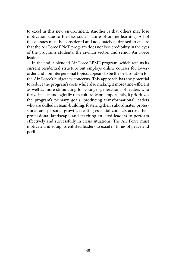to excel in this new environment. Another is that others may lose motivation due to the less social nature of online learning. All of these issues must be considered and adequately addressed to ensure that the Air Force EPME program does not lose credibility in the eyes of the program's students, the civilian sector, and senior Air Force leaders.

In the end, a blended Air Force EPME program, which retains its current residential structure but employs online courses for lowerorder and noninterpersonal topics, appears to be the best solution for the Air Force's budgetary concerns. This approach has the potential to reduce the program's costs while also making it more time-efficient as well as more stimulating for younger generations of leaders who thrive in a technologically rich culture. More importantly, it prioritizes the program's primary goals: producing transformational leaders who are skilled in team-building; fostering their subordinates' professional and personal growth, creating essential contacts across their professional landscape, and teaching enlisted leaders to perform effectively and successfully in crisis situations. The Air Force must motivate and equip its enlisted leaders to excel in times of peace and peril.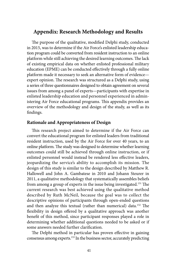# **Appendix: Research Methodology and Results**

The purpose of the qualitative, modified Delphi study, conducted in 2015, was to determine if the Air Force's enlisted leadership education program could be converted from resident instruction to an online platform while still achieving the desired learning outcomes. The lack of existing empirical data on whether enlisted professional military education (EPME) can be conducted effectively through a fully online platform made it necessary to seek an alternative form of evidence expert opinion. The research was structured as a Delphi study, using a series of three questionnaires designed to obtain agreement on several issues from among a panel of experts—participants with expertise in enlisted leadership education and personnel experienced in administering Air Force educational programs. This appendix provides an overview of the methodology and design of the study, as well as its findings.

#### **Rationale and Appropriateness of Design**

This research project aimed to determine if the Air Force can convert the educational program for enlisted leaders from traditional resident instruction, used by the Air Force for over 40 years, to an online platform. The study was designed to determine whether learning outcomes could still be achieved through online instruction, or if enlisted personnel would instead be rendered less effective leaders, jeopardizing the service's ability to accomplish its mission. The design of this study is similar to the design described by Matthew R. Hallowell and John A. Gambatese in 2010 and Johann Steurer in 2011, a qualitative methodology that systematically assembles beliefs from among a group of experts in the issue being investigated.[151](#page-91-0) The current research was best achieved using the qualitative method described by Ruth McNeil, because the goal was to collect the descriptive opinions of participants through open-ended questions and then analyze this textual (rather than numerical) data.<sup>152</sup> The flexibility in design offered by a qualitative approach was another benefit of this method, since participant responses played a role in determining whether additional questions needed to be asked or if some answers needed further clarification.

The Delphi method in particular has proven effective in gaining consensus among experts[.153](#page-91-0) In the business sector, accurately predicting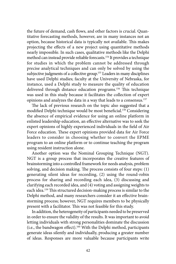the future of demand, cash flows, and other factors is crucial. Quantitative forecasting methods, however, are in many instances not an option, because historical data is typically not available. This makes projecting the effects of a new project using quantitative methods nearly impossible. In such cases, qualitative methods like the Delphi method can instead provide reliable forecasts.[154](#page-91-0) It provides a technique for studies in which the problem cannot be addressed through precise analytical techniques and can only be solved by using the subjective judgments of a collective group.<sup>155</sup> Leaders in many disciplines have used Delphi studies; faculty at the University of Nebraska, for instance, used a Delphi study to measure the quality of education delivered through distance education programs[.156](#page-92-0) This technique was used in this study because it facilitates the collection of expert opinions and analyzes the data in a way that leads to a consensus.[157](#page-92-0) 

The lack of previous research on the topic also suggested that a modified Delphi technique would be most beneficial.[158](#page-92-0) Considering the absence of empirical evidence for using an online platform in enlisted leadership education, an effective alternative was to seek the expert opinions of highly experienced individuals in the field of Air Force education. These expert opinions provided data for Air Force leaders to consider in choosing whether to convert the EPME program to an online platform or to continue teaching the program using resident instruction alone.

Another option was the Nominal Grouping Technique (NGT). NGT is a group process that incorporates the creative features of brainstorming into a controlled framework for needs analysis, problem solving, and decision making. The process consists of four steps: (1) generating silent ideas for recording, (2) using the round-robin process for sharing and recording each idea, (3) discussing and clarifying each recorded idea, and (4) voting and assigning weights to each idea.<sup>[159](#page-92-0)</sup> This structured decision-making process is similar to the Delphi method, and many researchers consider it an effective brainstorming process; however, NGT requires members to be physically present with a facilitator. This was not feasible for this study.

In addition, the heterogeneity of participants needed to be preserved in order to ensure the validity of the results. It was important to avoid letting individuals with strong personalities dominate the discussion (i.e., the bandwagon effect).[160](#page-92-0) With the Delphi method, participants generate ideas silently and individually, producing a greater number of ideas. Responses are more valuable because participants write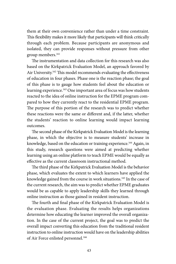them at their own convenience rather than under a time constraint. This flexibility makes it more likely that participants will think critically through each problem. Because participants are anonymous and isolated, they can provide responses without pressure from other group members.<sup>161</sup>

The instrumentation and data collection for this research was also based on the Kirkpatrick Evaluation Model, an approach favored by Air University.<sup>162</sup> This model recommends evaluating the effectiveness of education in four phases. Phase one is the reaction phase; the goal of this phase is to gauge how students feel about the education or learning experience[.163](#page-92-0) One important area of focus was how students reacted to the idea of online instruction for the EPME program compared to how they currently react to the residential EPME program. The purpose of this portion of the research was to predict whether these reactions were the same or different and, if the latter, whether the students' reaction to online learning would impact learning outcomes.

The second phase of the Kirkpatrick Evaluation Model is the learning phase, in which the objective is to measure students' increase in knowledge, based on the education or training experience.<sup>164</sup> Again, in this study, research questions were aimed at predicting whether learning using an online platform to teach EPME would be equally as effective as the current classroom instructional method.

The third phase of the Kirkpatrick Evaluation Model is the behavior phase, which evaluates the extent to which learners have applied the knowledge gained from the course in work situations.<sup>165</sup> In the case of the current research, the aim was to predict whether EPME graduates would be as capable to apply leadership skills they learned through online instruction as those gained in resident instruction.

The fourth and final phase of the Kirkpatrick Evaluation Model is the evaluation phase. Evaluating the results helps organizations determine how educating the learner improved the overall organization. In the case of the current project, the goal was to predict the overall impact converting this education from the traditional resident instruction to online instruction would have on the leadership abilities of Air Force enlisted personnel.<sup>[166](#page-92-0)</sup>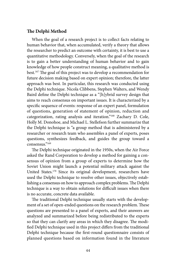#### **The Delphi Method**

When the goal of a research project is to collect facts relating to human behavior that, when accumulated, verify a theory that allows the researcher to predict an outcome with certainty, it is best to use a quantitative methodology. Conversely, when the goal of the research is to gain a better understanding of human behavior and to gain knowledge of how people construct meaning, a qualitative method is best[.167](#page-92-0) The goal of this project was to develop a recommendation for future decision making based on expert opinion; therefore, the latter approach was best. In particular, this research was conducted using the Delphi technique. Nicola Clibbens, Stephen Walters, and Wendy Baird define the Delphi technique as a "[h]ybrid survey design that aims to reach consensus on important issues. It is characterized by a specific sequence of events: response of an expert panel, formulation of questions, generation of statement of opinion, reduction and categorization, rating analysis and iteration."[168](#page-92-0) Zachary D. Cole, Holly M. Donohoe, and Michael L. Stellefson further summarize that the Delphi technique is "a group method that is administered by a researcher or research team who assembles a panel of experts, poses questions, synthesizes feedback, and guides the group toward a consensus.["169](#page-92-0)

The Delphi technique originated in the 1950s, when the Air Force asked the Rand Corporation to develop a method for gaining a consensus of opinion from a group of experts to determine how the Soviet Union might launch a potential military attack against the United States[.170](#page-92-0) Since its original development, researchers have used the Delphi technique to resolve other issues, objectively establishing a consensus on how to approach complex problems. The Delphi technique is a way to obtain solutions for difficult issues when there is no accurate, concrete data available.

The traditional Delphi technique usually starts with the development of a set of open-ended questions on the research problem. These questions are presented to a panel of experts, and their answers are analyzed and summarized before being redistributed to the experts so that they can clarify any areas in which they disagree. The modified Delphi technique used in this project differs from the traditional Delphi technique because the first-round questionnaire consists of planned questions based on information found in the literature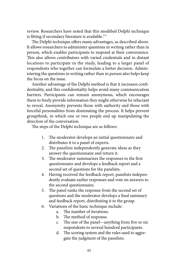review. Researchers have noted that this modified Delphi technique is fitting if secondary literature is available.<sup>171</sup>

The Delphi technique offers many advantages, as described above. It allows researchers to administer questions in writing rather than in person, which enables participants to respond at their convenience. This also allows contributors with varied credentials and in distant locations to participate in the study, leading to a larger panel of respondents who together can formulate a better decision. Administering the questions in writing rather than in person also helps keep the focus on the issue.

Another advantage of the Delphi method is that it increases confidentiality, and this confidentiality helps avoid many communication barriers. Participants can remain anonymous, which encourages them to freely provide information they might otherwise be reluctant to reveal. Anonymity prevents those with authority and those with forceful personalities from dominating the process. It helps prevent groupthink, in which one or two people end up manipulating the direction of the conversation.

The steps of the Delphi technique are as follows:

- 1. The moderator develops an initial questionnaire and distributes it to a panel of experts.
- 2. The panelists independently generate ideas as they answer the questionnaire and return it.
- 3. The moderator summarizes the responses to the first questionnaire and develops a feedback report and a second set of questions for the panelists.
- 4. Having received the feedback report, panelists independently evaluate earlier responses and vote on answers to the second questionnaire.
- 5. The panel ranks the response from the second set of questions and the moderator develops a final summary and feedback report, distributing it to the group.
- 6. Variations of the basic technique include:
	- a. The number of iterations.
	- b. The method of response.
	- c. The size of the panel—anything from five or six respondents to several hundred participants.
	- d. The scoring system and the rules used to aggregate the judgment of the panelists.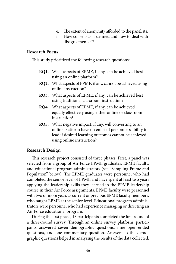- e. The extent of anonymity afforded to the panelists.
- f. How consensus is defined and how to deal with disagreements.<sup>172</sup>

# **Research Focus**

This study prioritized the following research questions:

- **RQ1.** What aspects of EPME, if any, can be achieved best using an online platform?
- **RQ2.** What aspects of EPME, if any, cannot be achieved using online instruction?
- **RQ3.** What aspects of EPME, if any, can be achieved best using traditional classroom instruction?
- **RQ4.** What aspects of EPME, if any, can be achieved equally effectively using either online or classroom instruction?
- **RQ5.** What negative impact, if any, will converting to an online platform have on enlisted personnel's ability to lead if desired learning outcomes cannot be achieved using online instruction?

# **Research Design**

This research project consisted of three phases. First, a panel was selected from a group of Air Force EPME graduates, EPME faculty, and educational program administrators (see "Sampling Frame and Population" below). The EPME graduates were personnel who had completed the senior level of EPME and have spent at least two years applying the leadership skills they learned in the EPME leadership course in their Air Force assignments. EPME faculty were personnel with two or more years as current or previous EPME faculty members, who taught EPME at the senior level. Educational program administrators were personnel who had experience managing or directing an Air Force educational program.

During the first phase, 18 participants completed the first round of a three-round survey. Through an online survey platform, participants answered seven demographic questions, nine open-ended questions, and one commentary question. Answers to the demographic questions helped in analyzing the results of the data collected.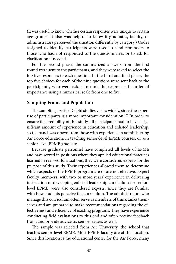(It was useful to know whether certain responses were unique to certain age groups. It also was helpful to know if graduates, faculty, or administrators perceived the situation differently by category.) Codes assigned to identify participants were used to send reminders to those who had not responded to the questionnaires or to ask for clarification if needed.

For the second phase, the summarized answers from the first round were sent to the participants, and they were asked to select the top five responses to each question. In the third and final phase, the top five choices for each of the nine questions were sent back to the participants, who were asked to rank the responses in order of importance using a numerical scale from one to five.

#### **Sampling Frame and Population**

The sampling size for Delphi studies varies widely, since the expertise of participants is a more important consideration.<sup>173</sup> In order to ensure the credibility of this study, all participants had to have a significant amount of experience in education and enlisted leadership, so the panel was drawn from those with experience in administering Air Force education, in teaching senior-level EPME courses, or as a senior-level EPME graduate.

Because graduate personnel have completed all levels of EPME and have served in positions where they applied educational practices learned in real-world situations, they were considered experts for the purpose of this study. Their experiences allowed them to determine which aspects of the EPME program are or are not effective. Expert faculty members, with two or more years' experience in delivering instruction or developing enlisted leadership curriculum for seniorlevel EPME, were also considered experts, since they are familiar with how students perceive the curriculum. The administrators who manage this curriculum often serve as members of think tanks themselves and are prepared to make recommendations regarding the effectiveness and efficiency of existing programs. They have experience conducting field evaluations to this end and often receive feedback from, and provide advice to, senior leaders as well.

The sample was selected from Air University, the school that teaches senior-level EPME. Most EPME faculty are at this location. Since this location is the educational center for the Air Force, many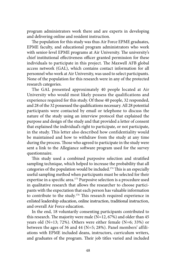program administrators work there and are experts in developing and delivering online and resident instruction.

The population for this study was thus Air Force EPME graduates, EPME faculty, and educational program administrators who work with senior-level EPME programs at Air University. The university's chief institutional effectiveness officer granted permission for these individuals to participate in this project. The Maxwell AFB global access network (GAL), which contains contact information for all personnel who work at Air University, was used to select participants. None of the population for this research were in any of the protected research categories.

The GAL presented approximately 40 people located at Air University who would most likely possess the qualifications and experience required for this study. Of these 40 people, 32 responded, and 28 of the 32 possessed the qualifications necessary. All 28 potential participants were contacted by email or telephone to discuss the nature of the study using an interview protocol that explained the purpose and design of the study and that provided a letter of consent that explained the individual's right to participate, or not participate, in the study. This letter also described how confidentiality would be maintained and how to withdraw from the study at any time during the process. Those who agreed to participate in the study were sent a link to the Allegiance software program used for the survey questionnaire.

This study used a combined purposive selection and stratified sampling technique, which helped to increase the probability that all categories of the population would be included[.174](#page-92-0) This is an especially useful sampling method when participants must be selected for their expertise in a specific area.<sup>175</sup> Purposive selection is a procedure used in qualitative research that allows the researcher to choose participants with the expectation that each person has valuable information to contribute to the study.<sup>[176](#page-92-0)</sup> This research required experience in enlisted leadership education, online instruction, traditional instruction, and overall Air Force education.

In the end, 18 voluntarily consenting participants contributed to this research. The majority were male  $(N=12, 67%)$  and older than 45 years old (N=13; 72%). Others were either female (N=6; 33%) or between the ages of 36 and 44 (N=5; 28%). Panel members' affiliations with EPME included deans, instructors, curriculum writers, and graduates of the program. Their job titles varied and included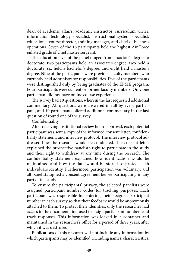dean of academic affairs, academic instructor, curriculum writer, information technology specialist, instructional system specialist, educational course director, training manager, and chief of business operations. Seven of the 18 participants held the highest Air Force enlisted grade of chief master sergeant.

The education level of the panel ranged from associate's degree to doctorate; two participants held an associate's degree, two held a doctorate, six held a bachelor's degree, and eight held a master's degree. Nine of the participants were previous faculty members who currently held administrator responsibilities. Five of the participants were distinguished only by being graduates of the EPME program. Four participants were current or former faculty members. Only one participant did not have online course experience.

The survey had 10 questions, wherein the last requested additional commentary. All questions were answered in full by every participant, and 10 participants offered additional commentary in the last question of round one of the survey.

Confidentiality

After receiving institutional review board approval, each potential participant was sent a copy of the informed consent letter, confidentiality statement, and interview protocol. The interview protocol addressed how the research would be conducted. The consent letter explained the prospective panelist's right to participate in the study and their right to withdraw at any time during the research. The confidentiality statement explained how identification would be maintained and how the data would be stored to protect each individual's identity. Furthermore, participation was voluntary, and all panelists signed a consent agreement before participating in any part of the study.

To ensure the participants' privacy, the selected panelists were assigned participant number codes for tracking purposes. Each participant was responsible for entering their assigned participant number in each survey so that their feedback would be anonymously attached to them. To protect their identities, only the researcher had access to the documentation used to assign participant numbers and track responses. This information was locked in a container and maintained in the researcher's office for a period of three years, after which it was destroyed.

Publications of this research will not include any information by which participants may be identified, including names, characteristics,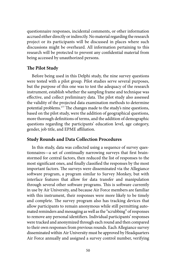questionnaire responses, incidental comments, or other information accrued either directly or indirectly. No material regarding the research project or its participants will be discussed in places where such discussions might be overheard. All information pertaining to this research will be protected to prevent any confidential material from being accessed by unauthorized persons.

## **The Pilot Study**

Before being used in this Delphi study, the nine survey questions were tested with a pilot group. Pilot studies serve several purposes, but the purpose of this one was to test the adequacy of the research instrument, establish whether the sampling frame and technique was effective, and collect preliminary data. The pilot study also assessed the validity of the projected data examination methods to determine potential problems[.177](#page-92-0) The changes made to the study's nine questions, based on the pilot study, were the addition of geographical questions, more thorough definitions of terms, and the addition of demographic questions regarding the participants' education level, age category, gender, job title, and EPME affiliation.

#### **Study Rounds and Data Collection Procedures**

In this study, data was collected using a sequence of survey questionnaires—a set of continually narrowing surveys that first brainstormed for central factors, then reduced the list of responses to the most significant ones, and finally classified the responses by the most important factors. The surveys were disseminated via the Allegiance software program, a program similar to Survey Monkey, but with interface features that allow for data transfer and manipulation through several other software programs. This is software currently in use by Air University, and because Air Force members are familiar with this instrument, their responses were more likely to be timely and complete. The survey program also has tracking devices that allow participants to remain anonymous while still permitting automated reminders and messaging as well as the "scrubbing" of responses to remove any personal identifiers. Individual participants' responses were tracked and anonymized through each round and then compared to their own responses from previous rounds. Each Allegiance survey disseminated within Air University must be approved by Headquarters Air Force annually and assigned a survey control number, verifying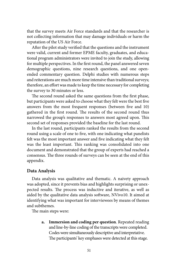that the survey meets Air Force standards and that the researcher is not collecting information that may damage individuals or harm the reputation of the US Air Force.

After the pilot study verified that the questions and the instrument were valid, current and former EPME faculty, graduates, and educational program administrators were invited to join the study, allowing for multiple perspectives. In the first round, the panel answered seven demographic questions, nine research questions, and one openended commentary question. Delphi studies with numerous steps and reiterations are much more time intensive than traditional surveys; therefore, an effort was made to keep the time necessary for completing the survey to 30 minutes or less.

The second round asked the same questions from the first phase, but participants were asked to choose what they felt were the best five answers from the most frequent responses (between five and 10) gathered in the first round. The results of the second round thus narrowed the group's responses to answers most agreed upon. This second set of responses provided the baseline for the last round.

In the last round, participants ranked the results from the second round using a scale of one to five, with one indicating what panelists felt was the most important answer and five indicating what they felt was the least important. This ranking was consolidated into one document and demonstrated that the group of experts had reached a consensus. The three rounds of surveys can be seen at the end of this appendix.

#### **Data Analysis**

Data analysis was qualitative and thematic. A naivety approach was adopted, since it prevents bias and highlights surprising or unexpected results. The process was inductive and iterative, as well as aided by the qualitative data analysis software, NVivo10. It aimed at identifying what was important for interviewees by means of themes and subthemes.

The main steps were:

**a. Immersion and coding per question**. Repeated reading and line-by-line coding of the transcripts were completed. Codes were simultaneously descriptive and interpretative. The participants' key emphases were detected at this stage.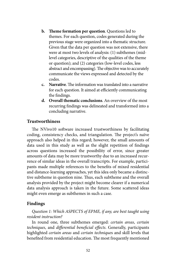- **b. Theme formation per question**. Questions led to themes. For each question, codes generated during the previous stage were organized into a thematic structure. Given that the data per question was not extensive, there were at most two levels of analysis: (1) subthemes (midlevel categories, descriptive of the qualities of the theme or question); and (2) categories (low-level codes, less abstract and encompassing). The objective was to accurately communicate the views expressed and detected by the codes.
- **c. Narrative**. The information was translated into a narrative for each question. It aimed at efficiently communicating the findings.
- **d. Overall thematic conclusions**. An overview of the most recurring findings was delineated and transformed into a concluding narrative.

## **Trustworthiness**

The NVivo10 software increased trustworthiness by facilitating coding, consistency checks, and triangulation. The project's naïve approach also helped in this regard; however, the small amounts of data used in this study as well as the slight repetition of findings across questions increased the possibility of error, since greater amounts of data may be more trustworthy due to an increased recurrence of similar ideas in the overall transcripts. For example, participants made multiple references to the benefits of mixed residential and distance-learning approaches, yet this idea only became a distinctive subtheme in question nine. Thus, each subtheme and the overall analysis provided by the project might become clearer if a numerical data analysis approach is taken in the future. Some scattered ideas might even emerge as subthemes in such a case.

#### **Findings**

### *Question 1: Which ASPECTS of EPME, if any, are best taught using resident instruction?*

In round one, three subthemes emerged: *certain areas*, *certain techniques*, and *differential beneficial effects*. Generally, participants highlighted *certain areas* and *certain technique*s and skill levels that benefited from residential education. The most frequently mentioned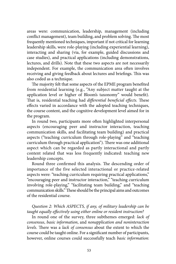areas were: communication, leadership, management (including conflict management), team building, and problem solving. The most frequently mentioned techniques, important if not critical for learning leadership skills, were role-playing (including experiential learning), interacting and sharing (via, for example, guided discussions and case studies), and practical applications (including demonstrations, lectures, and drills). Note that these two aspects are not necessarily independent. For example, the communication area often involves receiving and giving feedback about lectures and briefings. This was also coded as a technique.

The majority felt that some aspects of the EPME program benefited from residential learning (e.g., "Any subject matter taught at the application level or higher of Bloom's taxonomy" would benefit). That is, residential teaching had *differential beneficial effects.* These effects varied in accordance with the adopted teaching techniques, the course content, and the cognitive development level aimed for in the program.

leadership concepts. In round two, participants more often highlighted interpersonal aspects (encouraging peer and instructor interaction, teaching communication skills, and facilitating team building) and practical aspects ("teaching curriculum through role-playing" and "teaching curriculum through practical application"). There was one additional aspect which can be regarded as partly interactional and partly content related that was less frequently indicated: teaching new

Round three confirmed this analysis. The descending order of importance of the five selected interactional or practice-related aspects were: "teaching curriculum requiring practical applications," "encouraging peer and instructor interaction," "teaching curriculum involving role-playing," "facilitating team building," and "teaching communication skills." These should be the principal aims and outcomes of the residential course.

#### *Question 2: Which ASPECTS, if any, of military leadership can be taught equally effectively using either online or resident instruction?*

In round one of the survey, three subthemes emerged: *lack of consensus*, *basic information*, and *nonapplication and noninteraction levels*. There was a *lack of consensus* about the extent to which the course could be taught online. For a significant number of participants, however, online courses could successfully teach *basic information*: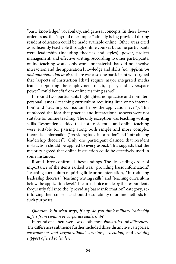"basic knowledge," vocabulary, and general concepts. In these lowerorder areas, the "myriad of examples" already being provided during resident education could be made available online. Other areas cited as sufficiently teachable through online courses by some participants were leadership (including theories and styles), power, project management, and effective writing. According to other participants, online teaching would only work for material that did not involve interaction and the application knowledge and skills (*nonapplication and noninteraction levels*). There was also one participant who argued that "aspects of instruction [that] require major integrated media teams supporting the employment of air, space, and cyberspace power" could benefit from online teaching as well.

In round two, participants highlighted nonpractice and noninterpersonal issues ("teaching curriculum requiring little or no interaction" and "teaching curriculum below the application level"). This reinforced the idea that practice and interactional aspects were not suitable for online teaching. The only exception was teaching writing skills. Respondents added that both residential and online teaching were suitable for passing along both simple and more complex theoretical information ("providing basic information" and "introducing leadership theories"). Only one participant claimed that resident instruction should be applied to every aspect. This suggests that the majority agreed that online instruction could be effectively used in some instances.

Round three confirmed these findings. The descending order of importance of the items ranked was: "providing basic information," "teaching curriculum requiring little or no interaction," "introducing leadership theories," "teaching writing skills," and "teaching curriculum below the application level." The first choice made by the respondents frequently fell into the "providing basic information" category, reinforcing their consensus about the suitability of online methods for such purposes.

# *Question 3: In what ways, if any, do you think military leadership differs from civilian or corporate leadership?*

In round one, there were two subthemes: *similarities* and *differences*. The differences subtheme further included three distinctive categories: *environment and organizational structure*, *execution*, and *training support offered to leaders*.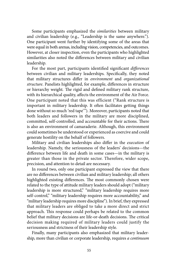Some participants emphasized the *similarities* between military and civilian leadership (e.g., "Leadership is the same anywhere."). One participant went further by identifying some of the areas that were equal in both arenas, including vision, competencies, and outcomes. However, at closer inspection, even the participants who highlighted similarities also noted the differences between military and civilian leadership.

For the most part, participants identified significant *differences*  between civilian and military leaderships. Specifically, they noted that military structures differ in *environment* and *organizational structure*. Panelists highlighted, for example, differences in structure or hierarchy weight*.* The rigid and defined military rank structure, with its hierarchical quality, affects the environment of the Air Force. One participant noted that this was efficient ("Rank structure is important in military leadership. It often facilitates getting things done without so much 'red tape'"). Moreover, participants noted that both leaders and followers in the military are more disciplined, committed, self-controlled, and accountable for their actions. There is also an environment of camaraderie. Although, this environment could sometimes be understood or experienced as coercive and could generate hostility on the behalf of followers.

Military and civilian leaderships also differ in the *execution* of leadership. Namely, the seriousness of the leaders' decisions—the difference between life and death in some cases—in the military is greater than those in the private sector. Therefore, wider scope, precision, and attention to detail are necessary.

In round two, only one participant expressed the view that there are no differences between civilian and military leadership; all others highlighted existing differences. The most commonly chosen were related to the type of attitude military leaders should adopt ("military leadership is more structured," "military leadership requires more self-control," "military leadership requires more accountability," and "military leadership requires more discipline"). In brief, they expressed that military leaders are obliged to take a more direct and strict approach. This response could perhaps be related to the common belief that military decisions are life-or-death decisions. The critical decision making required of military leaders could justify the seriousness and strictness of their leadership style.

Finally, many participants also emphasized that military leadership, more than civilian or corporate leadership, requires *a continuum*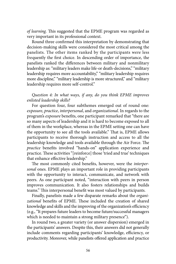*of learning.* This suggested that the EPME program was regarded as very important in its professional context.

Round three confirmed this interpretation by demonstrating that decision-making skills were considered the most critical among the panelists. The other items ranked by the participants were less frequently the first choice. In descending order of importance, the panelists ranked the differences between military and nonmilitary leadership as: "military leaders make life-or death-decisions," "military leadership requires more accountability," "military leadership requires more discipline," "military leadership is more structured," and "military leadership requires more self-control."

# *Question 4: In what ways, if any, do you think EPME improves enlisted leadership skills?*

For question four, four subthemes emerged out of round one: *exposure*, *practice*, *interpersonal*, and *organizational*. In regards to the program's *exposure* benefits, one participant remarked that "there are so many aspects of leadership and it is hard to become exposed to all of them in the workplace, whereas in the EPME setting one can have the opportunity to see all the tools available." That is, EPME allows participants to receive thorough instruction and access to all the leadership knowledge and tools available through the Air Force. The *practice* benefits involved "hands-on" application experience and practice. These activities "[reinforce] those 'tried and true' techniques that enhance effective leadership."

The most commonly cited benefits, however, were the *interpersonal* ones. EPME plays an important role in providing participants with the opportunity to interact, communicate, and network with peers. As one participant noted, "interaction with peers in person improves communication. It also fosters relationships and builds teams." This interpersonal benefit was most valued by participants.

Finally, panelists made a few disparate remarks about the *organizational* benefits of EPME. These included the creation of shared knowledge and skills and the improving of the organization's efficiency (e.g., "It prepares future leaders to become future/successful managers which is needed to maintain a strong military presence").

In round two, a greater variety (or answer dispersion) emerged in the participants' answers. Despite this, their answers did not generally include comments regarding participants' knowledge, efficiency, or productivity. Moreover, while panelists offered application and practice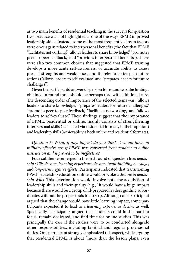as two main benefits of residential teaching in the surveys for question two, practice was not highlighted as one of the ways EPME improved leadership skills. Instead, some of the most frequently chosen factors were once again related to interpersonal benefits (the fact that EPME "facilitates networking," "allows leaders to share knowledge," "promotes peer-to-peer feedback," and "provides interpersonal benefits"). There were also two common choices that suggested that EPME training develops a more acute self-awareness, or accurate ability to assess present strengths and weaknesses, and thereby to better plan future actions ("allows leaders to self-evaluate" and "prepares leaders for future challenges").

Given the participants' answer dispersion for round two, the findings obtained in round three should be perhaps read with additional care. The descending order of importance of the selected items was: "allows leaders to share knowledge," "prepares leaders for future challenges," "promotes peer-to-peer feedback," "facilitates networking," and "allows leaders to self-evaluate." These findings suggest that the importance of EPME, residential or online, mainly consists of strengthening interpersonal skills (facilitated via residential formats, in their opinion) and leadership skills (achievable via both online and residential formats).

# *Question 5: What, if any, impact do you think it would have on military effectiveness if EPME was converted from resident to online instruction and it proved to be ineffective?*

Four subthemes emerged in the first round of question five: *leadership skills decline*, *learning experience decline*, *team-building blockage*, and *long-term negative effects*. Participants indicated that transitioning EPME leadership education online would provoke a *decline in leadership skills*. This deterioration would involve both the acquisition of leadership skills and their quality (e.g., "It would have a huge impact because there would be a group of ill-prepared leaders guiding subordinates without the proper tools to do so"). Although one participant argued that the change would have little learning impact, some participants expected it to lead to a *learning experience decline* as well. Specifically, participants argued that students could find it hard to focus, remain dedicated, and find time for online studies. This was principally the case if the studies were to be conducted alongside other responsibilities, including familial and regular professional duties. One participant strongly emphasized this aspect, while arguing that residential EPME is about "more than the lesson plans, even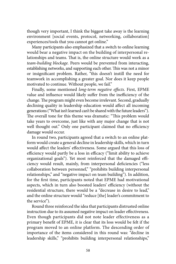though very important, I think the biggest take away is the learning environment [social events, protocol, networking, collaboration] experiences/tools that you cannot get online."

Many participants also emphasized that a switch to online learning would bear a negative impact on the building of interpersonal relationships and teams. That is, the online structure would work as a *team-building blockage.* Peers would be prevented from interacting, establishing networks, and supporting each other. This was not a minor or insignificant problem. Rather, "this doesn't instill the need for teamwork in accomplishing a greater goal. Nor does it keep people motivated to continue. Without people, we fail."

Finally, some mentioned *long-term negative effects*. First, EPME value and influence would likely suffer from the inefficiency of the change. The program might even become irrelevant. Second, gradually declining quality in leadership education would affect all incoming generations ("What isn't learned can't be shared with the future leaders"). The overall tone for this theme was dramatic: "This problem would take years to overcome, just like with any major change that is not well thought out." Only one participant claimed that no efficiency damage would occur.

In round two, participants agreed that a switch to an online platform would create a general decline in leadership skills, which in turn would affect the leaders' effectiveness. Some argued that this loss of efficiency would partly be a loss in efficacy ("limit ability to achieve organizational goals"). Yet most reinforced that the damaged efficiency would result, mainly, from interpersonal deficiencies ("less collaboration between personnel," "prohibits building interpersonal relationships," and "negative impact on team building"). In addition, for the first time, participants noted that EPME had motivational aspects, which in turn also boosted leaders' efficiency (without the residential structure, there would be a "decrease in desire to lead," and the online structure would "reduce [the] leader's commitment to the service").

Round three reinforced the idea that participants distrusted online instruction due to its assumed negative impact on leader effectiveness. Even though participants did not note leader effectiveness as a primary benefit of EPME, it is clear that its loss would be felt if the program moved to an online platform. The descending order of importance of the items considered in this round was: "decline in leadership skills," "prohibits building interpersonal relationships,"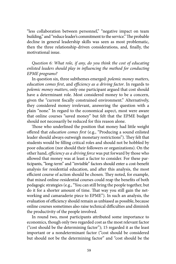"less collaboration between personnel," "negative impact on team building," and "reduce leader's commitment to the service." The probable decline in general leadership skills was seen as most problematic, then the three relationship-driven considerations, and, finally, the motivational issue.

*Question 6: What role, if any, do you think the cost of educating enlisted leaders should play in influencing the method for conducting EPME programs?* 

In question six, three subthemes emerged: *polemic money matters*, *education comes first*, and *efficiency as a driving factor*. In regards to *polemic money matters*, only one participant argued that cost should have a determinant role. Most considered money to be a concern, given the "current fiscally constrained environment." Alternatively, they considered money irrelevant, answering the question with a plain "none." In regard to the economical aspect, most were aware that online courses "saved money" but felt that the EPME budget should not necessarily be reduced for this reason alone.

Those who underlined the position that money had little weight offered that *education comes first* (e.g., "Producing a sound enlisted leader should always outweigh monetary restrictions"). They felt that students would be filling critical roles and should not be hobbled by poor education (nor should their followers or organizations). On the other hand, *efficiency as a driving force* was put forward by those who allowed that money was at least a factor to consider. For these participants, "long-term" and "invisible" factors should enter a cost-benefit analysis for residential education, and after this analysis, the most efficient course of action should be chosen. They noted, for example, that mixed online-residential courses could reap the benefits of both pedagogic strategies (e.g., "You can still bring the people together, but do it for a shorter amount of time. That way you still gain the networking and camaraderie piece to EPME"). In such an analysis, the evaluation of efficiency should remain as unbiased as possible, because online courses sometimes also raise technical difficulties and diminish the productivity of the people involved.

In round two, most participants attributed some importance to economics, though only two regarded cost as the most relevant factor ("cost should be the determining factor"); 15 regarded it as the least important or a nondeterminant factor ("cost should be considered but should not be the determining factor" and "cost should be the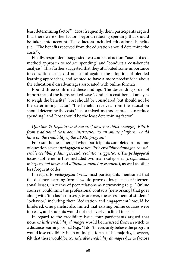least determining factor"). Most frequently, then, participants argued that there were other factors beyond reducing spending that should be taken into account. These factors included educational benefits (i.e., "The benefits received from the education should determine the costs").

Finally, respondents suggested two courses of action: "use a mixedmethod approach to reduce spending" and "conduct a cost-benefit analysis." This further suggested that they attributed some importance to education costs, did not stand against the adoption of blended learning approaches, and wanted to have a more precise idea about the educational disadvantages associated with online formats.

Round three confirmed these findings. The descending order of importance of the items ranked was: "conduct a cost-benefit analysis to weigh the benefits," "cost should be considered, but should not be the determining factor," "the benefits received from the education should determine the costs," "use a mixed-method approach to reduce spending," and "cost should be the least determining factor."

*Question 7: Explain what harm, if any, you think changing EPME from traditional classroom instruction to an online platform would have on the credibility of the EPME program?* 

Four subthemes emerged when participants completed round one of question seven: *pedagogical losses*, *little credibility damages*, *considerable credibility damages*, and *resolution suggestions*. The *pedagogical losses* subtheme further included two main categories (*irreplaceable interpersonal losses* and *difficult students' assessment*), as well as other less frequent codes.

In regard to *pedagogical losses*, most participants mentioned that the distance-learning format would provoke irreplaceable interpersonal losses, in terms of peer relations as networking (e.g., "Online courses would limit the professional contacts [networking] that goes along with 'in-class' courses"). Moreover, the assessment of students' "behavior," including their "dedication and engagement," would be hindered. One panelist also hinted that existing online courses were too easy, and students would not feel overly inclined to excel.

In regard to the credibility issue, four participants argued that none or *little credibility damage*s would be incurred from a switch to a distance-learning format (e.g., "I don't necessarily believe the program would lose credibility in an online platform"). The majority, however, felt that there would be *considerable credibility damages* due to factors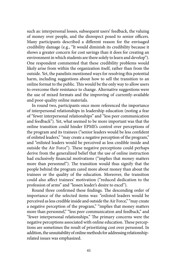such as: interpersonal losses, subsequent users' feedback, the valuing of money over people, and the disrespect posed to senior officers. Many participants described a different reason for the envisaged credibility damage (e.g., "It would diminish its credibility because it shows a greater concern for cost savings than it does for creating an environment in which students are there solely to learn and develop"). One respondent commented that these credibility problems would likely arise from within the organization itself, rather than from the outside. Yet, the panelists mentioned ways for resolving this potential harm, including suggestions about how to sell the transition to an online format to the public. This would be the only way to allow users to overcome their resistance to change. Alternative suggestions were the use of mixed formats and the improving of currently-available and poor-quality online materials.

In round two, participants once more referenced the importance of interpersonal relationships in leadership education (noting a fear of "fewer interpersonal relationships" and "less peer communication and feedback"). Yet, what seemed to be more important was that the online transition could hinder EPME's control over perceptions of the program and its trainees ("senior leaders would be less confident of enlisted leaders," "may create a negative perception of the program," and "enlisted leaders would be perceived as less credible inside and outside the Air Force"). These negative perceptions could perhaps derive from the generalized belief that the use of online instruction had exclusively financial motivations ("implies that money matters more than personnel"). The transition would thus signify that the people behind the program cared more about money than about the trainees or the quality of the education. Moreover, the transition could also affect trainees' motivation ("reduced dedication to the profession of arms" and "lessen leader's desire to excel").

Round three confirmed these findings. The descending order of importance of the selected items was: "enlisted leaders would be perceived as less credible inside and outside the Air Force," "may create a negative perception of the program," "implies that money matters more than personnel," "less peer communication and feedback," and "fewer interpersonal relationships." The primary concerns were the negative perceptions associated with online education. These perceptions are sometimes the result of prioritizing cost over personnel. In addition, the unsuitability of online methods for addressing relationshiprelated issues was emphasized.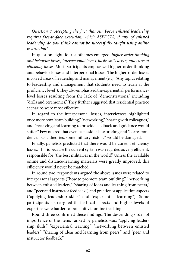*Question 8: Accepting the fact that Air Force enlisted leadership requires face-to-face execution, which ASPECTS, if any, of enlisted leadership do you think cannot be successfully taught using online instruction?* 

In question eight, four subthemes emerged: *higher-order thinking and behavior losses, interpersonal losses, basic skills losses, and current efficiency losses*. Most participants emphasized higher-order thinking and behavior losses and interpersonal losses. The higher-order losses involved areas of leadership and management (e.g., "Any topics relating to leadership and management that students need to learn at the proficiency level"). They also emphasized the experiential, performancelevel losses resulting from the lack of "demonstrations," including "drills and ceremonies." They further suggested that residential practice scenarios were most effective.

In regard to the interpersonal losses, interviewees highlighted once more how "team building," "networking," "sharing with colleagues," and "receiving and learning to provide feedback and guidance would suffer." Few offered that even basic skills like briefing and "correspondence, basic theories, some military history" would be damaged.

Finally, panelists predicted that there would be current efficiency losses. This is because the current system was regarded as very efficient, responsible for "the best militaries in the world." Unless the available online and distance-learning materials were greatly improved, this efficiency would never be matched.

In round two, respondents argued the above issues were related to interpersonal aspects ("how to promote team building," "networking between enlisted leaders," "sharing of ideas and learning from peers," and "peer and instructor feedback") and practice or application aspects ("applying leadership skills" and "experiential learning"). Some participants also argued that ethical aspects and higher levels of expertise were harder to transmit via online teaching.

Round three confirmed these findings. The descending order of importance of the items ranked by panelists was: "applying leadership skills," "experiential learning," "networking between enlisted leaders," "sharing of ideas and learning from peers," and "peer and instructor feedback."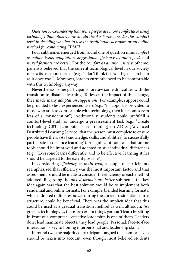*Question 9: Considering that some people are more comfortable using technology than others, how should the Air Force consider this comfort level in deciding whether to use the traditional classroom or an online method for conducting EPME?* 

Four subthemes emerged from round one of question nine: *comfort as minor issue*, *adaptation suggestions*, *efficiency as main goal*, and *mixed formats are better*. For the *comfort as a minor issue* subtheme, panelists believed that the current technological level in our society makes its use more normal (e.g., "I don't think this is as big of a problem as it once was"). Moreover, leaders currently need to be comfortable with this technology anyway.

Nevertheless, some participants foresaw some difficulties with the transition to distance learning. To lessen the impact of this change, they made many *adaptation suggestions*. For example, support could be provided to less-experienced users (e.g., "if support is provided to those who are less comfortable with technology, then it becomes even less of a consideration"). Additionally, students could prefulfill a comfort-level study or undergo a preassessment task (e.g., "Create technology CBTs [computer-based training] on ADLS [Advanced Distributed Learning Service] that the person must complete to ensure people have the KSAs [knowledge, skills, and abilities] to successfully participate in distance learning"). A significant note was that online tools should be improved and adapted to suit individual differences (e.g., "Everyone learns differently, and to be effective, learning styles should be targeted to the extent possible").

In considering *efficiency as main goal,* a couple of participants reemphasized that efficiency was the most important factor and that assessments should be made to consider the efficiency of each method adopted. Regarding the *mixed formats are better* subtheme, the key idea again was that the best solution would be to implement both residential and online formats. For example, blended learning formats, which adopted online resources during the current residential course structure, could be beneficial. There was the implicit idea that this could be used as a gradual transition method as well, although: "As great as technology is, there are certain things you can't learn by sitting in front of a computer—effective leadership is one of them. Leaders don't lead inanimate objects; they lead people. Personal, face-to-face interaction is key to honing interpersonal and leadership skills."

In round two, the majority of participants argued that comfort levels should be taken into account, even though most believed students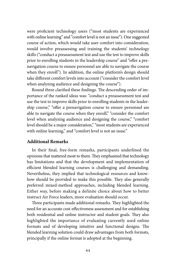were proficient technology users ("most students are experienced with online learning" and "comfort level is not an issue"). One suggested course of action, which would take user comfort into consideration, would involve preassessing and training the students' technology skills ("conduct a preassessment test and use the test to improve skills prior to enrolling students in the leadership course" and "offer a prenavigation course to ensure personnel are able to navigate the course when they enroll"). In addition, the online platform's design should take different comfort levels into account ("consider the comfort level when analyzing audience and designing the course").

Round three clarified these findings. The descending order of importance of the ranked ideas was: "conduct a preassessment test and use the test to improve skills prior to enrolling students in the leadership course," "offer a prenavigation course to ensure personnel are able to navigate the course when they enroll," "consider the comfort level when analyzing audience and designing the course," "comfort level should be a major consideration," "most students are experienced with online learning," and "comfort level is not an issue."

#### **Additional Remarks**

In their final, free-form remarks, participants underlined the opinions that mattered most to them. They emphasized that technology has limitations and that the development and implementation of efficient blended learning courses is challenging and demanding. Nevertheless, they implied that technological resources and knowhow should be provided to make this possible. They also generally preferred mixed-method approaches, including blended learning. Either way, before making a definite choice about how to better instruct Air Force leaders, more evaluation should occur.

Three participants made additional remarks. They highlighted the need for an accurate cost-effectiveness assessment and for establishing both residential and online instructor and student goals. They also highlighted the importance of evaluating currently used online formats and of developing intuitive and functional designs. The blended learning solution could draw advantages from both formats, principally if the online format is adopted at the beginning.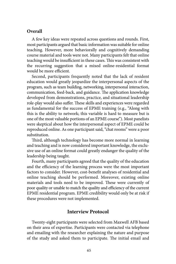#### **Overall**

A few key ideas were repeated across questions and rounds. First, most participants argued that basic information was suitable for online teaching. However, more behaviorally and cognitively demanding course material and tools were not. Many participants felt that online teaching would be insufficient in these cases. This was consistent with the recurring suggestion that a mixed online-residential format would be more efficient.

Second, participants frequently noted that the lack of resident education would greatly jeopardize the interpersonal aspects of the program, such as team building, networking, interpersonal interaction, communication, feed-back, and guidance. The application knowledge developed from demonstrations, practice, and situational leadership role-play would also suffer. These skills and experiences were regarded as fundamental for the success of EPME training (e.g., "Along with this is the ability to network; this variable is hard to measure but is one of the most valuable portions of an EPME course"). Most panelists were skeptical about how the interpersonal aspect of EPME could be reproduced online. As one participant said, "chat rooms" were a poor substitution.

Third, although technology has become more normal in learning and teaching and is now considered important knowledge, the exclusive use of an online format could greatly endanger the quality of the leadership being taught.

Fourth, many participants agreed that the quality of the education and the efficiency of the learning process were the most important factors to consider. However, cost-benefit analyses of residential and online teaching should be performed. Moreover, existing online materials and tools need to be improved. These were currently of poor quality or unable to match the quality and efficiency of the current EPME residential program. EPME credibility would only be at risk if these procedures were not implemented.

#### **Interview Protocol**

Twenty-eight participants were selected from Maxwell AFB based on their area of expertise. Participants were contacted via telephone and emailing with the researcher explaining the nature and purpose of the study and asked them to participate. The initial email and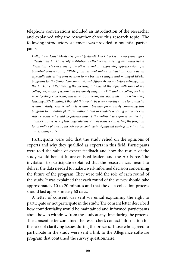telephone conversations included an introduction of the researcher and explained why the researcher chose this research topic. The following introductory statement was provided to potential participants.

 *program to an online platform without data to validate learning outcomes can Hello, I am Chief Master Sergeant (retired) Mack Cockrell. Two years ago I attended an Air University institutional effectiveness meeting and witnessed a discussion between some of the other attendants expressing apprehension of a potential conversion of EPME from resident online instruction. This was an especially interesting conversation to me because I taught and managed EPME programs for the Senior Noncommissioned Officer Academy before retiring from the Air Force. After leaving the meeting, I discussed the topic with some of my colleagues, many of whom had previously taught EPME, and my colleagues had mixed feelings concerning this issue. Considering the lack of literature referencing teaching EPME online, I thought this would be a very worthy cause to conduct a research study. This is valuable research because prematurely converting this still be achieved could negatively impact the enlisted workforces' leadership abilities. Conversely, if learning outcomes can be achieve converting the program to an online platform, the Air Force could gain significant savings in education and training costs.* 

Participants were told that the study relied on the opinions of experts and why they qualified as experts in this field. Participants were told the value of expert feedback and how the results of the study would benefit future enlisted leaders and the Air Force. The invitation to participate explained that the research was meant to deliver the data needed to make a well-informed decision concerning the future of the program. They were told the role of each round of the study. It was explained that each round of the survey should take approximately 10 to 20 minutes and that the data collection process should last approximately 60 days.

A letter of consent was sent via email explaining the right to participate or not participate in the study. The consent letter described how confidentiality would be maintained and informed participants about how to withdraw from the study at any time during the process. The consent letter contained the researcher's contact information for the sake of clarifying issues during the process. Those who agreed to participate in the study were sent a link to the Allegiance software program that contained the survey questionnaire.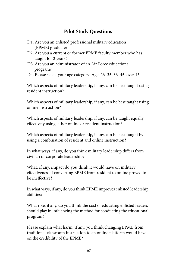# **Pilot Study Questions**

- D1. Are you an enlisted professional military education (EPME) graduate?
- D2. Are you a current or former EPME faculty member who has taught for 2 years?
- D3. Are you an administrator of an Air Force educational program?
- D4. Please select your age category: Age: 26–35: 36–45: over 45.

Which aspects of military leadership, if any, can be best taught using resident instruction?

Which aspects of military leadership, if any, can be best taught using online instruction?

Which aspects of military leadership, if any, can be taught equally effectively using either online or resident instruction?

Which aspects of military leadership, if any, can be best taught by using a combination of resident and online instruction?

In what ways, if any, do you think military leadership differs from civilian or corporate leadership?

What, if any, impact do you think it would have on military effectiveness if converting EPME from resident to online proved to be ineffective?

In what ways, if any, do you think EPME improves enlisted leadership abilities?

What role, if any, do you think the cost of educating enlisted leaders should play in influencing the method for conducting the educational program?

Please explain what harm, if any, you think changing EPME from traditional classroom instruction to an online platform would have on the credibility of the EPME?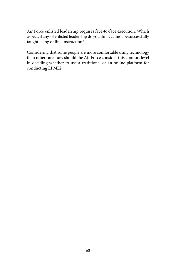Air Force enlisted leadership requires face-to-face execution. Which aspect, if any, of enlisted leadership do you think cannot be successfully taught using online instruction?

Considering that some people are more comfortable using technology than others are, how should the Air Force consider this comfort level in deciding whether to use a traditional or an online platform for conducting EPME?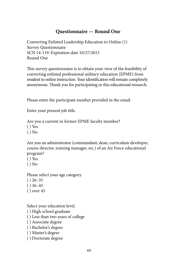### **Questionnaire — Round One**

Converting Enlisted Leadership Education to Online (1) Survey Questionnaire SCN 14-119: Expiration date 10/27/2015 Round One

This survey questionnaire is to obtain your view of the feasibility of converting enlisted professional military education (EPME) from resident to online instruction. Your identification will remain completely anonymous. Thank you for participating in this educational research.

Please enter the participant number provided in the email.

Enter your present job title.

Are you a current or former EPME faculty member?

( ) Yes

 $()$  No

Are you an administrator (commandant, dean, curriculum developer, course director, training manager, etc.) of an Air Force educational program?

( ) Yes

 $()$  No

Please select your age category.

- $( ) 26 35$
- $( ) 36 45$
- ( ) over 45

Select your education level.

( ) High school graduate

( ) Less than two years of college

( ) Associate degree

( ) Bachelor's degree

- ( ) Master's degree
- ( ) Doctorate degree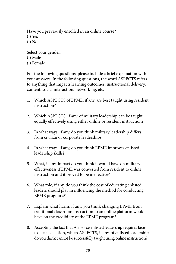Have you previously enrolled in an online course?

- ( ) Yes
- $()$  No

Select your gender. ( ) Male ( ) Female

For the following questions, please include a brief explanation with your answers. In the following questions, the word ASPECTS refers to anything that impacts learning outcomes, instructional delivery, content, social interaction, networking, etc.

- 1. Which ASPECTS of EPME, if any, are best taught using resident instruction?
- 2. Which ASPECTS, if any, of military leadership can be taught equally effectively using either online or resident instruction?
- 3. In what ways, if any, do you think military leadership differs from civilian or corporate leadership?
- 4. In what ways, if any, do you think EPME improves enlisted leadership skills?
- 5. What, if any, impact do you think it would have on military effectiveness if EPME was converted from resident to online instruction and it proved to be ineffective?
- 6. What role, if any, do you think the cost of educating enlisted leaders should play in influencing the method for conducting EPME programs?
- 7. Explain what harm, if any, you think changing EPME from traditional classroom instruction to an online platform would have on the credibility of the EPME program?
- 8. Accepting the fact that Air Force enlisted leadership requires faceto-face execution, which ASPECTS, if any, of enlisted leadership do you think cannot be successfully taught using online instruction?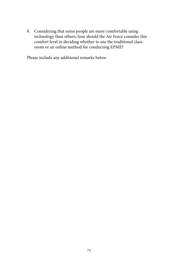9. Considering that some people are more comfortable using technology than others, how should the Air Force consider this comfort level in deciding whether to use the traditional classroom or an online method for conducting EPME?

Please include any additional remarks below.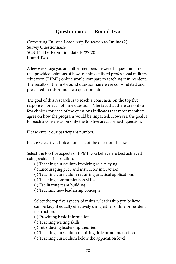# **Questionnaire — Round Two**

Converting Enlisted Leadership Education to Online (2) Survey Questionnaire SCN 14-119: Expiration date 10/27/2015 Round Two

A few weeks ago you and other members answered a questionnaire that provided opinions of how teaching enlisted professional military education (EPME) online would compare to teaching it in resident. The results of the first-round questionnaire were consolidated and presented in this round-two questionnaire.

The goal of this research is to reach a consensus on the top five responses for each of nine questions. The fact that there are only a few choices for each of the questions indicates that most members agree on how the program would be impacted. However, the goal is to reach a consensus on only the top five areas for each question.

Please enter your participant number.

Please select five choices for each of the questions below.

Select the top five aspects of EPME you believe are best achieved using resident instruction.

- ( ) Teaching curriculum involving role-playing
- ( ) Encouraging peer and instructor interaction
- ( ) Teaching curriculum requiring practical applications
- ( ) Teaching communication skills
- ( ) Facilitating team building
- ( ) Teaching new leadership concepts
- 1. Select the top five aspects of military leadership you believe can be taught equally effectively using either online or resident instruction.
	- ( ) Providing basic information
	- ( ) Teaching writing skills
	- ( ) Introducing leadership theories
	- ( ) Teaching curriculum requiring little or no interaction
	- ( ) Teaching curriculum below the application level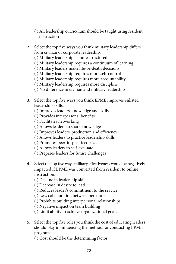- ( ) All leadership curriculum should be taught using resident instruction
- 2. Select the top five ways you think military leadership differs from civilian or corporate leadership.
	- ( ) Military leadership is more structured
	- ( ) Military leadership requires a continuum of learning
	- ( ) Military leaders make life-or-death decisions
	- ( ) Military leadership requires more self-control
	- ( ) Military leadership requires more accountability
	- ( ) Military leadership requires more discipline
	- ( ) No difference in civilian and military leadership
- 3. Select the top five ways you think EPME improves enlisted leadership skills.
	- ( ) Improves leaders' knowledge and skills
	- ( ) Provides interpersonal benefits
	- ( ) Facilitates networking
	- ( ) Allows leaders to share knowledge
	- ( ) Improves leaders' production and efficiency
	- ( ) Allows leaders to practice leadership skills
	- ( ) Promotes peer-to-peer feedback
	- ( ) Allows leaders to self-evaluate
	- ( ) Prepares leaders for future challenges
- 4. Select the top five ways military effectiveness would be negatively impacted if EPME was converted from resident to online instruction.
	- ( ) Decline in leadership skills
	- ( ) Decrease in desire to lead
	- ( ) Reduces leader's commitment to the service
	- ( ) Less collaboration between personnel
	- ( ) Prohibits building interpersonal relationships
	- ( ) Negative impact on team building
	- ( ) Limit ability to achieve organizational goals
- 5. Select the top five roles you think the cost of educating leaders should play in influencing the method for conducting EPME programs.
	- ( ) Cost should be the determining factor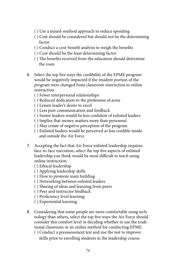- ( ) Use a mixed-method approach to reduce spending
- ( ) Cost should be considered but should not be the determining factor
- ( ) Conduct a cost-benefit analysis to weigh the benefits
- ( ) Cost should be the least determining factor
- ( ) The benefits received from the education should determine the costs
- 6. Select the top five ways the credibility of the EPME program would be negatively impacted if the resident portion of the program were changed from classroom instruction to online instruction.
	- ( ) Fewer interpersonal relationships
	- ( ) Reduced dedication to the profession of arms
	- ( ) Lessen leader's desire to excel
	- ( ) Less peer communication and feedback
	- ( ) Senior leaders would be less confident of enlisted leaders
	- ( ) Implies that money matters more than personnel
	- ( ) May create of negative perception of the program
	- ( ) Enlisted leaders would be perceived as less credible inside and outside the Air Force
- 7. Accepting the fact that Air Force enlisted leadership requires face-to-face execution, select the top five aspects of enlisted leadership you think would be most difficult to teach using online instruction.
	- ( ) Ethical leadership
	- ( ) Applying leadership skills
	- ( ) How to promote team building
	- ( ) Networking between enlisted leaders
	- ( ) Sharing of ideas and learning from peers
	- ( ) Peer and instructor feedback
	- ( ) Proficiency level learning
	- ( ) Experiential learning
- 8. Considering that some people are more comfortable using technology than others, select the top five ways the Air Force should consider this comfort level in deciding whether to use the traditional classroom or an online method for conducting EPME.
	- ( ) Conduct a preassessment test and use the test to improve skills prior to enrolling students in the leadership course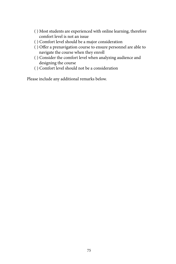- ( ) Most students are experienced with online learning, therefore comfort level is not an issue
- ( ) Comfort level should be a major consideration
- ( ) Offer a prenavigation course to ensure personnel are able to navigate the course when they enroll
- ( ) Consider the comfort level when analyzing audience and designing the course
- ( ) Comfort level should not be a consideration

Please include any additional remarks below.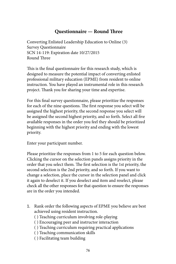# **Questionnaire — Round Three**

Converting Enlisted Leadership Education to Online (3) Survey Questionnaire SCN 14-119: Expiration date 10/27/2015 Round Three

This is the final questionnaire for this research study, which is designed to measure the potential impact of converting enlisted professional military education (EPME) from resident to online instruction. You have played an instrumental role in this research project. Thank you for sharing your time and expertise.

For this final survey questionnaire, please prioritize the responses for each of the nine questions. The first response you select will be assigned the highest priority, the second response you select will be assigned the second highest priority, and so forth. Select all five available responses in the order you feel they should be prioritized beginning with the highest priority and ending with the lowest priority.

Enter your participant number.

Please prioritize the responses from 1 to 5 for each question below. Clicking the cursor on the selection panels assigns priority in the order that you select them. The first selection is the 1st priority, the second selection is the 2nd priority, and so forth. If you want to change a selection, place the cursor in the selection panel and click it again to deselect it. If you deselect and item and reselect, please check all the other responses for that question to ensure the responses are in the order you intended.

- 1. Rank order the following aspects of EPME you believe are best achieved using resident instruction.
	- ( ) Teaching curriculum involving role-playing
	- ( ) Encouraging peer and instructor interaction
	- ( ) Teaching curriculum requiring practical applications
	- ( ) Teaching communication skills
	- ( ) Facilitating team building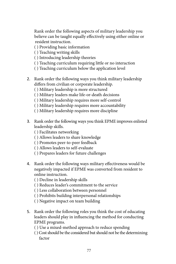Rank order the following aspects of military leadership you believe can be taught equally effectively using either online or resident instruction.

- ( ) Providing basic information
- ( ) Teaching writing skills
- ( ) Introducing leadership theories
- ( ) Teaching curriculum requiring little or no interaction
- ( ) Teaching curriculum below the application level
- 2. Rank order the following ways you think military leadership differs from civilian or corporate leadership.
	- ( ) Military leadership is more structured
	- ( ) Military leaders make life-or-death decisions
	- ( ) Military leadership requires more self-control
	- ( ) Military leadership requires more accountability
	- ( ) Military leadership requires more discipline
- 3. Rank order the following ways you think EPME improves enlisted leadership skills.
	- ( ) Facilitates networking
	- ( ) Allows leaders to share knowledge
	- ( ) Promotes peer-to-peer feedback
	- ( ) Allows leaders to self-evaluate
	- ( ) Prepares leaders for future challenges
- 4. Rank order the following ways military effectiveness would be negatively impacted if EPME was converted from resident to online instruction.
	- ( ) Decline in leadership skills
	- ( ) Reduces leader's commitment to the service
	- ( ) Less collaboration between personnel
	- ( ) Prohibits building interpersonal relationships
	- ( ) Negative impact on team building
- 5. Rank order the following roles you think the cost of educating leaders should play in influencing the method for conducting EPME programs.
	- ( ) Use a mixed-method approach to reduce spending
	- ( ) Cost should be the considered but should not be the determining factor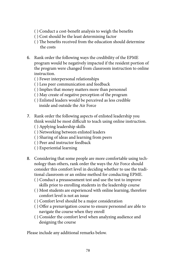- ( ) Conduct a cost-benefit analysis to weigh the benefits
- ( ) Cost should be the least determining factor
- ( ) The benefits received from the education should determine the costs
- 6. Rank order the following ways the credibility of the EPME program would be negatively impacted if the resident portion of the program were changed from classroom instruction to online instruction.
	- ( ) Fewer interpersonal relationships
	- ( ) Less peer communication and feedback
	- ( ) Implies that money matters more than personnel
	- ( ) May create of negative perception of the program
	- ( ) Enlisted leaders would be perceived as less credible inside and outside the Air Force
- 7. Rank order the following aspects of enlisted leadership you think would be most difficult to teach using online instruction.
	- ( ) Applying leadership skills
	- ( ) Networking between enlisted leaders
	- ( ) Sharing of ideas and learning from peers
	- ( ) Peer and instructor feedback
	- ( ) Experiential learning
- 8. Considering that some people are more comfortable using technology than others, rank order the ways the Air Force should consider this comfort level in deciding whether to use the traditional classroom or an online method for conducting EPME.
	- ( ) Conduct a preassessment test and use the test to improve skills prior to enrolling students in the leadership course
	- ( ) Most students are experienced with online learning, therefore comfort level is not an issue
	- ( ) Comfort level should be a major consideration
	- ( ) Offer a prenavigation course to ensure personnel are able to navigate the course when they enroll
	- ( ) Consider the comfort level when analyzing audience and designing the course

Please include any additional remarks below.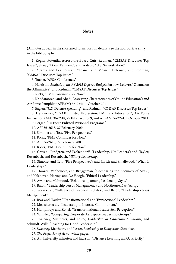#### **Notes**

(All notes appear in the shortened form. For full details, see the appropriate entry in the bibliography.)

1. Kogan, Potential Across-the-Board Cuts; Redman, "CMSAF Discusses Top Issues"; Sharp, "Down Payment"; and Watson, "U.S. Sequestration."

[2](#page-9-0). Adams and Leatherman, "Leaner and Meaner Defense"; and Redman, "CMSAF Discusses Top Issues."

[3](#page-9-0). Tucker, "AFSA Conference."

[4](#page-9-0). Harrison, *Analysis of the FY 2013 Defense Budget*; Partlow-Lefevre, "Obama on the Affirmative"; and Redman, "CMSAF Discusses Top Issues."

[5](#page-9-0). Ricks, "PME Continues For Now."

[6](#page-9-0). Khodamoradi and Abedi, "Assessing Characteristics of Online Education"; and Air Force Pamphlet (AFPAM) 36-2241, 1 October 2011.

[7](#page-9-0). Eaglen, "U.S. Defense Spending"; and Redman, "CMSAF Discusses Top Issues."

[8](#page-10-0). Henderson, "USAF Enlisted Professional Military Education"; Air Force Instruction (AFI) 36-2618, 27 February 2009; and AFPAM 36-2241, 1 October 2011.

[9](#page-10-0). Berger, "Air Force Enlisted Personnel Programs."

[10.](#page-10-0) AFI 36-2618, 27 February 2009.

[11.](#page-10-0) Simonet and Tett, "Five Perspectives."

[12.](#page-10-0) Ricks, "PME Continues for Now."

[13.](#page-10-0) AFI 36-2618, 27 February 2009.

[14.](#page-10-0) Ricks, "PME Continues for Now."

[15.](#page-11-0) Crevani, Lindgren, and Packendorff, "Leadership, Not Leaders"; and Taylor, Rosenbach, and Rosenbach, *Military Leadership*.

[16.](#page-11-0) Simonet and Tett, "Five Perspectives"; and Ulrich and Smallwood, "What Is Leadership?"

[17.](#page-11-0) Hoozee, Vanhoucke, and Bruggeman, "Comparing the Accuracy of ABC"; and Kalshoven, Hartog, and De Hoogh, "Ethical Leadership."

[18.](#page-11-0) Awan and Mahmood, "Relationship among Leadership Style."

[19.](#page-11-0) Balon, "Leadership versus Management"; and Northouse, *Leadership*.

[20.](#page-11-0) Voon et al., "Influence of Leadership Styles"; and Balon, "Leadership versus Management."

[21.](#page-11-0) Riaz and Haider, "Transformational and Transactional Leadership."

[22.](#page-11-0) Metscher et al., "Leadership to Increase Commitment."

[23.](#page-11-0) Humphreys and Zettel, "Transformational Leader Self-Perception."

[24.](#page-12-0) Winkler, "Comparing Corporate Aerospace Leadership Groups."

[25.](#page-12-0) Sweeney, Matthews, and Lester, *Leadership in Dangerous Situations*; and Schmidt-Wilk, "Teaching for Good Leadership."

[26.](#page-12-0) Sweeney, Matthews, and Lester, *Leadership in Dangerous Situations*.

[27.](#page-12-0) *The Profession of Arms*, white paper.

[28.](#page-12-0) Air University, minutes; and Jackson, "Distance Learning an AU Priority."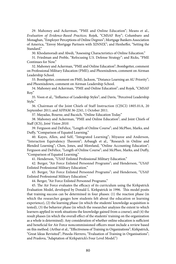[29](#page-12-0). Mahoney and Ackerman, "PME and Online Education"; Means et al., *Evaluation of Evidence-Based Practices*; Rojek, "CMSAF Roy"; Columbaro and Monaghan, "Employer Perceptions of Online Degrees"; Mortgage Bankers Association of America, "Envoy Mortgage Partners with XINNIX"; and Henheffer, "Setting the Standard"

[30.](#page-12-0) Khodamoradi and Abedi, "Assessing Characteristics of Online Education."

[31.](#page-13-0) Friedman and Preble, "Refocusing U.S. Defense Strategy"; and Ricks, "PME Continues for Now."

[32](#page-13-0). Mahoney and Ackerman, "PME and Online Education"; Bombgetter, comment on Professional Military Education (PME); and Phoenixdown, comment on Airman Leadership School.

[33.](#page-13-0) Bombgetter, comment on PME; Jackson, "Distance Learning an AU Priority"; and Phoenixdown, comment on Airman Leadership School.

[34.](#page-13-0) Mahoney and Ackerman, "PME and Online Education"; and Rojek, "CMSAF Roy."

[35](#page-13-0). Voon et al., "Influence of Leadership Styles"; and Davis, "Perceived Leadership Style."

[36](#page-13-0). Chairman of the Joint Chiefs of Staff Instruction (CJSCI) 1805.01A, 20 September 2011; and AFPAM 36-2241, 1 October 2011.

[37.](#page-13-0) Mayadas, Bourne, and Bacsich, "Online Education Today."

[38.](#page-14-0) Mahoney and Ackerman, "PME and Online Education"; and Joint Chiefs of Staff (JCS), *Joint Vision 2010*.

[39.](#page-14-0) Ferguson and DeFelice, "Length of Online Course"; and McPhee, Marks, and Duffy, "Comparison of Equated Learning."

[40](#page-14-0). Kayes, Allen, and Self, "Integrated Learning"; Miyazoe and Anderson, "Interaction Equivalency Theorem"; Arbaugh et al., "Research in Online and Blended Learning"; Chen, Jones, and Moreland, "Online Accounting Education"; Ferguson and DeFelice, "Length of Online Course"; and McPhee, Marks, and Duffy, "Comparison of Equated Learning."

[41.](#page-16-0) Henderson, "USAF Enlisted Professional Military Education."

[42.](#page-16-0) Berger, "Air Force Enlisted Personnel Programs"; and Henderson, "USAF Enlisted Professional Military Education."

[43.](#page-16-0) Berger, "Air Force Enlisted Personnel Programs"; and Henderson, "USAF Enlisted Professional Military Education."

[44.](#page-16-0) Berger, "Air Force Enlisted Personnel Programs."

[45.](#page-16-0) The Air Force evaluates the efficacy of its curriculum using the Kirkpatrick Evaluation Model, developed by Donald L. Kirkpatrick in 1996. This model posits that training success can be determined in four phases: (1) the reaction phase (in which the researcher gauges how students felt about the education or learning experience), (2) the learning phase (in which the students' knowledge acquisition is tested), (3) the behavior phase (in which the researcher analyzes the extent to which learners applied in work situations the knowledge gained from a course), and (4) the result phases (in which the overall effect of the students' training on the organization as a whole is determined). Any consideration of whether online education is sufficient and beneficial for Air Force noncommissioned officers must include a review based on this method. (Arthur et al., "Effectiveness of Training in Organizations"; Kirkpatrick, "Great Ideas Revisited"; Pineda-Herrero, "Evaluation of Training in Organisations"; and Praslova, "Adaptation of Kirkpatrick's Four Level Model.")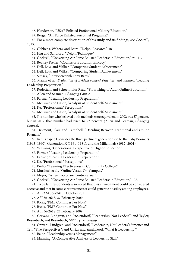[46.](#page-17-0) Henderson, "USAF Enlisted Professional Military Education."

[47.](#page-17-0) Berger, "Air Force Enlisted Personnel Programs."

[48.](#page-17-0) For a more complete description of this study and its findings, see Cockrell, 2015.

[49.](#page-17-0) Clibbens, Walters, and Baird, "Delphi Research," 38.

[50.](#page-18-0) Hsu and Sandford, "Delphi Technique."

[51.](#page-19-0) Cockrell, "Converting Air Force Enlisted Leadership Education," 96–117.

[52.](#page-19-0) Beasley Preffer, "Counselor Education Efficacy."

[53.](#page-19-0) Dell, Low, and Wilker, "Comparing Student Achievement."

[54.](#page-19-0) Dell, Low, and Wilker, "Comparing Student Achievement."

[55.](#page-19-0) Simsek, "Interview with Tony Bates."

[56.](#page-20-0) Means et al., *Evaluation of Evidence-Based Practices*; and Farmer, "Leading Leadership Preparation."

[57.](#page-20-0) Rudestam and Schoenholtz-Read, "Flourishing of Adult Online Education."

[58.](#page-20-0) Allen and Seaman, *Changing Course*.

[59.](#page-20-0) Farmer, "Leading Leadership Preparation."

[60.](#page-20-0) McGuire and Castle, "Analysis of Student Self-Assessment."

[61.](#page-20-0) Ke, "Professionals' Perceptions."

[62.](#page-20-0) McGuire and Castle, "Analysis of Student Self-Assessment."

[63](#page-20-0). The number who believed both methods were equivalent in 2002 was 57 percent, but in 2012 that number had risen to 77 percent (Allen and Seaman, *Changing Course*).

[64.](#page-21-0) Daymont, Blau, and Campbell, "Deciding Between Traditional and Online Formats."

[65](#page-21-0). In this paper, I consider the three pertinent generations to be the Baby Boomers (1943–1960), Generation X (1961–1981), and the Millennials (1982–2001).

[66.](#page-21-0) Williams, "Generational Perspective of Higher Education."

[67.](#page-21-0) Farmer, "Leading Leadership Preparation."

[68.](#page-21-0) Farmer, "Leading Leadership Preparation."

[69.](#page-21-0) Ke, "Professionals' Perceptions."

[70.](#page-21-0) Prelip, "Learning Effectiveness in Community College."

[71.](#page-21-0) Murdock et al., "Online Versus On-Campus."

[72.](#page-22-0) Meyer, "When Topics are Controversial."

[73.](#page-23-0) Cockrell, "Converting Air Force Enlisted Leadership Education," 108.

[74.](#page-23-0) To be fair, respondents also noted that this environment could be considered coercive and that in some circumstances it could generate hostility among employees.

[75.](#page-25-0) AFPAM 36-2241, 1 October 2011.

[76.](#page-25-0) AFI 36-2618, 27 February 2009.

[77.](#page-25-0) Ricks, "PME Continues For Now."

[78.](#page-25-0) Ricks, "PME Continues For Now."

[79.](#page-25-0) AFI 36-2618, 27 February 2009.

[80.](#page-25-0) Crevani, Lindgren, and Packendorff, "Leadership, Not Leaders"; and Taylor, Rosenbach, and Rosenbach, *Military Leadership*.

[81.](#page-26-0) Crevani, Lindgren, and Packendorff, "Leadership, Not Leaders"; Simonet and Tett, "Five Perspectives"; and Ulrich and Smallwood, "What Is Leadership?"

[82.](#page-26-0) Balon, "Leadership versus Management."

[83.](#page-26-0) Manning, "A Comparative Analysis of Leadership Skill."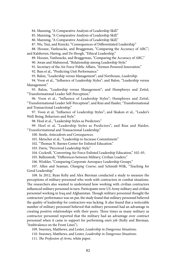[84.](#page-26-0) Manning, "A Comparative Analysis of Leadership Skill."

[85.](#page-26-0) Manning, "A Comparative Analysis of Leadership Skill."

[86.](#page-27-0) Manning, "A Comparative Analysis of Leadership Skill."

[87.](#page-27-0) Wu, Tsui, and Kinicki, "Consequences of Differentiated Leadership."

[88.](#page-27-0) Hoozee, Vanhoucke, and Bruggeman, "Comparing the Accuracy of ABC"; and Kalshoven, Hartog, and De Hoogh, "Ethical Leadership."

[89.](#page-27-0) Hoozee, Vanhoucke, and Bruggeman, "Comparing the Accuracy of ABC."

[90.](#page-28-0) Awan and Mahmood, "Relationship among Leadership Style."

[91.](#page-28-0) Secretary of the Air Force Public Affairs, "Airmen Powered Innovation."

[92.](#page-28-0) Bass et al., "Predicting Unit Performance."

[93.](#page-28-0) Balon, "Leadership versus Management"; and Northouse, *Leadership*.

[94.](#page-29-0) Voon et al., "Influence of Leadership Styles"; and Balon, "Leadership versus Management."

[95.](#page-29-0) Balon, "Leadership versus Management"; and Humphreys and Zettel, "Transformational Leader Self-Perception."

[96](#page-29-0). Voon et al., "Influence of Leadership Styles"; Humphreys and Zettel, "Transformational Leader Self-Perception"; and Riaz and Haider, "Transformational and Transactional Leadership."

[97.](#page-29-0) Voon et al, "Influence of Leadership Styles"; and Skakon et al., "Leader's Well-Being, Behaviors and Style."

[98.](#page-29-0) Hoel et al., "Leadership Styles as Predictors."

[99](#page-29-0). Hoel et al, "Leadership Styles as Predictors"; and Riaz and Haider, "Transformational and Transactional Leadership."

[100.](#page-30-0) Steele, *Antecedents and Consequences*.

[101.](#page-30-0) Metscher et al., "Leadership to Increase Commitment."

[102.](#page-30-0) "Thomas N. Barnes Center for Enlisted Education."

[103.](#page-30-0) Davis, "Perceived Leadership Style."

[104.](#page-30-0) Cockrell, "Converting Air Force Enlisted Leadership Education," 102–05.

[105.](#page-31-0) Ballenstedt, "Differences between Military, Civilian Leaders."

[106.](#page-31-0) Winkler, "Comparing Corporate Aerospace Leadership Groups."

[107.](#page-32-0) Allen and Seaman, *Changing Course*; and Schmidt-Wilk, "Teaching for Good Leadership."

[108.](#page-32-0) In 2012, Ryan Kelty and Alex Bierman conducted a study to measure the perceptions of military personnel who work with contractors in combat situations. The researchers also wanted to understand how working with civilian contractors influenced military personnel in turn. Participants were US Army military and civilian personnel working in Iraq and Afghanistan. Though military personnel thought the contractors' performance was on par, the study found that military personnel believed the quality of leadership for contractors was lacking. It also found that a noticeable number of military personnel believed that military personnel had an advantage in creating positive relationships with their peers. Three times as many military as contractor personnel reported that the military had an advantage over contract personnel when it came to support for performing one's job (Kelty and Bierman, "Ambivalence on the Front Lines").

[109.](#page-32-0) Sweeney, Matthews, and Lester, *Leadership in Dangerous Situations*.

[110.](#page-32-0) Sweeney, Matthews, and Lester, *Leadership in Dangerous Situations*.

[111.](#page-32-0) *The Profession of Arms*, white paper.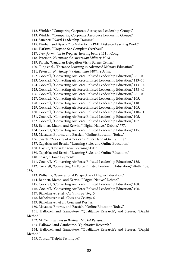[112.](#page-32-0) Winkler, "Comparing Corporate Aerospace Leadership Groups." [113.](#page-33-0) Winkler, "Comparing Corporate Aerospace Leadership Groups." [114.](#page-33-0) Sanchez, "Naval Leadership Training." [115.](#page-33-0) Kimball and Byerly, "To Make Army PME Distance Learning Work." [116.](#page-34-0) Harkins, "Corps to See Complete Overhaul." [117.](#page-34-0) *Transformation in Progress*, hearing before 111th Cong. [118.](#page-34-0) Peterson, *Nurturing the Australian Military Mind*. [119.](#page-35-0) Parish, "Canadian Delegation Visits Barnes Center." [120.](#page-35-0) Tung et al., "Distance Learning in Advanced Military Education." [121.](#page-35-0) Peterson, *Nurturing the Australian Military Mind*. [122.](#page-36-0) Cockrell, "Converting Air Force Enlisted Leadership Education," 98–100. [123.](#page-36-0) Cockrell, "Converting Air Force Enlisted Leadership Education," 113–14. [124.](#page-38-0) Cockrell, "Converting Air Force Enlisted Leadership Education," 113–14. [125.](#page-38-0) Cockrell, "Converting Air Force Enlisted Leadership Education," 138–40. [126.](#page-39-0) Cockrell, "Converting Air Force Enlisted Leadership Education," 98–100. [127.](#page-40-0) Cockrell, "Converting Air Force Enlisted Leadership Education," 105. [128.](#page-40-0) Cockrell, "Converting Air Force Enlisted Leadership Education," 118. [129.](#page-40-0) Cockrell, "Converting Air Force Enlisted Leadership Education," 105. [130.](#page-41-0) Cockrell, "Converting Air Force Enlisted Leadership Education," 110–11. [131.](#page-41-0) Cockrell, "Converting Air Force Enlisted Leadership Education," 105. [132.](#page-41-0) Cockrell, "Converting Air Force Enlisted Leadership Education," 107. [133.](#page-41-0) Bennett, Maton, and Kervin, "'Digital Natives' Debate," 777. [134.](#page-41-0) Cockrell, "Converting Air Force Enlisted Leadership Education," 115. [135.](#page-41-0) Mayadas, Bourne, and Bacsich, "Online Education Today." [136.](#page-42-0) Swartz, "Majority of Americans Prefer Hands-On Training." [137.](#page-42-0) Zapalska and Brozik, "Learning Styles and Online Education." [138.](#page-42-0) Haynie, "Consider Your Learning Style." [139.](#page-42-0) Zapalska and Brozik, "Learning Styles and Online Education." [140.](#page-42-0) Sharp, "Down Payment." [141.](#page-42-0) Cockrell, "Converting Air Force Enlisted Leadership Education," 135. [142.](#page-42-0) Cockrell, "Converting Air Force Enlisted Leadership Education," 98–99, 108, 136. [143.](#page-42-0) Williams, "Generational Perspective of Higher Education." [144.](#page-43-0) Bennett, Maton, and Kervin, "'Digital Natives' Debate." [145.](#page-43-0) Cockrell, "Converting Air Force Enlisted Leadership Education," 108. [146.](#page-43-0) Cockrell, "Converting Air Force Enlisted Leadership Education," 106. [147.](#page-44-0) Bichelmeyer et al., *Costs and Pricing*, 5. [148.](#page-45-0) Bichelmeyer et al., *Costs and Pricing*, 6. [149.](#page-45-0) Bichelmeyer, et al., *Costs and Pricing*. [150.](#page-46-0) Mayadas, Bourne, and Bacsich, "Online Education Today." [151.](#page-49-0) Hallowell and Gambatese, "Qualitative Research"; and Steurer, "Delphi Method"

[152.](#page-49-0) McNeil, *Business to Business Market Research*.

[153.](#page-49-0) Hallowell and Gambatese, "Qualitative Research."

[154.](#page-50-0) Hallowell and Gambatese, "Qualitative Research"; and Steurer, "Delphi Method."

[155.](#page-50-0) Yousuf, "Delphi Technique."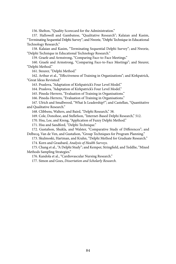[156.](#page-50-0) Shelton, "Quality Scorecard for the Administration."

[157](#page-50-0). Hallowell and Gambatese, "Qualitative Research"; Kalaian and Kasim, "Terminating Sequential Delphi Survey"; and Nworie, "Delphi Technique in Educational Technology Research."

[158.](#page-50-0) Kalaian and Kasim, "Terminating Sequential Delphi Survey"; and Nworie, "Delphi Technique in Educational Technology Research."

[159.](#page-50-0) Graefe and Armstrong, "Comparing Face-to-Face Meetings."

[160.](#page-50-0) Graefe and Armstrong, "Comparing Face-to-Face Meetings"; and Steurer, "Delphi Method."

[161.](#page-51-0) Steurer, "Delphi Method."

[162.](#page-51-0) Arthur et al., "Effectiveness of Training in Organizations"; and Kirkpatrick, "Great Ideas Revisited."

[163.](#page-51-0) Praslova, "Adaptation of Kirkpatrick's Four Level Model."

[164.](#page-51-0) Praslova, "Adaptation of Kirkpatrick's Four Level Model."

[165.](#page-51-0) Pineda-Herrero, "Evaluation of Training in Organisations."

[166.](#page-51-0) Pineda-Herrero, "Evaluation of Training in Organisations."

[167.](#page-52-0) Ulrich and Smallwood, "What Is Leadership?"; and Castellan, "Quantitative and Qualitative Research."

[168.](#page-52-0) Clibbens, Walters, and Baird, "Delphi Research," 38.

[169.](#page-52-0) Cole, Donohoe, and Stellefson, "Internet-Based Delphi Research," 512.

[170.](#page-52-0) Hsu, Lee, and Kreng, "Application of Fuzzy Delphi Method."

[171.](#page-53-0) Hsu and Sandford, "Delphi Technique."

[172.](#page-54-0) Gustafson, Shukla, and Walster, "Comparative Study of Differences"; and Delbecq, Van de Ven, and Gustafson, "Group Techniques for Program Planning."

[173.](#page-55-0) Skulmoski, Hartman, and Krahn, "Delphi Method for Graduate Research."

[174.](#page-56-0) Korn and Graubard, *Analysis of Health Surveys*.

[175.](#page-56-0) Chang et al., "A Delphi Study"; and Kemper, Stringfield, and Teddlie, "Mixed Methods Sampling Strategies."

[176.](#page-56-0) Kandola et al., "Cardiovascular Nursing Research."

[177.](#page-58-0) Simon and Goes, *Dissertation and Scholarly Research*.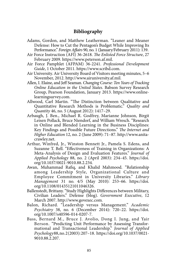### **Bibliography**

- Adams, Gordon, and Matthew Leatherman. "Leaner and Meaner Defense: How to Cut the Pentagon's Budget While Improving Its Performance." *Foreign Affairs* 90, no. 1 (January/February 2011): 139.
- Air Force Instruction (AFI) 36-2618. *The Enlisted Force Structure*, 27 February 2009. [https://www.peterson.af.mil.](https://www.peterson.af.mil/Portals/15/documents/LeadershipSchool/afi36-2618.pdf)
- Air Force Pamphlet (AFPAM) 36-2241. *Professional Development Guide*, 1 October 2011. [https://www.scribd.com.](https://www.scribd.com/document/110829677/afpam36-2241)
- Air University. Air University Board of Visitors meeting minutes, 5–6 November, 2012. [http://www.airuniversity.af.mil.](http://www.airuniversity.af.mil/Portals/10/AcademicAffairs/documents/bov/AU_BOV_Nov12_Mtg_Mins.pdf)
- Allen, I. Elaine, and Jeff Seaman. *Changing Course: Ten Years of Tracking Online Education in the United States*. Babson Survey Research Group, Pearson Foundation, January 2013. [https://www.online](https://www.onlinelearningsurvey.com/reports/changingcourse.pdf)[learningsurvey.com](https://www.onlinelearningsurvey.com/reports/changingcourse.pdf).
- Allwood, Carl Martin. "The Distinction between Qualitative and Quantitative Research Methods is Problematic." *Quality and Quantity* 46, no. 5 (August 2012): 1417–29.
- Arbaugh, J. Ben., Michael R. Godfrey, Marianne Johnson, Birgit Leisen Pollack, Bruce Niendorf, and William Wresch. "Research in Online and Blended Learning in the Business Disciplines: Key Findings and Possible Future Directions." *The Internet and Higher Education* 12, no. 2 (June 2009): 71–87. [http://www.anita](http://www.anitacrawley.net/Resources/Articles/Arbaughetal2009.pdf)[crawley.net](http://www.anitacrawley.net/Resources/Articles/Arbaughetal2009.pdf).
- Arthur, Winfred, Jr., Winston Bennett Jr., Pamela S. Edens, and Suzanne T. Bell. "Effectiveness of Training in Organizations: A Meta-Analysis of Design and Evaluation Features." *Journal of Applied Psychology* 88, no. 2 (April 2003): 234–45. [https://doi.](https://doi.org/10.1037/0021-9010.88.2.234) [org/10.1037/0021-9010.88.2.234](https://doi.org/10.1037/0021-9010.88.2.234).
- *Management* 31 no. 4/5 (May 2010): 253–66. [https://doi.](https://doi.org/10.1108/01435121011046326) Awan, Muhammad Rafiq, and Khalid Mahmood. "Relationship among Leadership Style, Organizational Culture and Employee Commitment in University Libraries." *Library*  [org/10.1108/01435121011046326.](https://doi.org/10.1108/01435121011046326)
- Ballenstedt, Brittany. "Study Highlights Differences between Military, Civilian Leaders." Defense (blog). *Government Executive*, 12 March 2007. [http://www.govexec.com.](http://www.govexec.com/defense/2007/03/study-highlights-differences-between-military-civilian-leaders/23921/)
- Balon, Richard. "Leadership versus Management." *Academic Psychiatry* 38, no. 6 (December 2014): 720–22. [https://doi.](https://doi.org/10.1007/s40596-014-0207-7) [org/10.1007/s40596-014-0207-7.](https://doi.org/10.1007/s40596-014-0207-7)
- Bass, Bernard M., Bruce J. Avolio, Dong I. Jung, and Yair Berson. "Predicting Unit Performance by Assessing Transformational and Transactional Leadership." *Journal of Applied Psychology* 88, no. 2 (2003): 207–18. [https://doi.org/10.1037/0021-](https://doi.org/10.1037/0021-9010.88.2.207) [9010.88.2.207](https://doi.org/10.1037/0021-9010.88.2.207).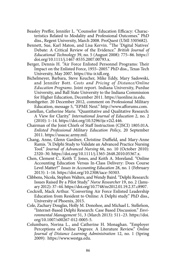- Beasley Preffer, Jennifer L. "Counselor Education Efficacy: Characteristics Related to Modality and Professional Outcomes." PhD diss., Regent University, March 2008. ProQuest (UMI 3305682).
- Bennett, Sue, Karl Maton, and Lisa Kervin. "The 'Digital Natives' Debate: A Critical Review of the Evidence." *British Journal of Educational Technology* 39, no. 5 (August 2008): 775–86. [https://](https://doi.org/10.1111/j.1467-8535.2007.00793.x) [doi.org/10.1111/j.1467-8535.2007.00793.x](https://doi.org/10.1111/j.1467-8535.2007.00793.x).
- Berger, Dennis H. "Air Force Enlisted Personnel Programs: Their Impact on the Enlisted Force, 1955–2005." PhD diss., Texas Tech University, May 2007. [https://ttu-ir.tdl.org](https://ttu-ir.tdl.org/ttu-ir/bitstream/handle/2346/16890/Berger_Dennis_Thesis.pdf).
- Bichelmeyer, Barbara, Steve Keucher, Mike Eddy, Mary Sadowski, and Jennifer Bott. *Costs and Pricing of Distance/Online Education Programs*. Joint report. Indiana University, Purdue University, and Ball State University to the Indiana Commission for Higher Education, December 2011. [https://iuonline.iu.edu.](https://iuonline.iu.edu/_assets/docs/iche-costspricing.pdf)
- Bombgetter. 20 December 2012, comment on Professional Military Education, message 5, "EPME Next." [http://www.afforums.com](http://www.afforums.com/forums/showthread.php?t=43095).
- $(2010): 1-14.$  https://doi.org/10.5296/ije.v2i2.446. Castellan, Catherine Marie. "Quantitative and Qualitative Research: A View for Clarity." *International Journal of Education* 2, no. 2
- Chairman of the [Joint Chiefs of Staff Instruction \(CJS](https://doi.org/10.5296/ije.v2i2.446)CI) 1805.01A. *Enlisted Professional Military Education Policy*, 20 September 2011. [https://usacac.army.mil](https://usacac.army.mil/sites/default/files/documents/cace/LREC/2011_CJCSI_1805.01_Ch1_EPMEP.pdf).
- Chang, Anne, Glenn Gardner, Christine Duffield, and Mary-Anne Ramis. "A Delphi Study to Validate an Advanced Practice Nursing Tool." *Journal of Advanced Nursing* 66, no. 10 (October 2010): 2320–30. [https://doi.org/10.1111/j.1365-2648.2010.05367.x.](https://doi.org/10.1111/j.1365-2648.2010.05367.x)
- Chen, Clement C., Keith T. Jones, and Keith A. Moreland. "Online Accounting Education Versus In-Class Delivery: Does Course Level Matter?" *Issues in Accounting Education* 28, no. 1 (February 2013): 1–16.<https://doi.org/10.2308/iace-50303>.
- Clibbens, Nicola, Stephen Walters, and Wendy Baird. "Delphi Research: Issues Raised By a Pilot Study." *Nurse Researcher* 19, no. 2 (January 2012): 37–44.<https://doi.org/10.7748/nr2012.01.19.2.37.c8907>.
- Cockrell, Mack Arthur. "Converting Air Force Enlisted Leadership Education from Resident to Online: A Delphi study." PhD diss., University of Phoenix, 2015.
- Cole, Zachary Douglas, Holly M. Donohoe, and Michael L. Stellefson, "Internet-Based Delphi Research: Case Based Discussion." *Environmental Management* 51, 3 (March 2013): 511–23. [https://doi.](https://doi.org/10.1007/s00267-012-0005-5) [org/10.1007/s00267-012-0005-5.](https://doi.org/10.1007/s00267-012-0005-5)
- Columbaro, Norina L., and Catherine H. Monaghan. "Employer Perceptions of Online Degrees: A Literature Review." *Online Journal of Distance Learning Administration* 12, no. 1 (Spring 2009): [https://www.westga.edu.](https://www.westga.edu/~distance/ojdla/spring121/columbaro121.html)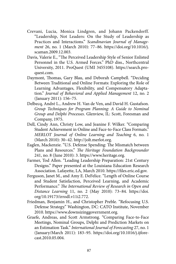- Crevani, Lucia, Monica Lindgren, and Johann Packendorff. "Leadership, Not Leaders: On the Study of Leadership as Practices and Interactions." *Scandinavian Journal of Management* 26, no. 1 (March 2010): 77–86. [https://doi.org/10.1016/j.](https://doi.org/10.1016/j.scaman.2009.12.003)  [scaman.2009.12.003.](https://doi.org/10.1016/j.scaman.2009.12.003)
- Davis, Valerie E., "The Perceived Leadership Style of Senior Enlisted Personnel in the U.S. Armed Forces." PhD diss., Northcentral University, 2011. ProQuest (UMI 3455108). [https://search.pro](https://search.proquest.com/docview/866679498)[quest.com.](https://search.proquest.com/docview/866679498)
- Daymont, Thomas, Gary Blau, and Deborah Campbell. "Deciding Between Traditional and Online Formats: Exploring the Role of Learning Advantages, Flexibility, and Compensatory Adaptation." *Journal of Behavioral and Applied Management* 12, no. 2 (January 2011): 156–75.
- Delbecq, André L., Andrew H. Van de Ven, and David H. Gustafson. *Group Techniques for Program Planning: A Guide to Nominal Group and Delphi Processes*. Glenview, IL: Scott, Foresman and Company, 1975.
- Dell, Cindy Ann, Christy Low, and Jeanine F. Wilker. "Comparing Student Achievement in Online and Face-to-Face Class Formats." *MERLOT Journal of Online Learning and Teaching* 6, no. 1 (March 2010): 30–42. [http://jolt.merlot.org](http://jolt.merlot.org/vol6no1/dell_0310.htm).
- Eaglen, Mackenzie. "U.S. Defense Spending: The Mismatch between Plans and Resources." *The Heritage Foundation Backgrounder*  241, no. 8 (June 2010): 3. [https://www.heritage.org.](https://www.heritage.org/defense/report/us-defense-spending-the-mismatch-between-plans-and-resources)
- Farmer, Tod Allen. "Leading Leadership Preparation: 21st Century Designs." Paper presented at the Louisiana Education Research Association. Lafayette, LA, March 2010. [https://files.eric.ed.gov.](https://files.eric.ed.gov/fulltext/ED508668.pdf)
- Ferguson, Janet M., and Amy E. DeFelice. "Length of Online Course and Student Satisfaction, Perceived Learning, and Academic Performance." *The International Review of Research in Open and Distance Learning* 11, no. 2 (May 2010): 73–84. [https://doi.](https://doi.org/10.19173/irrodl.v11i2.772)  [org/10.19173/irrodl.v11i2.772.](https://doi.org/10.19173/irrodl.v11i2.772)
- Friedman, Benjamin H., and Christopher Preble. "Refocusing U.S. Defense Strategy." Washington, DC: CATO Institute, November 2010. [https://www.downsizinggovernment.org.](https://www.downsizinggovernment.org/sites/downsizinggovernment.org/files/defense-refocusing-strategy.pdf)
- Graefe, Andreas, and Scott Armstrong. "Comparing Face-to-Face Meetings, Nominal Groups, Delphi and Prediction Markets on an Estimation Task." *International Journal of Forecasting* 27, no. 1 (January/March 2011): 183–95. [https://doi.org/10.1016/j.ijfore](https://doi.org/10.1016/j.ijforecast.2010.05.004)[cast.2010.05.004](https://doi.org/10.1016/j.ijforecast.2010.05.004).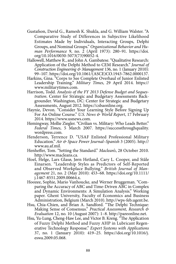- Gustafson, David G., Ramesh K. Shukla, and G. William Walster. "A Comparative Study of Differences in Subjective Likelihood Estimates Made by Individuals, Interacting Groups, Delphi Groups, and Nominal Groups." *Organizational Behavior and Human Performance* 9, no. 2 (April 1973): 280–91. [https://doi.](https://doi.org/10.1016/0030-5073(73)90052-4) [org/10.1016/0030-5073\(73\)90052-4.](https://doi.org/10.1016/0030-5073(73)90052-4)
- Hallowell, Matthew R., and John A. Gambatese. "Qualitative Research: Application of the Delphi Method to CEM Research." *Journal of Construction Engineering & Management* 136, no. 1 (January 2010): 99–107. [https://doi.org/10.1061/\(ASCE\)CO.1943-7862.0000137.](https://doi.org/10.1061/(ASCE)CO.1943-7862.0000137)
- Harkins, Gina. "Corps to See Complete Overhaul of Junior Enlisted Leadership Training." *Military Times*, 29 April 2014. [https://](https://www.militarytimes.com/2014/04/29/corps-to-see-complete-overhaul-of-junior-enlisted-leadership-training/)  [www.militarytimes.com.](https://www.militarytimes.com/2014/04/29/corps-to-see-complete-overhaul-of-junior-enlisted-leadership-training/)
- Harrison, Todd. *Analysis of the FY 2013 Defense Budget and Sequestration*. Center for Strategic and Budgetary Assessments Backgrounder. Washington, DC: Center for Strategic and Budgetary Assessments, August 2012. [https://csbaonline.org](https://csbaonline.org/research/publications/analysis-of-the-fy2013-defense-budget-and-sequestration/publication%20%20).
- Haynie, Devon. "Consider Your Learning Style Before Signing Up For An Online Course." *U.S. News & World Report*, 17 February 2014. [https://www.usnews.com.](https://www.usnews.com/education/online-education/articles/2014/02/17/consider-your-learning-style-before-signing-up-for-an-online-course)
- Hemingway, Mollie Ziegler. "Civilian vs. Military: Who Leads Better." *Federal Times*, 5 March 2007. [https://successthroughquality.](https://successthroughquality.wordpress.com/2008/10/%20)  [wordpress.com.](https://successthroughquality.wordpress.com/2008/10/%20)
- Henderson, Terrence D. "USAF Enlisted Professional Military Education." *Air & Space Power Journal–Spanish* 3 (2005). [http://](http://www.au.af.mil/au/afri/aspj/apjinternational/apj-s/2005/3tri05/hendersoneng.html%23henderson)  [www.au.af.mil](http://www.au.af.mil/au/afri/aspj/apjinternational/apj-s/2005/3tri05/hendersoneng.html%23henderson).
- Henheffer, Tom. "Setting the Standard." *Maclean's*, 28 October 2010. [http://www.macleans.ca](http://www.macleans.ca/economy/business/setting-the-standard/).
- Hoel, Helge, Lars Glasø, Jørn Hetland, Cary L. Cooper, and Ståle Einarsen. "Leadership Styles as Predictors of Self-Reported and Observed Workplace Bullying." *British Journal of Management* 21, no. 2 (May 2010): 453–68. [https://doi.org/10.1111/](https://doi.org/10.1111/j.1467-8551.2009.00664.x) [j.1467-8551.2009.00664.x](https://doi.org/10.1111/j.1467-8551.2009.00664.x).
- Hoozee, Sophie, Mario Vanhoucke, and Werner Bruggeman. "Comparing the Accuracy of ABC and Time-Driven ABC in Complex and Dynamic Environments: A Simulation Analysis." Working paper. Ghent University, Faculty of Economics and Business Administration, Belgium (March 2010). [http://wps-feb.ugent.be.](http://wps-feb.ugent.be/Papers/wp_10_645.pdf)
- Hsu, Chia-Chien, and Brian A. Sandford. "The Delphi Technique: Making Sense of Consensus." *Practical Assessment, Research & Evaluation* 12, no. 10 (August 2007): 1–8. [http://pareonline.net.](http://pareonline.net/pdf/v12n10.pdf)
- Hsu, Yu-Lung, Cheng-Haw Lee, and Victor B. Kreng. "The Application of Fuzzy Delphi Method and Fuzzy AHP in Lubricant Regenerative Technology Response." *Expert Systems with Applications*  37, no. 1 (January 2010): 419–25. [https://doi.org/10.1016/j.](https://doi.org/10.1016/j.eswa.2009.05.068)  [eswa.2009.05.068.](https://doi.org/10.1016/j.eswa.2009.05.068)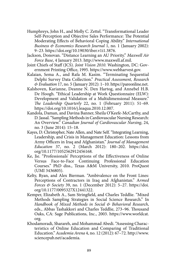- Humphreys, John H., and Molly C. Zettel. "Transformational Leader Self-Perception and Objective Sales Performance: The Potential Moderating Effects of Behavioral Coping Ability." *International Business & Economics Research Journal* 1, no. 1 (January 2002): 9–23.<https://doi.org/10.19030/iber.v1i1.3876>.
- Jackson, Donovan. "Distance Learning an AU Priority." *Maxwell Air Force Base*, 4 January 2013. [http://www.maxwell.af.mil.](http://www.maxwell.af.mil/News/Display/Article/420206/distance-learning-an-au-priority/)
- Joint Chiefs of Staff (JCS). *Joint Vision 2010*. Washington, DC: Government Printing Office, 1995. [https://www.webharvest.gov](https://www.webharvest.gov/peth04/20041028154324/www.dtic.mil/jv2010/jv2010.pdf).
- Kalaian, Sema A., and Rafa M. Kasim. "Terminating Sequential Delphi Survey Data Collection." *Practical Assessment, Research & Evaluation* 17, no. 5 (January 2012): 1–10. [https://pareonline.net](https://pareonline.net/getvn.asp?v=17&n=5).
- [Kalshoven](https://www.semanticscholar.org/author/Karianne-Kalshoven/83961919), Karianne, [Deanne N. Den Hartog](https://www.semanticscholar.org/author/Deanne-N.-Den-Hartog/40403474), and [Annebel H.B.](https://www.semanticscholar.org/author/A.H.B.-de-Hoogh/115627396)  [De Hoogh.](https://www.semanticscholar.org/author/A.H.B.-de-Hoogh/115627396) "Ethical Leadership at Work Questionnaire (ELW): Development and Validation of a Multidimensional Measure." *The Leadership Quarterly* 22, no. 1 (February 2011): 51–69. [https://doi.org/10.1016/j.leaqua.2010.12.007.](https://doi.org/10.1016/j.leaqua.2010.12.007)
- Kandola, Daman, and Davina Banner, Sheila O'Keefe-McCarthy, and D. Jassal. "Sampling Methods in Cardiovascular Nursing Research: An Overview." *Canadian Journal of Cardiovascular Nursing*, 24, no. 3 (June 2014): 15–18.
- Kayes, D. Christopher, Nate Allen, and Nate Self. "Integrating Learning, Leadership, and Crisis in Management Education: Lessons from Army Officers in Iraq and Afghanistan." *Journal of Management Education* 37, no. 2 (March 2012): 180–202. [https://doi.](https://doi.org/10.1177%2F1052562912456168) [org/10.1177/1052562912456168](https://doi.org/10.1177%2F1052562912456168).
- Ke, Jie. "Professionals' Perceptions of the Effectiveness of Online Versus Face-to-Face Continuing Professional Education Courses." PhD diss., Texas A&M University, 2010. ProQuest (UMI 3436805).
- Kelty, Ryan, and Alex Bierman. "Ambivalence on the Front Lines: Perceptions of Contractors in Iraq and Afghanistan." A*rmed Forces & Society* 39, no. 1 (December 2012): 5–27. [https://doi.](https://doi.org/10.1177/0095327X12441322) [org/10.1177/0095327X12441322.](https://doi.org/10.1177/0095327X12441322)
- Kemper, Elizabeth A., Sam Stringfield, and Charles Teddlie. "Mixed Methods Sampling Strategies in Social Science Research." In *Handbook of Mixed Methods in Social & Behavioral Research*, eds., Abbas Tashakkori and Charles Teddlie, 273–96. Thousand Oaks, CA: Sage Publications, Inc., 2003. [https://www.worldcat.](https://www.worldcat.org/title/handbook-of-mixed-methods-in-social-behavioral-research/oclc/605382024/viewport) [org](https://www.worldcat.org/title/handbook-of-mixed-methods-in-social-behavioral-research/oclc/605382024/viewport).
- Khodamoradi, Sharareh, and Mohammad Abedi. "Assessing Characteristics of Online Education and Comparing of Traditional Education." *Academia Arena* 4, no. 12 (2012): 67–72. [http://www.](http://www.sciencepub.net/academia/aa0412/009_14702aa0412_67_72.pdf) [sciencepub.net/academia.](http://www.sciencepub.net/academia/aa0412/009_14702aa0412_67_72.pdf)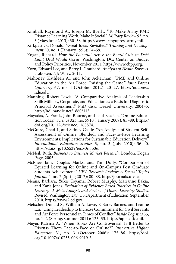- Kimball, Raymond A., Joseph M. Byerly. "To Make Army PME Distance Learning Work, Make It Social." *Military Review* 93, no. 3 (May/June 2013): 30–38. [https://www.armyupress.army.mil.](https://www.armyupress.army.mil/Portals/7/military-review/Archives/English/MilitaryReview_20130630_art008.pdf)
- Kirkpatrick, Donald. "Great Ideas Revisited." *Training and Development* 50, no. 1 (January 1996): 54–59.
- Kogan, Richard. *How the Potential Across-the-Board Cuts in Debt Limit Deal Would Occur*. Washington, DC: Center on Budget and Policy Priorities, November 2011. [https://www.cbpp.org](https://www.cbpp.org/sites/default/files/atoms/files/8-4-11bud.pdf).
- Korn, Edward Lee, and Barry I. Graubard. *Analysis of Health Surveys*. Hoboken, NJ: Wiley, 2011.
- Mahoney, Kathleen A., and John Ackerman. "PME and Online Education in the Air Force: Raising the Game." *Joint Forces Quarterly* 67, no. 4 (October 2012): 20–27. [https://ndupress.](https://ndupress.ndu.edu/Portals/68/Documents/jfq/jfq-67/JFQ-67_20-25_Mohoney-Norris-Ackerman.pdf) [ndu.edu](https://ndupress.ndu.edu/Portals/68/Documents/jfq/jfq-67/JFQ-67_20-25_Mohoney-Norris-Ackerman.pdf).
- Manning, Robert Lewis. "A Comparative Analysis of Leadership Skill: Military, Corporate, and Education as a Basis for Diagnostic Principal Assessment." PhD diss., Drexel University, 2004–5. [http://hdl.handle.net/1860/315.](http://hdl.handle.net/1860/315)
- Mayadas, A. Frank, John Bourne, and Paul Bacsich. "Online Education Today." *Science* 323, no. 5910 (January 2009): 85–89. [https://](https://doi.org/10.1126/science.1168874) [doi.org/10.1126/science.1168874](https://doi.org/10.1126/science.1168874).
- McGuire, Chad J., and Sidney Castle. "An Analysis of Student Self-Assessment of Online, Blended, and Face-to-Face Learning Environments: Implications for Sustainable Education Delivery." *International Education Studies* 3, no. 3 (July 2010): 36–40. <https://doi.org/10.5539/ies.v3n3p36>.
- McNeil, Ruth. *Business to Business Market Research*. London: Kogan Page, 2005.
- McPhee, Iain, Douglas Marks, and Tim Duffy. "Comparison of Equated Learning for Online and On-Campus Post Graduate Students Achievement." *UFV Research Review: A Special Topics Journal* 4, no. 2 (Spring 2012): 80–88. [http://journals.ufv.ca](http://journals.ufv.ca/rr/RR42/article-PDFs/8-mcphee.pdf).
- Means, Barbara, Yukie Toyama, Robert Murphy, Marianne Bakia, and Karla Jones. *Evaluation of Evidence-Based Practices in Online Learning: A Meta-Analysis and Review of Online Learning Studies*. Revised. Washington, DC: US Department of Education, September 2010. [https://www2.ed.gov.](https://www2.ed.gov/rschstat/eval/tech/evidence-based-practices/finalreport.pdf)
- Metscher, Donald S., William A. Lowe, F. Barry Barnes, and Leanne Lai. "Using Leadership to Increase Commitment for Civil Servants and Air Force Personnel in Times of Conflict." *Inside Logistics* 35, no. 1–2 (Spring/Summer 2011): 125–33. [https://apps.dtic.mil](https://apps.dtic.mil/dtic/tr/fulltext/u2/a550393.pdf).
- Meyer, Katrina A. "When Topics Are Controversial: Is It Better to Discuss Them Face-to-Face or Online?" *Innovative Higher Education* 31, no. 3 (October 2006): 175–86. [https://doi.](https://doi.org/10.1007/s10755-006-9019-3%20) [org/10.1007/s10755-006-9019-3](https://doi.org/10.1007/s10755-006-9019-3%20).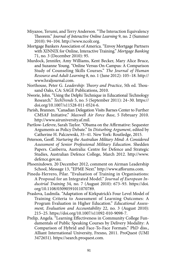- Miyazoe, Terumi, and Terry Anderson. "The Interaction Equivalency Theorem." *Journal of Interactive Online Learning* 9, no. 2 (Summer 2010): 94–104. [http://www.ncolr.org](http://www.ncolr.org/jiol/issues/pdf/9.2.1.pdf).
- Mortgage Bankers Association of America. "Envoy Mortgage Partners with XINNIX for Online, Interactive Training." *Mortgage Banking*  71, no. 3 (December 2010): 95.
- Murdock, Jennifer, Amy Williams, Kent Becker, Mary Alice Bruce, and Suzanne Young. "Online Versus On-Campus: A Comparison Study of Counseling Skills Courses." *The Journal of Human Resource and Adult Learning* 8, no. 1 (June 2012): 105–18. [http://](http://www.hraljournal.com/Page/12%20Jennifer%20Murdock.pdf) [www.hraljournal.com](http://www.hraljournal.com/Page/12%20Jennifer%20Murdock.pdf).
- Northouse, Peter G. *Leadership: Theory and Practice*, 5th ed. Thousand Oaks, CA: SAGE Publications, 2010.
- Nworie, John. "Using the Delphi Technique in Educational Technology Research." *TechTrends* 5, no. 5 (September 2011): 24–30. [https://](https://doi.org/10.1007/s11528-011-0524-6) [doi.org/10.1007/s11528-011-0524-6.](https://doi.org/10.1007/s11528-011-0524-6)
- Parish, Brannen. "Canadian Delegation Visits Barnes Center to Further CMSAF Initiative." *Maxwell Air Force Base*, 5 February 2010. [http://www.airuniversity.af.mil](https://www.airuniversity.af.edu/News/Article/420956/canadian-delegation-visits-barnes-center-to-further-cmsaf-epme-initiative/).
- Partlow-Lefevre, Sarah Taylor. "Obama on the Affirmative: Sequester Arguments as Policy Debate." In *Disturbing Argument*, edited by Catherine H. Palczewski, 35–41. New York: Routledge, 2015.
- Peterson, Geoff. *Nurturing the Australian Military Mind: A Considered Assessment of Senior Professional Military Education*. Shedden Papers. Canberra, Australia: Centre for Defence and Strategic Studies, Australian Defence College, March 2012. [http://www.](http://www.defence.gov.au/ADC/Publications/Shedden/2012/SheddenPapers12_120306_Nurturing_Peterson.pdf) [defence.gov.au](http://www.defence.gov.au/ADC/Publications/Shedden/2012/SheddenPapers12_120306_Nurturing_Peterson.pdf).
- Phoenixdown. 20 December 2012, comment on Airman Leadership School, Message 13, "EPME Next." [http://www.afforums.com.](http://www.afforums.com/forums/showthread.php?t=43095)
- Pineda-Herrero, Pilar. "Evaluation of Training in Organisations: A Proposal for an Integrated Model." *Journal of European Industrial Training* 34, no. 7 (August 2010): 673–93. [https://doi.](https://doi.org/10.1108/03090591011070789) [org/10.1108/03090591011070789](https://doi.org/10.1108/03090591011070789).
- Praslova, Ludmila. "Adaptation of Kirkpatrick's Four Level Model of Training Criteria to Assessment of Learning Outcomes: A Program Evaluation in Higher Education." *Educational Assessment, Evaluation and Accountability* 22, no. 3 (August 2010): 215–25. [https://doi.org/10.1007/s11092-010-9098-7.](https://doi.org/10.1007/s11092-010-9098-7)
- Prelip, Angela. "Learning Effectiveness in Community College Fundamentals of Public Speaking Courses by Delivery Modality: A Comparison of Hybrid and Face-To-Face Formats." PhD diss., Alliant International University, Fresno, 2011. ProQuest (UMI 3472651). [https://search.proquest.com.](https://search.proquest.com/docview/892094513)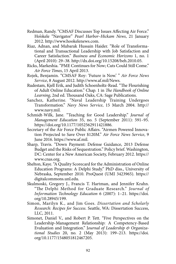- Redman, Randy. "CMSAF Discusses Top Issues Affecting Air Force." Ho'okele "Navigator" *Pearl Harbor–Hickam News*, 21 January 2012. [http://www.hookelenews.com](http://www.hookelenews.com/cmsaf-discusses-top-issues-affecting-air-force/).
- Riaz, Adnan, and Mubarak Hussain Haider. "Role of Transformational and Transactional Leadership with Job Satisfaction and Career Satisfaction." *Business and Economic Horizons* 1, no. 1 (April 2010): 29–38.<http://dx.doi.org/10.15208/beh.2010.05>.
- Ricks, Markeshia. "PME Continues for Now; Cuts Could Still Come." *Air Force Times*, 15 April 2013.
- Rojek, Benjamin. "CMSAF Roy: 'Future is Now.' " *Air Force News Service*, 8 August 2012. [http://www.af.mil/News](http://www.af.mil/News/Article-Display/Article/110670/cmsaf-roy-future-is-now/).
- Rudestam, Kjell Erik, and Judith Schoenholtz-Read. "The Flourishing of Adult Online Education." Chap. 1 in *The Handbook of Online Learning*, 2nd ed. Thousand Oaks, CA: Sage Publications.
- Sanchez, Katherine. "Naval Leadership Training Undergoes Transformation." *Navy News Service*, 15 March 2004. [http://](http://www.navy.mil/submit/display.asp?story_id=11750) [www.navy.mil](http://www.navy.mil/submit/display.asp?story_id=11750).
- Schmidt-Wilk, Jane. "Teaching for Good Leadership." *Journal of Management Education* 35, no. 5 (September 2011): 591–95. <https://doi.org/10.1177/1052562911421886>.
- Secretary of the Air Force Public Affairs. "Airmen Powered Innovation Projected to Save Over \$120M." *Air Force News Service*, 9 June 2016. [https://www.af.mil](https://www.af.mil/News/Article-Display/Article/795613/airmen-powered-by-innovation-projected-to-save-over-120m/).
- Sharp, Travis. "Down Payment: Defense Guidance, 2013 Defense Budget and the Risks of Sequestration." Policy brief. Washington, DC: Center for a New American Society, February 2012. [https://](https://www.cnas.org/publications/reports/down-payment-defense-guidance-2013-defense-budget-and-the-risks-of-sequestration) [www.cnas.org.](https://www.cnas.org/publications/reports/down-payment-defense-guidance-2013-defense-budget-and-the-risks-of-sequestration)
- Shelton, Kaye. "A Quality Scorecard for the Administration of Online Education Programs: A Delphi Study." PhD diss., University of Nebraska, September 2010. ProQuest (UMI 3423965). [https://](https://digitalcommons.unl.edu/cgi/viewcontent.cgi?referer=https://www.google.com/&httpsredir=1&article=1039&context=cehsedaddiss) [digitalcommons.unl.edu.](https://digitalcommons.unl.edu/cgi/viewcontent.cgi?referer=https://www.google.com/&httpsredir=1&article=1039&context=cehsedaddiss)
- Skulmoski, Gregory J., Francis T. Hartman, and Jennifer Krahn. "The Delphi Method for Graduate Research." *Journal of Information Technology Education* 6 (2007): 1–21. [https://doi.](https://doi.org/10.28945/199) [org/10.28945/199.](https://doi.org/10.28945/199)
- Simon, Marilyn K., and Jim Goes. *Dissertation and Scholarly Research: Recipes for Success*. Seattle, WA: Dissertation Success, LLC, 2011.
- Simonet, Daniel V., and Robert P. Tett. "Five Perspectives on the Leadership-Management Relationship: A Competency-Based Evaluation and Integration." J*ournal of Leadership & Organizational Studies* 20, no. 2 (May 2013): 199–213. [https://doi.](https://doi.org/10.1177/1548051812467205) [org/10.1177/1548051812467205](https://doi.org/10.1177/1548051812467205).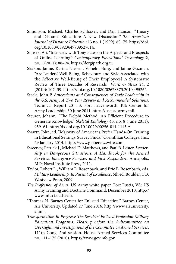- Simonson, Michael, Charles Schlosser, and Dan Hanson. "Theory and Distance Education: A New Discussion." *The American Journal of Distance Education* 13 no. 1 (1999): 60–75. [https://doi.](https://doi.org/10.1080/08923649909527014) [org/10.1080/08923649909527014](https://doi.org/10.1080/08923649909527014).
- Simsek, Ali. "Interview with Tony Bates on the Aspects and Prospects of Online Learning." *Contemporary Educational Technology* 2, no. 1 (2011): 88–94. [https://dergipark.org.tr.](https://dergipark.org.tr/download/article-file/252149)
- Skakon, Janne, Karina Nielsen, Vilhelm Borg, and Jaime Guzman. "Are Leaders' Well-Being, Behaviours and Style Associated with the Affective Well-Being of Their Employees? A Systematic Review of Three Decades of Research." *Work & Stress* 24, 2 (2010): 107–39. [https://doi.org/10.1080/02678373.2010.495262.](https://doi.org/10.1080/02678373.2010.495262)
- Steele, John P. *Antecedents and Consequences of Toxic Leadership in the U.S. Army: A Two Year Review and Recommended Solutions*. Technical Report 2011-3. Fort Leavenworth, KS: Center for Army Leadership, 30 June 2011. [https://usacac.army.mil](https://usacac.army.mil/cac2/Repository/CASAL_TechReport2011-3_ToxicLeadership.pdf).
- Steurer, Johann. "The Delphi Method: An Efficient Procedure to Generate Knowledge." *Skeletal Radiology* 40, no. 8 (June 2011): 959–61. <http://dx.doi.org/10.1007/s00256-011-1145-z>.
- Swartz, John, ed. "Majority of Americans Prefer Hands-On Training in Educational Settings, Survey Finds." Corinthian Colleges, Inc., 29 January 2014. [https://www.globenewswire.com](https://www.globenewswire.com/news-release/2014/01/29/605590/10065857/en/Majority-of-Americans-Prefer-Hands-On-Training-in-Educational-Settings-Survey-Finds.html).
- Sweeney, Patrick J., Michael D. Matthews, and Paul B. Lester. *Leadership in Dangerous Situations: A Handbook for the Armed Services, Emergency Services, and First Responders*. Annapolis, MD: Naval Institute Press, 2011.
- Taylor, Robert L., William E. Rosenbach, and Eric B. Rosenbach, eds. *Military Leadership: In Pursuit of Excellence*, 6th ed. Boulder, CO: Westview Press, 2009.
- *The Profession of Arms*. US Army white paper. Fort Eustis, VA: US Army Training and Doctrine Command, December 2010. [http://](http://www.milsci.ucsb.edu/sites/secure.lsit.ucsb.edu.mili.d7/files/sitefiles/resources/The%20Profession%20of%20Arms.pdf) [www.milsci.ucsb.edu](http://www.milsci.ucsb.edu/sites/secure.lsit.ucsb.edu.mili.d7/files/sitefiles/resources/The%20Profession%20of%20Arms.pdf).
- "Thomas N. Barnes Center for Enlisted Education." Barnes Center, Air University. Updated 27 June 2016. [http://www.airuniversity.](http://www.airuniversity.af.mil/Barnes/Heritage/) [af.mil.](http://www.airuniversity.af.mil/Barnes/Heritage/)
- *Transformation in Progress: The Services' Enlisted Profession Military Education Programs: Hearing before the Subcommittee on Oversight and Investigations of the Committee on Armed Services*. 111th Cong. 2nd session. House Armed Services Committee no. 111–175 (2010). [https://www.govinfo.gov](https://www.govinfo.gov/content/pkg/CHRG-111hhrg61633/pdf/CHRG-111hhrg61633.pdf).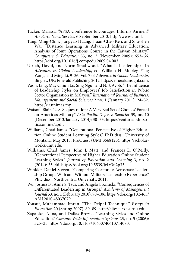- Tucker, Marissa. "AFSA Conference Encourages, Informs Airmen." *Air Force News Service*, 6 September 2013. [http://www.af.mil.](http://www.af.mil/News/Article-Display/Article/467051/afsa-conference-encourages-informs-airmen/)
- Tung, Ming-Chih, [Jiungyao Huang](https://www.researchgate.net/profile/Jiungyao_Huang), [Huan-Chao Keh,](https://www.researchgate.net/scientific-contributions/7030570_Huan-Chao_Keh) and [Shu-shen](https://www.researchgate.net/scientific-contributions/70711288_Shu-shen_Wai)  [Wai](https://www.researchgate.net/scientific-contributions/70711288_Shu-shen_Wai). "Distance Learning in Advanced Military Education: Analysis of Joint Operations Course in the Taiwan Military." *Computers & Education* 53, no. 3 (November 2009): 653–66. <https://doi.org/10.1016/j.compedu.2009.04.003>.
- Ulrich, David, and Norm Smallwood. "What Is Leadership?" In *Advances in Global Leadership*, ed. William H. Mobley, Ying Wang, and Ming Li, 9–36. Vol. 7 of *Advances in Global Leadership*. Bingley, UK: Emerald Publishing 2012. [https://emeraldinsight.com](https://emeraldinsight.com/doi/full/10.1108/S1535-1203%282012%290000007005).
- Voon, Ling, May Chiun Lo, Sing Ngui, and N.B. Ayob. "The Influence of Leadership Styles on Employees' Job Satisfaction in Public Sector Organization in Malaysia." *International Journal of Business, Management and Social Sciences* 2 no. 1 (January 2011): 24–32. [https://ir.unimas.my](https://ir.unimas.my/id/eprint/17035/1/The%20influence%20of%20leadership%20styles%20on%20employees).
- Watson, Blair. "U.S. Sequestration: 'A Very Bad Set of Choices' Forced on America's Military." *Asia-Pacific Defence Reporter* 39, no. 10 (December 2013/January 2014): 30–33. [https://venturaapdr.par](https://venturaapdr.partica.online/apdr/apdr-dec13-jan14/responsive)[tica.online/apdr](https://venturaapdr.partica.online/apdr/apdr-dec13-jan14/responsive).
- Williams, Chad James. "Generational Perspective of Higher Education Online Student Learning Styles." PhD diss., University of Montana, May 2013. ProQuest (UMI 3568123). [https://scholar](https://scholarworks.umt.edu/cgi/viewcontent.cgi?article=2408&=&context=etd&=&sei-redir=1&referer=https%253A%252F%252Fwww.bing.com%252Fsearch%253Fq%253DGenerational%252520perspective%252520of%252520higher%252520education%252520online%252520student%252520learning%252520styles%2525202013%252520proquest%252520dissertation%2526qs%253Dn%2526form%253DQBRE%2526sp%253D-1%2526pq%253Dgenerational%252520perspective%252520of%252520higher%252520education%252520online%252520student%252520learning%252520styles%252520%2526sc%253D0-76%2526sk%253D%2526cvid%253D5E079B80FCEA417C804319A937849355%23search=%22Generational%20perspective%20higher%20education%20online%20student%20learning%20styles%202013%20proquest%20dissertation%22)[works.umt.edu](https://scholarworks.umt.edu/cgi/viewcontent.cgi?article=2408&=&context=etd&=&sei-redir=1&referer=https%253A%252F%252Fwww.bing.com%252Fsearch%253Fq%253DGenerational%252520perspective%252520of%252520higher%252520education%252520online%252520student%252520learning%252520styles%2525202013%252520proquest%252520dissertation%2526qs%253Dn%2526form%253DQBRE%2526sp%253D-1%2526pq%253Dgenerational%252520perspective%252520of%252520higher%252520education%252520online%252520student%252520learning%252520styles%252520%2526sc%253D0-76%2526sk%253D%2526cvid%253D5E079B80FCEA417C804319A937849355%23search=%22Generational%20perspective%20higher%20education%20online%20student%20learning%20styles%202013%20proquest%20dissertation%22).
- Williams, Chad James, John J. Matt, and Frances L. O'Reilly. "Generational Perspective of Higher Education Online Student Learning Styles." *Journal of Education and Learning* 3, no. 2 (2014): 33–46.<https://doi.org/10.5539/jel.v3n2p33>.
- Winkler, Daniel Steven. "Comparing Corporate Aerospace Leadership Groups With and Without Military Leadership Experience." PhD diss., Northcentral University, 2011.
- Wu, Joshua B., Anne S. Tsui, and Angelo J. Kinicki. "Consequences of Differentiated Leadership in Groups." *Academy of Management Journal* 53, no. 1 (February 2010): 90–106. [https://doi.org/10.5465/](https://doi.org/10.5465/AMJ.2010.48037079) [AMJ.2010.48037079](https://doi.org/10.5465/AMJ.2010.48037079).
- Yousuf, Muhammad Imran. "The Delphi Technique." *Essays in Education* 20 (Spring 2007): 80–89. [http://citeseerx.ist.psu.edu](http://citeseerx.ist.psu.edu/viewdoc/download?doi=10.1.1.617.5467&rep=rep1&type=pdf).
- Zapalska, Alina, and Dallas Brozik. "Learning Styles and Online Education." *Campus-Wide Information Systems* 23, no. 5 (2006): 325–35. [https://doi.org/10.1108/10650740610714080.](https://doi.org/10.1108/10650740610714080)